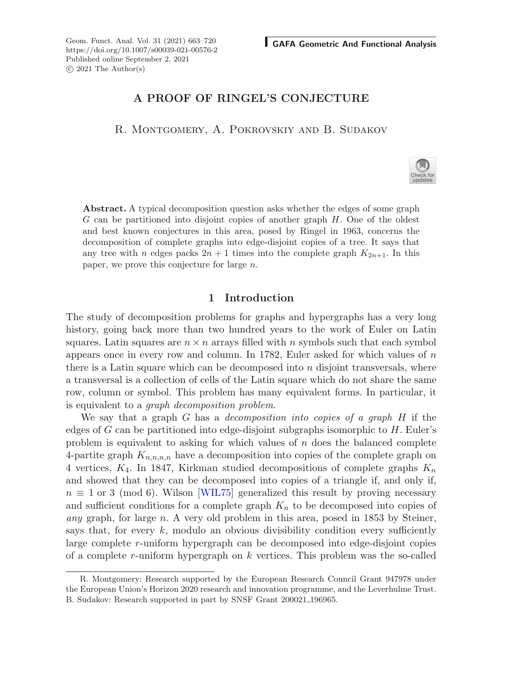Geom. Funct. Anal. Vol. 31 (2021) 663–720 **GAFA Geometric And Functional Analysis** https://doi.org/10.1007/s00039-021-00576-2 Published online September 2, 2021  $\odot$  2021 The Author(s)

# **A PROOF OF RINGEL'S CONJECTURE**

R. Montgomery, A. Pokrovskiy and B. Sudakov

**Abstract.** A typical decomposition question asks whether the edges of some graph  $G$  can be partitioned into disjoint copies of another graph  $H$ . One of the oldest and best known conjectures in this area, posed by Ringel in 1963, concerns the decomposition of complete graphs into edge-disjoint copies of a tree. It says that any tree with n edges packs  $2n + 1$  times into the complete graph  $K_{2n+1}$ . In this paper, we prove this conjecture for large n.

## **1 Introduction**

The study of decomposition problems for graphs and hypergraphs has a very long history, going back more than two hundred years to the work of Euler on Latin squares. Latin squares are  $n \times n$  arrays filled with n symbols such that each symbol appears once in every row and column. In 1782, Euler asked for which values of n there is a Latin square which can be decomposed into  $n$  disjoint transversals, where a transversal is a collection of cells of the Latin square which do not share the same row, column or symbol. This problem has many equivalent forms. In particular, it is equivalent to a *graph decomposition problem*.

We say that a graph G has a *decomposition into copies of a graph* H if the edges of G can be partitioned into edge-disjoint subgraphs isomorphic to  $H$ . Euler's problem is equivalent to asking for which values of  $n$  does the balanced complete 4-partite graph  $K_{n,n,n,n}$  have a decomposition into copies of the complete graph on 4 vertices,  $K_4$ . In 1847, Kirkman studied decompositions of complete graphs  $K_n$ and showed that they can be decomposed into copies of a triangle if, and only if,  $n \equiv 1$  or 3 (mod 6). Wilson [\[WIL75\]](#page-57-0) generalized this result by proving necessary and sufficient conditions for a complete graph  $K_n$  to be decomposed into copies of *any* graph, for large n. A very old problem in this area, posed in 1853 by Steiner, says that, for every  $k$ , modulo an obvious divisibility condition every sufficiently large complete r-uniform hypergraph can be decomposed into edge-disjoint copies of a complete r-uniform hypergraph on  $k$  vertices. This problem was the so-called



R. Montgomery: Research supported by the European Research Council Grant 947978 under the European Union's Horizon 2020 research and innovation programme, and the Leverhulme Trust. B. Sudakov: Research supported in part by SNSF Grant 200021 196965.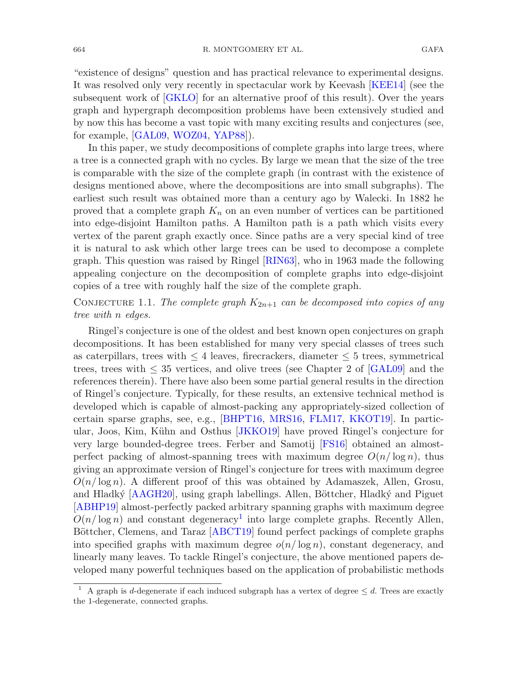"existence of designs" question and has practical relevance to experimental designs. It was resolved only very recently in spectacular work by Keevash [\[KEE14](#page-56-0)] (see the subsequent work of [\[GKLO\]](#page-56-1) for an alternative proof of this result). Over the years graph and hypergraph decomposition problems have been extensively studied and by now this has become a vast topic with many exciting results and conjectures (see, for example, [\[GAL09](#page-56-2), [WOZ04](#page-57-1), [YAP88\]](#page-57-2)).

In this paper, we study decompositions of complete graphs into large trees, where a tree is a connected graph with no cycles. By large we mean that the size of the tree is comparable with the size of the complete graph (in contrast with the existence of designs mentioned above, where the decompositions are into small subgraphs). The earliest such result was obtained more than a century ago by Walecki. In 1882 he proved that a complete graph  $K_n$  on an even number of vertices can be partitioned into edge-disjoint Hamilton paths. A Hamilton path is a path which visits every vertex of the parent graph exactly once. Since paths are a very special kind of tree it is natural to ask which other large trees can be used to decompose a complete graph. This question was raised by Ringel [\[RIN63](#page-56-3)], who in 1963 made the following appealing conjecture on the decomposition of complete graphs into edge-disjoint copies of a tree with roughly half the size of the complete graph.

<span id="page-1-1"></span>CONJECTURE 1.1. *The complete graph*  $K_{2n+1}$  *can be decomposed into copies of any tree with* n *edges.*

Ringel's conjecture is one of the oldest and best known open conjectures on graph decompositions. It has been established for many very special classes of trees such as caterpillars, trees with  $\leq 4$  leaves, firecrackers, diameter  $\leq 5$  trees, symmetrical trees, trees with  $\leq$  35 vertices, and olive trees (see Chapter 2 of [\[GAL09](#page-56-2)] and the references therein). There have also been some partial general results in the direction of Ringel's conjecture. Typically, for these results, an extensive technical method is developed which is capable of almost-packing any appropriately-sized collection of certain sparse graphs, see, e.g., [\[BHPT16,](#page-56-4) [MRS16,](#page-56-5) [FLM17](#page-56-6), [KKOT19](#page-56-7)]. In partic-ular, Joos, Kim, Kühn and Osthus [\[JKKO19](#page-56-8)] have proved Ringel's conjecture for very large bounded-degree trees. Ferber and Samotij [\[FS16](#page-56-9)] obtained an almostperfect packing of almost-spanning trees with maximum degree  $O(n/\log n)$ , thus giving an approximate version of Ringel's conjecture for trees with maximum degree  $O(n/\log n)$ . A different proof of this was obtained by Adamaszek, Allen, Grosu, and Hladký [\[AAGH20](#page-55-0)], using graph labellings. Allen, Böttcher, Hladký and Piguet [\[ABHP19\]](#page-56-10) almost-perfectly packed arbitrary spanning graphs with maximum degree  $O(n/\log n)$  and constant degeneracy<sup>[1](#page-1-0)</sup> into large complete graphs. Recently Allen, Böttcher, Clemens, and Taraz [\[ABCT19](#page-56-11)] found perfect packings of complete graphs into specified graphs with maximum degree  $o(n/\log n)$ , constant degeneracy, and linearly many leaves. To tackle Ringel's conjecture, the above mentioned papers developed many powerful techniques based on the application of probabilistic methods

<span id="page-1-0"></span><sup>&</sup>lt;sup>1</sup> A graph is *d*-degenerate if each induced subgraph has a vertex of degree  $\leq d$ . Trees are exactly the 1-degenerate, connected graphs.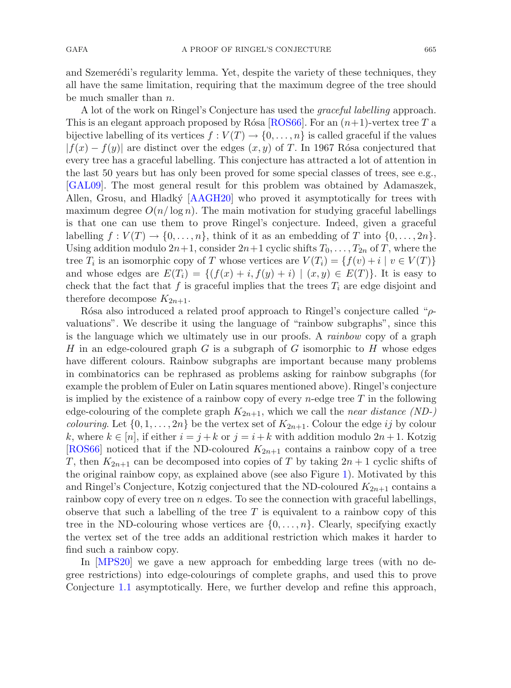and Szemerédi's regularity lemma. Yet, despite the variety of these techniques, they all have the same limitation, requiring that the maximum degree of the tree should be much smaller than n.

A lot of the work on Ringel's Conjecture has used the *graceful labelling* approach. This is an elegant approach proposed by Rósa [\[ROS66](#page-57-3)]. For an  $(n+1)$ -vertex tree T a bijective labelling of its vertices  $f: V(T) \to \{0, \ldots, n\}$  is called graceful if the values  $|f(x) - f(y)|$  are distinct over the edges  $(x, y)$  of T. In 1967 Rósa conjectured that every tree has a graceful labelling. This conjecture has attracted a lot of attention in the last 50 years but has only been proved for some special classes of trees, see e.g., [\[GAL09](#page-56-2)]. The most general result for this problem was obtained by Adamaszek, Allen, Grosu, and Hladký [\[AAGH20](#page-55-0)] who proved it asymptotically for trees with maximum degree  $O(n/\log n)$ . The main motivation for studying graceful labellings is that one can use them to prove Ringel's conjecture. Indeed, given a graceful labelling  $f: V(T) \to \{0, \ldots, n\}$ , think of it as an embedding of T into  $\{0, \ldots, 2n\}$ . Using addition modulo  $2n+1$ , consider  $2n+1$  cyclic shifts  $T_0, \ldots, T_{2n}$  of T, where the tree  $T_i$  is an isomorphic copy of T whose vertices are  $V(T_i) = \{f(v) + i \mid v \in V(T)\}\$ and whose edges are  $E(T_i) = \{(f(x) + i, f(y) + i) | (x, y) \in E(T)\}\.$  It is easy to check that the fact that f is graceful implies that the trees  $T_i$  are edge disjoint and therefore decompose  $K_{2n+1}$ .

Rósa also introduced a related proof approach to Ringel's conjecture called " $\rho$ valuations". We describe it using the language of "rainbow subgraphs", since this is the language which we ultimately use in our proofs. A *rainbow* copy of a graph H in an edge-coloured graph G is a subgraph of G isomorphic to H whose edges have different colours. Rainbow subgraphs are important because many problems in combinatorics can be rephrased as problems asking for rainbow subgraphs (for example the problem of Euler on Latin squares mentioned above). Ringel's conjecture is implied by the existence of a rainbow copy of every  $n$ -edge tree T in the following edge-colouring of the complete graph  $K_{2n+1}$ , which we call the *near distance* (ND-) *colouring*. Let  $\{0, 1, \ldots, 2n\}$  be the vertex set of  $K_{2n+1}$ . Colour the edge ij by colour k, where  $k \in [n]$ , if either  $i = j + k$  or  $j = i + k$  with addition modulo  $2n + 1$ . Kotzig [\[ROS66\]](#page-57-3) noticed that if the ND-coloured  $K_{2n+1}$  contains a rainbow copy of a tree T, then  $K_{2n+1}$  can be decomposed into copies of T by taking  $2n+1$  cyclic shifts of the original rainbow copy, as explained above (see also Figure [1\)](#page-3-0). Motivated by this and Ringel's Conjecture, Kotzig conjectured that the ND-coloured  $K_{2n+1}$  contains a rainbow copy of every tree on  $n$  edges. To see the connection with graceful labellings, observe that such a labelling of the tree  $T$  is equivalent to a rainbow copy of this tree in the ND-colouring whose vertices are  $\{0,\ldots,n\}$ . Clearly, specifying exactly the vertex set of the tree adds an additional restriction which makes it harder to find such a rainbow copy.

In [\[MPS20](#page-56-12)] we gave a new approach for embedding large trees (with no degree restrictions) into edge-colourings of complete graphs, and used this to prove Conjecture [1.1](#page-1-1) asymptotically. Here, we further develop and refine this approach,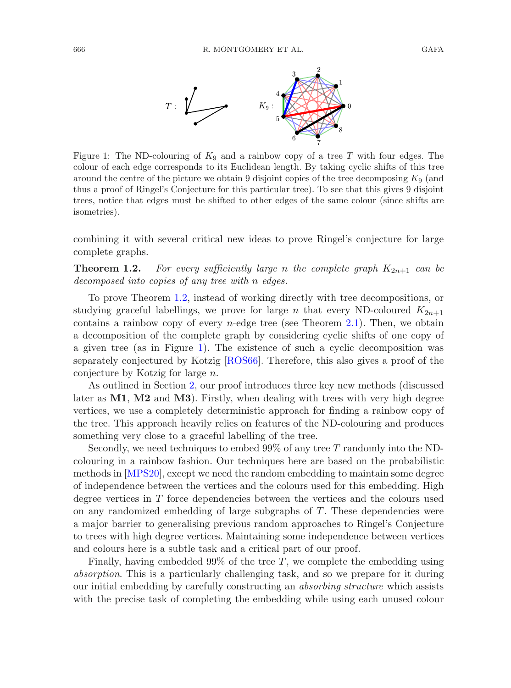

<span id="page-3-0"></span>Figure 1: The ND-colouring of  $K_9$  and a rainbow copy of a tree T with four edges. The colour of each edge corresponds to its Euclidean length. By taking cyclic shifts of this tree around the centre of the picture we obtain 9 disjoint copies of the tree decomposing  $K_9$  (and thus a proof of Ringel's Conjecture for this particular tree). To see that this gives 9 disjoint trees, notice that edges must be shifted to other edges of the same colour (since shifts are isometries).

<span id="page-3-1"></span>combining it with several critical new ideas to prove Ringel's conjecture for large complete graphs.

**Theorem 1.2.** For every sufficiently large n the complete graph  $K_{2n+1}$  can be *decomposed into copies of any tree with* n *edges.*

To prove Theorem [1.2,](#page-3-1) instead of working directly with tree decompositions, or studying graceful labellings, we prove for large n that every ND-coloured  $K_{2n+1}$ contains a rainbow copy of every  $n$ -edge tree (see Theorem [2.1\)](#page-4-0). Then, we obtain a decomposition of the complete graph by considering cyclic shifts of one copy of a given tree (as in Figure [1\)](#page-3-0). The existence of such a cyclic decomposition was separately conjectured by Kotzig [\[ROS66](#page-57-3)]. Therefore, this also gives a proof of the conjecture by Kotzig for large n.

As outlined in Section [2,](#page-4-1) our proof introduces three key new methods (discussed later as **M1**, **M2** and **M3**). Firstly, when dealing with trees with very high degree vertices, we use a completely deterministic approach for finding a rainbow copy of the tree. This approach heavily relies on features of the ND-colouring and produces something very close to a graceful labelling of the tree.

Secondly, we need techniques to embed 99% of any tree T randomly into the NDcolouring in a rainbow fashion. Our techniques here are based on the probabilistic methods in [\[MPS20](#page-56-12)], except we need the random embedding to maintain some degree of independence between the vertices and the colours used for this embedding. High degree vertices in T force dependencies between the vertices and the colours used on any randomized embedding of large subgraphs of T. These dependencies were a major barrier to generalising previous random approaches to Ringel's Conjecture to trees with high degree vertices. Maintaining some independence between vertices and colours here is a subtle task and a critical part of our proof.

Finally, having embedded  $99\%$  of the tree T, we complete the embedding using *absorption*. This is a particularly challenging task, and so we prepare for it during our initial embedding by carefully constructing an *absorbing structure* which assists with the precise task of completing the embedding while using each unused colour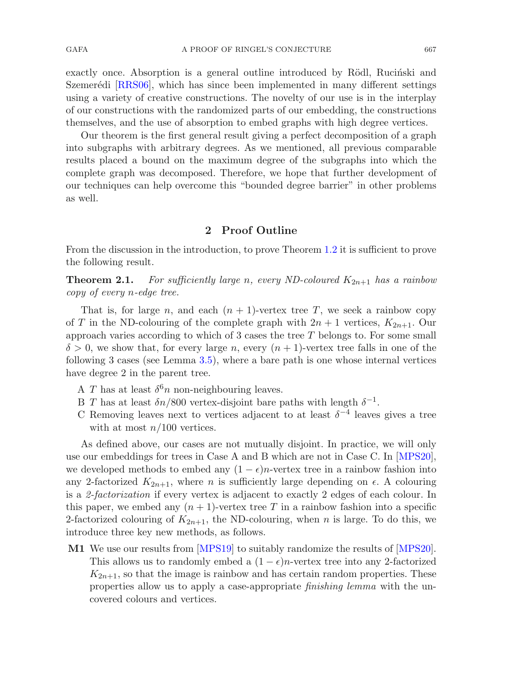GAFA A PROOF OF RINGEL'S CONJECTURE 667

exactly once. Absorption is a general outline introduced by Rödl, Rucinski and Szemerédi [\[RRS06](#page-56-13)], which has since been implemented in many different settings using a variety of creative constructions. The novelty of our use is in the interplay of our constructions with the randomized parts of our embedding, the constructions themselves, and the use of absorption to embed graphs with high degree vertices.

Our theorem is the first general result giving a perfect decomposition of a graph into subgraphs with arbitrary degrees. As we mentioned, all previous comparable results placed a bound on the maximum degree of the subgraphs into which the complete graph was decomposed. Therefore, we hope that further development of our techniques can help overcome this "bounded degree barrier" in other problems as well.

# <span id="page-4-0"></span>**2 Proof Outline**

<span id="page-4-1"></span>From the discussion in the introduction, to prove Theorem [1.2](#page-3-1) it is sufficient to prove the following result.

**Theorem 2.1.** For sufficiently large n, every ND-coloured  $K_{2n+1}$  has a rainbow *copy of every* n*-edge tree.*

That is, for large n, and each  $(n + 1)$ -vertex tree T, we seek a rainbow copy of T in the ND-colouring of the complete graph with  $2n + 1$  vertices,  $K_{2n+1}$ . Our approach varies according to which of 3 cases the tree T belongs to. For some small  $\delta > 0$ , we show that, for every large n, every  $(n + 1)$ -vertex tree falls in one of the following 3 cases (see Lemma [3.5\)](#page-18-0), where a bare path is one whose internal vertices have degree 2 in the parent tree.

- A T has at least  $\delta^6 n$  non-neighbouring leaves.
- B T has at least  $\delta n/800$  vertex-disjoint bare paths with length  $\delta^{-1}$ .
- C Removing leaves next to vertices adjacent to at least  $\delta^{-4}$  leaves gives a tree with at most  $n/100$  vertices.

As defined above, our cases are not mutually disjoint. In practice, we will only use our embeddings for trees in Case A and B which are not in Case C. In [\[MPS20](#page-56-12)], we developed methods to embed any  $(1 - \epsilon)n$ -vertex tree in a rainbow fashion into any 2-factorized  $K_{2n+1}$ , where *n* is sufficiently large depending on  $\epsilon$ . A colouring is a *2-factorization* if every vertex is adjacent to exactly 2 edges of each colour. In this paper, we embed any  $(n + 1)$ -vertex tree T in a rainbow fashion into a specific 2-factorized colouring of  $K_{2n+1}$ , the ND-colouring, when n is large. To do this, we introduce three key new methods, as follows.

**M1** We use our results from [\[MPS19\]](#page-56-14) to suitably randomize the results of [\[MPS20](#page-56-12)]. This allows us to randomly embed a  $(1 - \epsilon)n$ -vertex tree into any 2-factorized  $K_{2n+1}$ , so that the image is rainbow and has certain random properties. These properties allow us to apply a case-appropriate *finishing lemma* with the uncovered colours and vertices.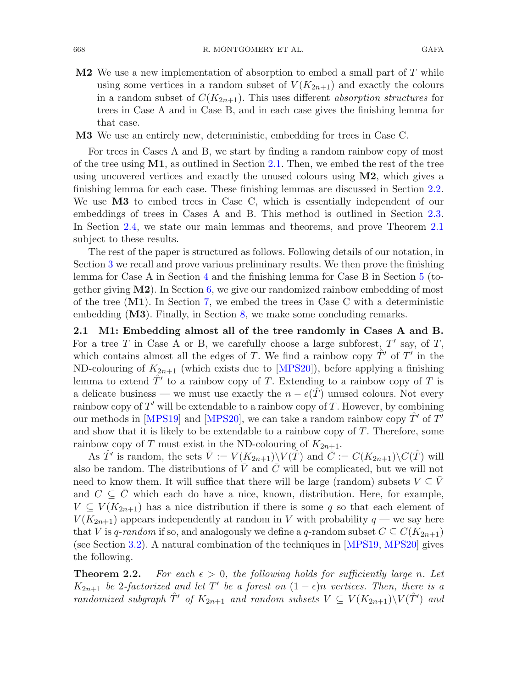**M2** We use a new implementation of absorption to embed a small part of T while using some vertices in a random subset of  $V(K_{2n+1})$  and exactly the colours in a random subset of  $C(K_{2n+1})$ . This uses different *absorption structures* for trees in Case A and in Case B, and in each case gives the finishing lemma for that case.

**M3** We use an entirely new, deterministic, embedding for trees in Case C.

For trees in Cases A and B, we start by finding a random rainbow copy of most of the tree using **M1**, as outlined in Section [2.1.](#page-5-0) Then, we embed the rest of the tree using uncovered vertices and exactly the unused colours using **M2**, which gives a finishing lemma for each case. These finishing lemmas are discussed in Section [2.2.](#page-7-0) We use **M3** to embed trees in Case C, which is essentially independent of our embeddings of trees in Cases A and B. This method is outlined in Section [2.3.](#page-11-0) In Section [2.4,](#page-12-0) we state our main lemmas and theorems, and prove Theorem [2.1](#page-4-0) subject to these results.

The rest of the paper is structured as follows. Following details of our notation, in Section [3](#page-15-0) we recall and prove various preliminary results. We then prove the finishing lemma for Case A in Section [4](#page-29-0) and the finishing lemma for Case B in Section [5](#page-34-0) (together giving **M2**). In Section [6,](#page-44-0) we give our randomized rainbow embedding of most of the tree (**M1**). In Section [7,](#page-50-0) we embed the trees in Case C with a deterministic embedding (**M3**). Finally, in Section [8,](#page-54-0) we make some concluding remarks.

<span id="page-5-0"></span>**2.1 M1: Embedding almost all of the tree randomly in Cases A and B.** For a tree T in Case A or B, we carefully choose a large subforest,  $T'$  say, of T, which contains almost all the edges of T. We find a rainbow copy  $\hat{T}'$  of T' in the ND-colouring of  $K_{2n+1}$  (which exists due to [\[MPS20\]](#page-56-12)), before applying a finishing lemma to extend  $T'$  to a rainbow copy of T. Extending to a rainbow copy of T is a delicate business — we must use exactly the  $n - e(T)$  unused colours. Not every rainbow copy of  $T'$  will be extendable to a rainbow copy of  $T$ . However, by combining our methods in [\[MPS19](#page-56-14)] and [\[MPS20\]](#page-56-12), we can take a random rainbow copy  $\hat{T}'$  of  $T'$ and show that it is likely to be extendable to a rainbow copy of  $T$ . Therefore, some rainbow copy of T must exist in the ND-colouring of  $K_{2n+1}$ .

As  $\hat{T}'$  is random, the sets  $\bar{V} := V(K_{2n+1})\backslash V(\hat{T})$  and  $\bar{C} := C(K_{2n+1})\backslash C(\hat{T})$  will also be random. The distributions of  $\overline{V}$  and  $\overline{C}$  will be complicated, but we will not need to know them. It will suffice that there will be large (random) subsets  $V \subseteq \overline{V}$ and  $C \subseteq C$  which each do have a nice, known, distribution. Here, for example,  $V \subseteq V(K_{2n+1})$  has a nice distribution if there is some q so that each element of  $V(K_{2n+1})$  appears independently at random in V with probability  $q$  — we say here that V is q-random if so, and analogously we define a q-random subset  $C \subseteq C(K_{2n+1})$ (see Section [3.2\)](#page-16-0). A natural combination of the techniques in [\[MPS19,](#page-56-14) [MPS20](#page-56-12)] gives the following.

<span id="page-5-1"></span>**Theorem 2.2.** For each  $\epsilon > 0$ , the following holds for sufficiently large n. Let K<sub>2n+1</sub> *be* 2-factorized and let T' be a forest on  $(1 - \epsilon)n$  vertices. Then, there is a *randomized subgraph*  $\hat{T}'$  *of*  $K_{2n+1}$  *and random subsets*  $V \subseteq V(K_{2n+1}) \setminus V(\hat{T}')$  *and*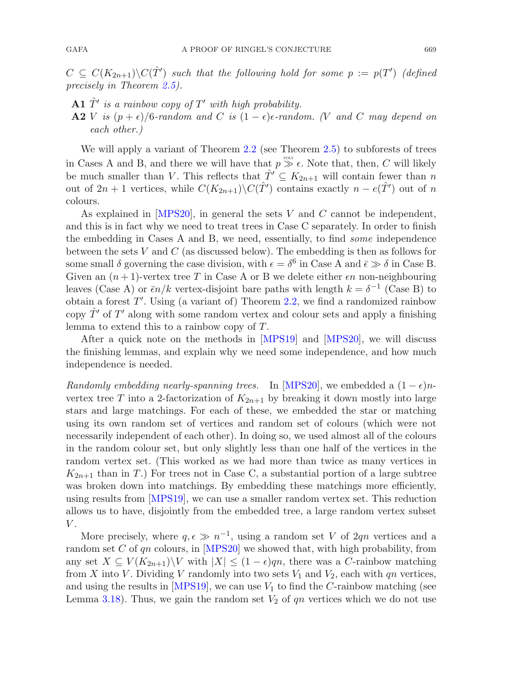$C \subseteq C(K_{2n+1}) \backslash C(\hat{T}')$  such that the following hold for some  $p := p(T')$  (defined *precisely in Theorem [2.5\)](#page-12-1).*

- **A1**  $\hat{T}'$  *is a rainbow copy of*  $T'$  *with high probability.*
- **A2** V *is*  $(p+\epsilon)/6$ *-random and* C *is*  $(1-\epsilon)\epsilon$ *-random.* (V and C may depend on *each other.)*

We will apply a variant of Theorem [2.2](#page-5-1) (see Theorem [2.5\)](#page-12-1) to subforests of trees in Cases A and B, and there we will have that  $p \gg \epsilon$ . Note that, then, C will likely be much smaller than V. This reflects that  $\hat{T}' \subseteq K_{2n+1}$  will contain fewer than n out of  $2n + 1$  vertices, while  $C(K_{2n+1})\backslash C(\hat{T}')$  contains exactly  $n - e(\hat{T}')$  out of n colours.

As explained in  $[MPS20]$  $[MPS20]$ , in general the sets  $V$  and  $C$  cannot be independent, and this is in fact why we need to treat trees in Case C separately. In order to finish the embedding in Cases A and B, we need, essentially, to find *some* independence between the sets  $V$  and  $C$  (as discussed below). The embedding is then as follows for some small  $\delta$  governing the case division, with  $\epsilon = \delta^6$  in Case A and  $\bar{\epsilon} \gg \delta$  in Case B. Given an  $(n+1)$ -vertex tree T in Case A or B we delete either  $\epsilon n$  non-neighbouring leaves (Case A) or  $\bar{\epsilon}n/k$  vertex-disjoint bare paths with length  $k = \delta^{-1}$  (Case B) to obtain a forest  $T'$ . Using (a variant of) Theorem [2.2,](#page-5-1) we find a randomized rainbow copy  $\hat{T}'$  of  $T'$  along with some random vertex and colour sets and apply a finishing lemma to extend this to a rainbow copy of T.

After a quick note on the methods in [\[MPS19](#page-56-14)] and [\[MPS20](#page-56-12)], we will discuss the finishing lemmas, and explain why we need some independence, and how much independence is needed.

*Randomly embedding nearly-spanning trees.* In [\[MPS20\]](#page-56-12), we embedded a  $(1 - \epsilon)n$ vertex tree T into a 2-factorization of  $K_{2n+1}$  by breaking it down mostly into large stars and large matchings. For each of these, we embedded the star or matching using its own random set of vertices and random set of colours (which were not necessarily independent of each other). In doing so, we used almost all of the colours in the random colour set, but only slightly less than one half of the vertices in the random vertex set. (This worked as we had more than twice as many vertices in  $K_{2n+1}$  than in T.) For trees not in Case C, a substantial portion of a large subtree was broken down into matchings. By embedding these matchings more efficiently, using results from [\[MPS19](#page-56-14)], we can use a smaller random vertex set. This reduction allows us to have, disjointly from the embedded tree, a large random vertex subset  $V$ .

More precisely, where  $q, \epsilon \gg n^{-1}$ , using a random set V of 2qn vertices and a random set C of qn colours, in [\[MPS20\]](#page-56-12) we showed that, with high probability, from any set  $X \subseteq V(K_{2n+1})\backslash V$  with  $|X| \leq (1-\epsilon)qn$ , there was a C-rainbow matching from X into V. Dividing V randomly into two sets  $V_1$  and  $V_2$ , each with qn vertices, and using the results in  $[MPS19]$ , we can use  $V_1$  to find the C-rainbow matching (see Lemma [3.18\)](#page-24-0). Thus, we gain the random set  $V_2$  of  $qn$  vertices which we do not use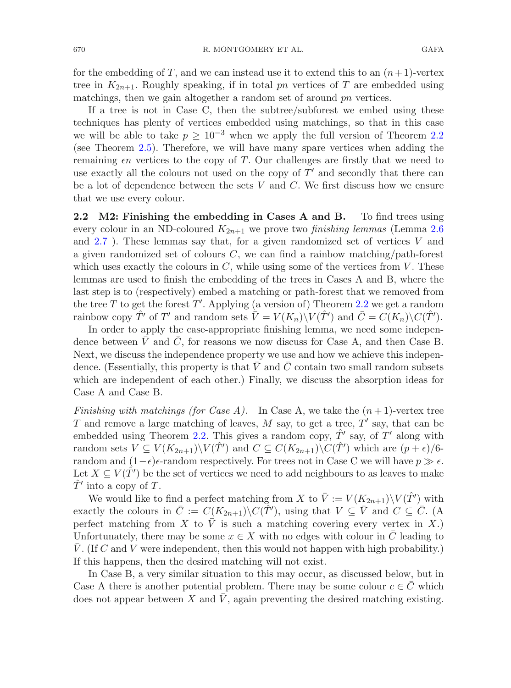for the embedding of T, and we can instead use it to extend this to an  $(n+1)$ -vertex tree in  $K_{2n+1}$ . Roughly speaking, if in total pn vertices of T are embedded using matchings, then we gain altogether a random set of around pn vertices.

If a tree is not in Case C, then the subtree/subforest we embed using these techniques has plenty of vertices embedded using matchings, so that in this case we will be able to take  $p > 10^{-3}$  when we apply the full version of Theorem [2.2](#page-5-1) (see Theorem [2.5\)](#page-12-1). Therefore, we will have many spare vertices when adding the remaining  $\epsilon n$  vertices to the copy of T. Our challenges are firstly that we need to use exactly all the colours not used on the copy of  $T'$  and secondly that there can be a lot of dependence between the sets  $V$  and  $C$ . We first discuss how we ensure that we use every colour.

<span id="page-7-0"></span>**2.2 M2: Finishing the embedding in Cases A and B.** To find trees using every colour in an ND-coloured  $K_{2n+1}$  we prove two *finishing lemmas* (Lemma [2.6](#page-13-0)) and  $2.7$ ). These lemmas say that, for a given randomized set of vertices V and a given randomized set of colours  $C$ , we can find a rainbow matching/path-forest which uses exactly the colours in  $C$ , while using some of the vertices from  $V$ . These lemmas are used to finish the embedding of the trees in Cases A and B, where the last step is to (respectively) embed a matching or path-forest that we removed from the tree T to get the forest T'. Applying (a version of) Theorem [2.2](#page-5-1) we get a random rainbow copy  $\hat{T'}$  of  $T'$  and random sets  $\bar{V} = V(K_n) \backslash V(\hat{T}')$  and  $\bar{C} = C(K_n) \backslash C(\hat{T}')$ .

In order to apply the case-appropriate finishing lemma, we need some independence between V and C, for reasons we now discuss for Case A, and then Case B. Next, we discuss the independence property we use and how we achieve this independence. (Essentially, this property is that  $V$  and  $C$  contain two small random subsets which are independent of each other.) Finally, we discuss the absorption ideas for Case A and Case B.

*Finishing with matchings (for Case A).* In Case A, we take the  $(n+1)$ -vertex tree T and remove a large matching of leaves,  $M$  say, to get a tree,  $T'$  say, that can be embedded using Theorem [2.2.](#page-5-1) This gives a random copy,  $\hat{T}'$  say, of T' along with random sets  $V \subseteq V(K_{2n+1}) \backslash V(\hat{T}')$  and  $C \subseteq C(K_{2n+1}) \backslash C(\hat{T}')$  which are  $(p+\epsilon)/6$ random and  $(1-\epsilon)\epsilon$ -random respectively. For trees not in Case C we will have  $p \gg \epsilon$ . Let  $X \subseteq V(\hat{T}')$  be the set of vertices we need to add neighbours to as leaves to make  $T'$  into a copy of T.

We would like to find a perfect matching from X to  $\overline{V} := V(K_{2n+1})\backslash V(\hat{T}')$  with exactly the colours in  $\overline{C} := C(K_{2n+1})\backslash C(\hat{T}')$ , using that  $V \subseteq \overline{V}$  and  $C \subseteq \overline{C}$ . (A perfect matching from X to  $\overline{V}$  is such a matching covering every vertex in X.) Unfortunately, there may be some  $x \in X$  with no edges with colour in C leading to V. (If C and V were independent, then this would not happen with high probability.) If this happens, then the desired matching will not exist.

In Case B, a very similar situation to this may occur, as discussed below, but in Case A there is another potential problem. There may be some colour  $c \in C$  which does not appear between  $X$  and  $V$ , again preventing the desired matching existing.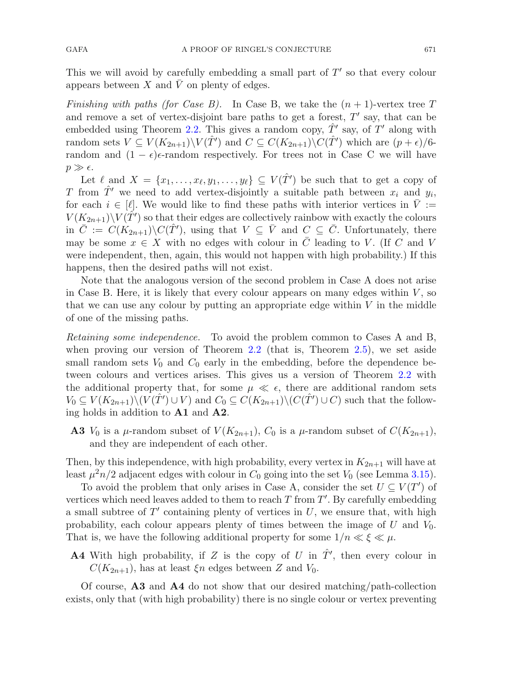This we will avoid by carefully embedding a small part of  $T'$  so that every colour appears between X and  $\overline{V}$  on plenty of edges.

*Finishing with paths (for Case B).* In Case B, we take the  $(n + 1)$ -vertex tree T and remove a set of vertex-disjoint bare paths to get a forest,  $T'$  say, that can be embedded using Theorem [2.2.](#page-5-1) This gives a random copy,  $T'$  say, of T' along with random sets  $V \subseteq V(K_{2n+1}) \backslash V(\hat{T}')$  and  $C \subseteq C(K_{2n+1}) \backslash C(\hat{T}')$  which are  $(p+\epsilon)/6$ random and  $(1 - \epsilon)\epsilon$ -random respectively. For trees not in Case C we will have  $p \gg \epsilon$ .

Let  $\ell$  and  $X = \{x_1, \ldots, x_{\ell}, y_1, \ldots, y_{\ell}\} \subseteq V(\hat{T}')$  be such that to get a copy of T from  $\hat{T}'$  we need to add vertex-disjointly a suitable path between  $x_i$  and  $y_i$ , for each  $i \in [\ell]$ . We would like to find these paths with interior vertices in  $\overline{V} :=$  $V(K_{2n+1})\backslash V(\hat{T}')$  so that their edges are collectively rainbow with exactly the colours in  $\overline{C} := C(K_{2n+1})\backslash C(\hat{T}')$ , using that  $V \subseteq \overline{V}$  and  $C \subseteq \overline{C}$ . Unfortunately, there may be some  $x \in X$  with no edges with colour in  $\overline{C}$  leading to V. (If C and V were independent, then, again, this would not happen with high probability.) If this happens, then the desired paths will not exist.

Note that the analogous version of the second problem in Case A does not arise in Case B. Here, it is likely that every colour appears on many edges within  $V$ , so that we can use any colour by putting an appropriate edge within  $V$  in the middle of one of the missing paths.

*Retaining some independence.* To avoid the problem common to Cases A and B, when proving our version of Theorem  $2.2$  (that is, Theorem  $2.5$ ), we set aside small random sets  $V_0$  and  $C_0$  early in the embedding, before the dependence between colours and vertices arises. This gives us a version of Theorem [2.2](#page-5-1) with the additional property that, for some  $\mu \ll \epsilon$ , there are additional random sets  $V_0 \subseteq V(K_{2n+1}) \setminus (V(\hat{T}') \cup V)$  and  $C_0 \subseteq C(K_{2n+1}) \setminus (C(\hat{T}') \cup C)$  such that the following holds in addition to **A1** and **A2**.

**A3**  $V_0$  is a  $\mu$ -random subset of  $V(K_{2n+1}), C_0$  is a  $\mu$ -random subset of  $C(K_{2n+1}),$ and they are independent of each other.

Then, by this independence, with high probability, every vertex in  $K_{2n+1}$  will have at least  $\mu^2 n/2$  adjacent edges with colour in  $C_0$  going into the set  $V_0$  (see Lemma [3.15\)](#page-23-0).

To avoid the problem that only arises in Case A, consider the set  $U \subseteq V(T')$  of vertices which need leaves added to them to reach  $T$  from  $T'$ . By carefully embedding a small subtree of  $T'$  containing plenty of vertices in  $U$ , we ensure that, with high probability, each colour appears plenty of times between the image of  $U$  and  $V_0$ . That is, we have the following additional property for some  $1/n \ll \xi \ll \mu$ .

**A4** With high probability, if Z is the copy of U in  $\hat{T}'$ , then every colour in  $C(K_{2n+1})$ , has at least  $\xi n$  edges between Z and  $V_0$ .

Of course, **A3** and **A4** do not show that our desired matching/path-collection exists, only that (with high probability) there is no single colour or vertex preventing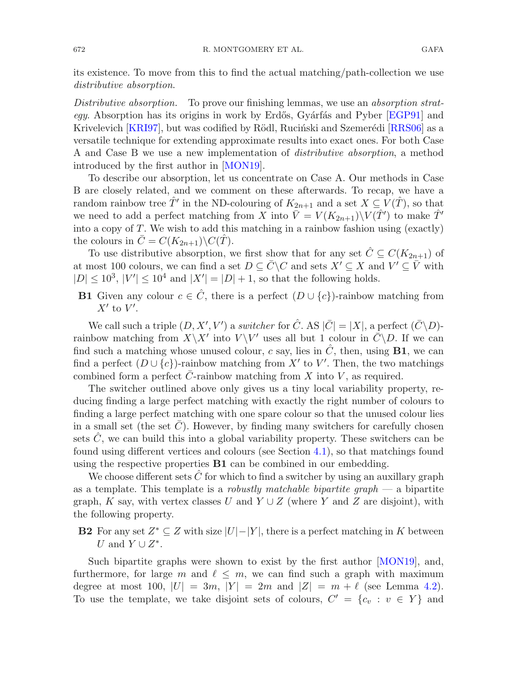its existence. To move from this to find the actual matching/path-collection we use *distributive absorption*.

*Distributive absorption.* To prove our finishing lemmas, we use an *absorption strategy*. Absorption has its origins in work by Erdős, Gyárfás and Pyber [\[EGP91\]](#page-56-15) and Krivelevich [\[KRI97](#page-56-16)], but was codified by Rödl, Ruciński and Szemerédi [\[RRS06](#page-56-13)] as a versatile technique for extending approximate results into exact ones. For both Case A and Case B we use a new implementation of *distributive absorption*, a method introduced by the first author in [\[MON19](#page-56-17)].

To describe our absorption, let us concentrate on Case A. Our methods in Case B are closely related, and we comment on these afterwards. To recap, we have a random rainbow tree  $\hat{T}'$  in the ND-colouring of  $K_{2n+1}$  and a set  $X \subseteq V(\hat{T})$ , so that we need to add a perfect matching from X into  $\bar{V} = V(K_{2n+1})\backslash V(\hat{T}')$  to make  $\hat{T}'$ into a copy of T. We wish to add this matching in a rainbow fashion using (exactly) the colours in  $C = C(K_{2n+1})\backslash C(T)$ .

To use distributive absorption, we first show that for any set  $\hat{C} \subseteq C(K_{2n+1})$  of at most 100 colours, we can find a set  $D \subseteq \overline{C} \backslash C$  and sets  $X' \subseteq X$  and  $V' \subseteq \overline{V}$  with  $|D| \leq 10^3$ ,  $|V'| \leq 10^4$  and  $|X'| = |D| + 1$ , so that the following holds.

**B1** Given any colour  $c \in \hat{C}$ , there is a perfect  $(D \cup \{c\})$ -rainbow matching from  $X'$  to  $V'$ .

We call such a triple  $(D, X', V')$  a *switcher* for  $\hat{C}$ . AS  $|\bar{C}| = |X|$ , a perfect  $(\bar{C}\backslash D)$ rainbow matching from  $X\backslash X'$  into  $V\backslash V'$  uses all but 1 colour in  $\overline{C}\backslash D$ . If we can find such a matching whose unused colour, c say, lies in  $\ddot{C}$ , then, using **B1**, we can find a perfect  $(D \cup \{c\})$ -rainbow matching from X' to V'. Then, the two matchings combined form a perfect  $\overline{C}$ -rainbow matching from X into V, as required.

The switcher outlined above only gives us a tiny local variability property, reducing finding a large perfect matching with exactly the right number of colours to finding a large perfect matching with one spare colour so that the unused colour lies in a small set (the set  $\overline{C}$ ). However, by finding many switchers for carefully chosen sets  $\hat{C}$ , we can build this into a global variability property. These switchers can be found using different vertices and colours (see Section [4.1\)](#page-29-1), so that matchings found using the respective properties **B1** can be combined in our embedding.

We choose different sets  $\hat{C}$  for which to find a switcher by using an auxillary graph as a template. This template is a *robustly matchable bipartite graph* — a bipartite graph, K say, with vertex classes U and  $Y \cup Z$  (where Y and Z are disjoint), with the following property.

**B2** For any set  $Z^* \subseteq Z$  with size  $|U| - |Y|$ , there is a perfect matching in K between U and  $Y \cup Z^*$ .

Such bipartite graphs were shown to exist by the first author [\[MON19\]](#page-56-17), and, furthermore, for large m and  $\ell \leq m$ , we can find such a graph with maximum degree at most 100,  $|U| = 3m$ ,  $|Y| = 2m$  and  $|Z| = m + \ell$  (see Lemma [4.2\)](#page-30-0). To use the template, we take disjoint sets of colours,  $C' = \{c_v : v \in Y\}$  and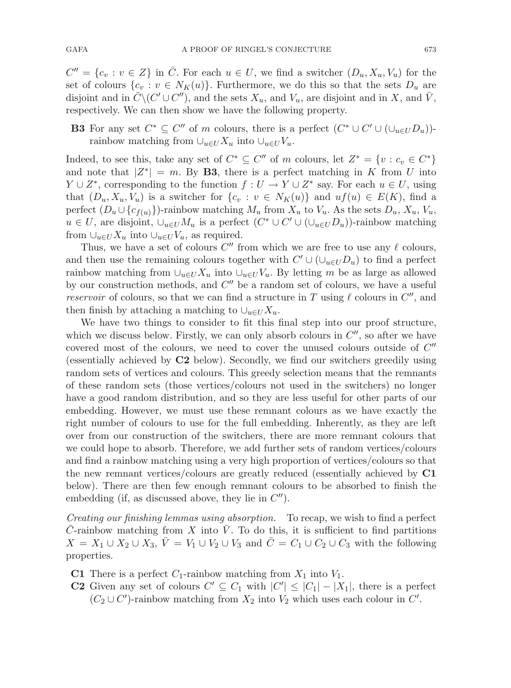$C'' = \{c_v : v \in Z\}$  in  $\overline{C}$ . For each  $u \in U$ , we find a switcher  $(D_u, X_u, V_u)$  for the set of colours  $\{c_v : v \in N_K(u)\}$ . Furthermore, we do this so that the sets  $D_u$  are disjoint and in  $\bar{C}\setminus (C'\cup C'')$ , and the sets  $X_u$ , and  $V_u$ , are disjoint and in X, and  $\bar{V}$ , respectively. We can then show we have the following property.

**B3** For any set  $C^* \subseteq C''$  of m colours, there is a perfect  $(C^* \cup C' \cup (\cup_{u \in U} D_u))$ rainbow matching from  $\cup_{u\in U}X_u$  into  $\cup_{u\in U}V_u$ .

Indeed, to see this, take any set of  $C^* \subseteq C''$  of m colours, let  $Z^* = \{v : c_v \in C^*\}$ and note that  $|Z^*| = m$ . By **B3**, there is a perfect matching in K from U into  $Y \cup Z^*$ , corresponding to the function  $f: U \to Y \cup Z^*$  say. For each  $u \in U$ , using that  $(D_u, X_u, V_u)$  is a switcher for  $\{c_v : v \in N_K(u)\}\$  and  $uf(u) \in E(K)$ , find a perfect  $(D_u \cup \{c_{f(u)}\})$ -rainbow matching  $M_u$  from  $X_u$  to  $V_u$ . As the sets  $D_u$ ,  $X_u$ ,  $V_u$ ,  $u \in U$ , are disjoint,  $\cup_{u \in U} M_u$  is a perfect  $(C^* \cup C' \cup (\cup_{u \in U} D_u))$ -rainbow matching from  $\cup_{u\in U} X_u$  into  $\cup_{u\in U} V_u$ , as required.

Thus, we have a set of colours  $C''$  from which we are free to use any  $\ell$  colours, and then use the remaining colours together with  $C' \cup (\cup_{u \in U} D_u)$  to find a perfect rainbow matching from  $\cup_{u\in U}X_u$  into  $\cup_{u\in U}V_u$ . By letting m be as large as allowed by our construction methods, and  $C''$  be a random set of colours, we have a useful *reservoir* of colours, so that we can find a structure in T using  $\ell$  colours in  $C''$ , and then finish by attaching a matching to  $\cup_{u\in U}X_u$ .

We have two things to consider to fit this final step into our proof structure, which we discuss below. Firstly, we can only absorb colours in  $C''$ , so after we have covered most of the colours, we need to cover the unused colours outside of  $C''$ (essentially achieved by **C2** below). Secondly, we find our switchers greedily using random sets of vertices and colours. This greedy selection means that the remnants of these random sets (those vertices/colours not used in the switchers) no longer have a good random distribution, and so they are less useful for other parts of our embedding. However, we must use these remnant colours as we have exactly the right number of colours to use for the full embedding. Inherently, as they are left over from our construction of the switchers, there are more remnant colours that we could hope to absorb. Therefore, we add further sets of random vertices/colours and find a rainbow matching using a very high proportion of vertices/colours so that the new remnant vertices/colours are greatly reduced (essentially achieved by **C1** below). There are then few enough remnant colours to be absorbed to finish the embedding (if, as discussed above, they lie in  $C''$ ).

*Creating our finishing lemmas using absorption.* To recap, we wish to find a perfect  $C$ -rainbow matching from  $X$  into  $V$ . To do this, it is sufficient to find partitions  $X = X_1 \cup X_2 \cup X_3$ ,  $V = V_1 \cup V_2 \cup V_3$  and  $C = C_1 \cup C_2 \cup C_3$  with the following properties.

- **C1** There is a perfect  $C_1$ -rainbow matching from  $X_1$  into  $V_1$ .
- **C2** Given any set of colours  $C' \subseteq C_1$  with  $|C'| \leq |C_1| |X_1|$ , there is a perfect  $(C_2 \cup C')$ -rainbow matching from  $X_2$  into  $V_2$  which uses each colour in  $C'$ .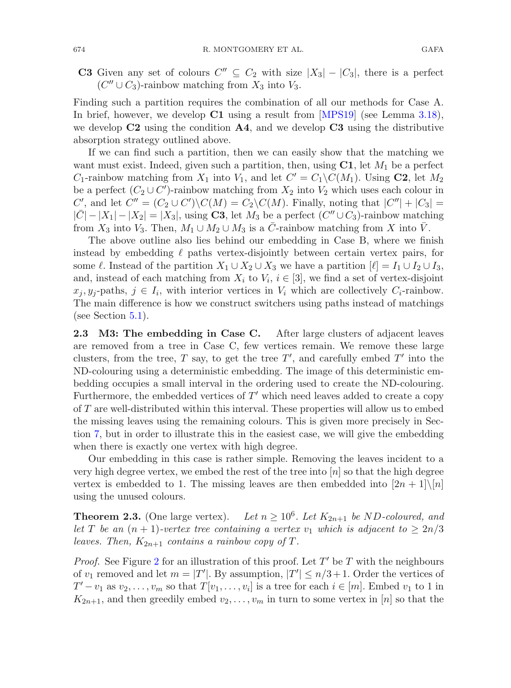**C3** Given any set of colours  $C'' \subseteq C_2$  with size  $|X_3| - |C_3|$ , there is a perfect  $(C'' \cup C_3)$ -rainbow matching from  $X_3$  into  $V_3$ .

Finding such a partition requires the combination of all our methods for Case A. In brief, however, we develop **C1** using a result from [\[MPS19\]](#page-56-14) (see Lemma [3.18\)](#page-24-0), we develop **C2** using the condition **A4**, and we develop **C3** using the distributive absorption strategy outlined above.

If we can find such a partition, then we can easily show that the matching we want must exist. Indeed, given such a partition, then, using  $C1$ , let  $M_1$  be a perfect  $C_1$ -rainbow matching from  $X_1$  into  $V_1$ , and let  $C' = C_1 \setminus C(M_1)$ . Using **C2**, let  $M_2$ be a perfect  $(C_2 \cup C')$ -rainbow matching from  $X_2$  into  $V_2$  which uses each colour in  $C'$ , and let  $C'' = (C_2 \cup C') \setminus C(M) = C_2 \setminus C(M)$ . Finally, noting that  $|C''| + |C_3| =$  $|\bar{C}|-|X_1|-|X_2|=|X_3|$ , using **C3**, let  $M_3$  be a perfect  $(C''\cup C_3)$ -rainbow matching from  $X_3$  into  $V_3$ . Then,  $M_1 \cup M_2 \cup M_3$  is a  $\overline{C}$ -rainbow matching from X into  $\overline{V}$ .

The above outline also lies behind our embedding in Case B, where we finish instead by embedding  $\ell$  paths vertex-disjointly between certain vertex pairs, for some  $\ell$ . Instead of the partition  $X_1 \cup X_2 \cup X_3$  we have a partition  $[\ell] = I_1 \cup I_2 \cup I_3$ , and, instead of each matching from  $X_i$  to  $V_i$ ,  $i \in [3]$ , we find a set of vertex-disjoint  $x_j, y_j$ -paths,  $j \in I_i$ , with interior vertices in  $V_i$  which are collectively  $C_i$ -rainbow. The main difference is how we construct switchers using paths instead of matchings (see Section [5.1\)](#page-35-0).

<span id="page-11-0"></span>**2.3** M3: The embedding in Case C. After large clusters of adjacent leaves are removed from a tree in Case C, few vertices remain. We remove these large clusters, from the tree,  $T$  say, to get the tree  $T'$ , and carefully embed  $T'$  into the ND-colouring using a deterministic embedding. The image of this deterministic embedding occupies a small interval in the ordering used to create the ND-colouring. Furthermore, the embedded vertices of  $T'$  which need leaves added to create a copy of T are well-distributed within this interval. These properties will allow us to embed the missing leaves using the remaining colours. This is given more precisely in Section [7,](#page-50-0) but in order to illustrate this in the easiest case, we will give the embedding when there is exactly one vertex with high degree.

Our embedding in this case is rather simple. Removing the leaves incident to a very high degree vertex, we embed the rest of the tree into  $[n]$  so that the high degree vertex is embedded to 1. The missing leaves are then embedded into  $[2n+1]\backslash[n]$ using the unused colours.

<span id="page-11-1"></span>**Theorem 2.3.** (One large vertex). Let  $n \geq 10^6$ . Let  $K_{2n+1}$  be ND-coloured, and *let* T *be an*  $(n + 1)$ *-vertex tree containing a vertex*  $v_1$  *which is adjacent to*  $\geq 2n/3$ *leaves. Then,*  $K_{2n+1}$  *contains a rainbow copy of T.* 

*Proof.* See Figure [2](#page-12-2) for an illustration of this proof. Let  $T'$  be  $T$  with the neighbours of  $v_1$  removed and let  $m = |T'|$ . By assumption,  $|T'| \le n/3 + 1$ . Order the vertices of  $T'-v_1$  as  $v_2,\ldots,v_m$  so that  $T[v_1,\ldots,v_i]$  is a tree for each  $i\in[m]$ . Embed  $v_1$  to 1 in  $K_{2n+1}$ , and then greedily embed  $v_2,\ldots,v_m$  in turn to some vertex in [n] so that the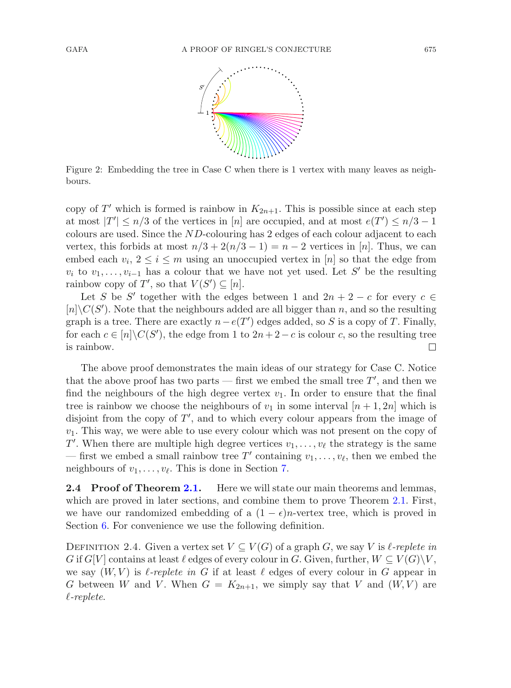

<span id="page-12-2"></span>Figure 2: Embedding the tree in Case C when there is 1 vertex with many leaves as neighbours.

copy of T' which is formed is rainbow in  $K_{2n+1}$ . This is possible since at each step at most  $|T'| \leq n/3$  of the vertices in [n] are occupied, and at most  $e(T') \leq n/3 - 1$ colours are used. Since the ND-colouring has 2 edges of each colour adjacent to each vertex, this forbids at most  $n/3 + 2(n/3 - 1) = n - 2$  vertices in [n]. Thus, we can embed each  $v_i, 2 \leq i \leq m$  using an unoccupied vertex in [n] so that the edge from  $v_i$  to  $v_1, \ldots, v_{i-1}$  has a colour that we have not yet used. Let S' be the resulting rainbow copy of  $T'$ , so that  $V(S') \subseteq [n]$ .

Let S be S' together with the edges between 1 and  $2n + 2 - c$  for every  $c \in$  $[n]\backslash C(S')$ . Note that the neighbours added are all bigger than n, and so the resulting graph is a tree. There are exactly  $n-e(T')$  edges added, so S is a copy of T. Finally, for each  $c \in [n] \backslash C(S')$ , the edge from 1 to  $2n + 2 - c$  is colour c, so the resulting tree is rainbow.

The above proof demonstrates the main ideas of our strategy for Case C. Notice that the above proof has two parts — first we embed the small tree  $T'$ , and then we find the neighbours of the high degree vertex  $v_1$ . In order to ensure that the final tree is rainbow we choose the neighbours of  $v_1$  in some interval  $[n+1, 2n]$  which is disjoint from the copy of  $T'$ , and to which every colour appears from the image of  $v_1$ . This way, we were able to use every colour which was not present on the copy of T'. When there are multiple high degree vertices  $v_1, \ldots, v_\ell$  the strategy is the same — first we embed a small rainbow tree T' containing  $v_1, \ldots, v_\ell$ , then we embed the neighbours of  $v_1, \ldots, v_\ell$ . This is done in Section [7.](#page-50-0)

<span id="page-12-0"></span>**2.4 Proof of Theorem [2.1.](#page-4-0)** Here we will state our main theorems and lemmas, which are proved in later sections, and combine them to prove Theorem [2.1.](#page-4-0) First, we have our randomized embedding of a  $(1 - \epsilon)n$ -vertex tree, which is proved in Section [6.](#page-44-0) For convenience we use the following definition.

<span id="page-12-1"></span>DEFINITION 2.4. Given a vertex set  $V \subseteq V(G)$  of a graph G, we say V is  $\ell$ -replete in G if  $G[V]$  contains at least  $\ell$  edges of every colour in G. Given, further,  $W \subseteq V(G)\backslash V$ , we say  $(W, V)$  is  $\ell$ -replete in G if at least  $\ell$  edges of every colour in G appear in G between W and V. When  $G = K_{2n+1}$ , we simply say that V and  $(W, V)$  are *-replete*.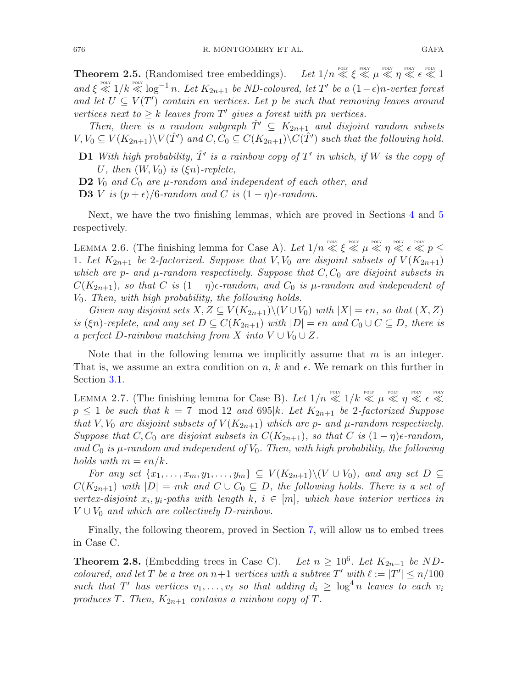**Theorem 2.5.** (Randomised tree embeddings). *Let*  $1/n \ll \xi \ll \mu \ll \eta \ll \epsilon \ll 1$  $and \xi \ll 1/k \ll 1/\kappa^{p_{\text{olW}}} \log^{-1} n$ . Let  $K_{2n+1}$  be ND-coloured, let T' be a  $(1-\epsilon)n$ -vertex forest and let  $U \subseteq V(T')$  *contain* on *vertices. Let* p *be such that removing leaves around vertices next to*  $\geq k$  *leaves from*  $T'$  *gives a forest with pn vertices.* 

*Then, there is a random subgraph*  $\hat{T}' \subseteq K_{2n+1}$  *and disjoint random subsets*  $V, V_0 \subseteq V(K_{2n+1}) \backslash V(\hat{T}')$  and  $C, C_0 \subseteq C(K_{2n+1}) \backslash C(\hat{T}')$  such that the following hold.

**D1** *With high probability,*  $\hat{T}'$  *is a rainbow copy of*  $T'$  *in which, if*  $W$  *is the copy of* U, then  $(W, V_0)$  is  $(\xi n)$ -replete,

**D2**  $V_0$  *and*  $C_0$  *are*  $\mu$ -random and independent of each other, and

**D3** *V is*  $(p+\epsilon)/6$ *-random and C is*  $(1 - \eta)\epsilon$ *-random.* 

<span id="page-13-0"></span>Next, we have the two finishing lemmas, which are proved in Sections [4](#page-29-0) and [5](#page-34-0) respectively.

LEMMA 2.6. (The finishing lemma for Case A). Let  $1/n \ll \xi \ll \mu \ll \eta \ll \epsilon \ll p \le$ 1*. Let*  $K_{2n+1}$  *be* 2-factorized. Suppose that  $V, V_0$  are disjoint subsets of  $V(K_{2n+1})$ *which are p- and*  $\mu$ *-random respectively. Suppose that*  $C$ ,  $C_0$  *are disjoint subsets in*  $C(K_{2n+1})$ *, so that* C *is*  $(1 - \eta)\epsilon$ -random, and  $C_0$  *is*  $\mu$ -random and independent of V0*. Then, with high probability, the following holds.*

*Given any disjoint sets*  $X, Z \subseteq V(K_{2n+1})\setminus (V \cup V_0)$  *with*  $|X| = \epsilon n$ , so that  $(X, Z)$ *is* ( $\xi$ n)-replete, and any set  $D \subseteq C(K_{2n+1})$  with  $|D| = \epsilon n$  and  $C_0 \cup C \subseteq D$ , there is *a perfect* D-rainbow matching from X into  $V \cup V_0 \cup Z$ .

Note that in the following lemma we implicitly assume that  $m$  is an integer. That is, we assume an extra condition on n, k and  $\epsilon$ . We remark on this further in Section [3.1.](#page-15-1)

<span id="page-13-1"></span>LEMMA 2.7. (The finishing lemma for Case B). Let  $1/n \ll 1/k \ll \mu \ll \eta \ll \epsilon \ll$  $p \leq 1$  *be such that*  $k = 7 \mod 12$  *and* 695 $|k|$ *. Let*  $K_{2n+1}$  *be* 2-factorized Suppose *that*  $V, V_0$  *are disjoint subsets of*  $V(K_{2n+1})$  *which are p- and*  $\mu$ *-random respectively. Suppose that*  $C, C_0$  *are disjoint subsets in*  $C(K_{2n+1})$ *, so that*  $C$  *is*  $(1 - \eta)\epsilon$ -random, and  $C_0$  *is*  $\mu$ -random and independent of  $V_0$ . Then, with high probability, the following *holds with*  $m = \epsilon n/k$ .

*For any set*  $\{x_1, \ldots, x_m, y_1, \ldots, y_m\} \subseteq V(K_{2n+1})\setminus (V \cup V_0)$ *, and any set*  $D \subseteq$  $C(K_{2n+1})$  *with*  $|D| = mk$  *and*  $C \cup C_0 \subseteq D$ *, the following holds. There is a set of vertex-disjoint*  $x_i, y_i$ -paths with length  $k, i \in [m]$ , which have interior vertices in  $V \cup V_0$  *and which are collectively D-rainbow.* 

<span id="page-13-2"></span>Finally, the following theorem, proved in Section [7,](#page-50-0) will allow us to embed trees in Case C.

**Theorem 2.8.** (Embedding trees in Case C). Let  $n \geq 10^6$ . Let  $K_{2n+1}$  be ND*coloured, and let* T *be a tree on*  $n+1$  *vertices with a subtree*  $T'$  *with*  $\ell := |T'| \leq n/100$ *such that*  $T'$  *has vertices*  $v_1, \ldots, v_\ell$  *so that adding*  $d_i \geq \log^4 n$  *leaves to each*  $v_i$ produces T. Then,  $K_{2n+1}$  *contains a rainbow copy of* T.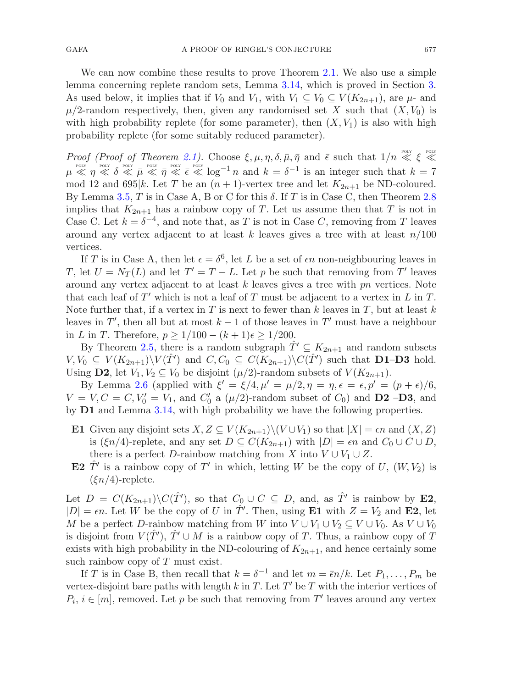We can now combine these results to prove Theorem [2.1.](#page-4-0) We also use a simple lemma concerning replete random sets, Lemma [3.14,](#page-22-0) which is proved in Section [3.](#page-15-0) As used below, it implies that if  $V_0$  and  $V_1$ , with  $V_1 \subseteq V_0 \subseteq V(K_{2n+1})$ , are  $\mu$ - and  $\mu/2$ -random respectively, then, given any randomised set X such that  $(X, V_0)$  is with high probability replete (for some parameter), then  $(X, V_1)$  is also with high probability replete (for some suitably reduced parameter).

*Proof (Proof of Theorem [2.1\)](#page-4-0).* Choose  $\xi, \mu, \eta, \delta, \bar{\mu}, \bar{\eta}$  and  $\bar{\epsilon}$  such that  $1/n \ll \xi \ll$  $\mu \ll \eta \ll \delta \ll \bar{\mu} \ll \bar{\eta} \ll \bar{\epsilon} \ll \log^{-1} n$  and  $k = \delta^{-1}$  is an integer such that  $k = 7$ mod 12 and 695|k. Let T be an  $(n + 1)$ -vertex tree and let  $K_{2n+1}$  be ND-coloured. By Lemma [3.5,](#page-18-0) T is in Case A, B or C for this  $\delta$ . If T is in Case C, then Theorem [2.8](#page-13-2) implies that  $K_{2n+1}$  has a rainbow copy of T. Let us assume then that T is not in Case C. Let  $k = \delta^{-4}$ , and note that, as T is not in Case C, removing from T leaves around any vertex adjacent to at least k leaves gives a tree with at least  $n/100$ vertices.

If T is in Case A, then let  $\epsilon = \delta^6$ , let L be a set of  $\epsilon n$  non-neighbouring leaves in T, let  $U = N_T(L)$  and let  $T' = T - L$ . Let p be such that removing from T' leaves around any vertex adjacent to at least  $k$  leaves gives a tree with  $pn$  vertices. Note that each leaf of  $T'$  which is not a leaf of T must be adjacent to a vertex in L in T. Note further that, if a vertex in T is next to fewer than k leaves in T, but at least k leaves in  $T'$ , then all but at most  $k - 1$  of those leaves in  $T'$  must have a neighbour in L in T. Therefore,  $p > 1/100 - (k+1)\epsilon > 1/200$ .

By Theorem [2.5,](#page-12-1) there is a random subgraph  $\hat{T}' \subseteq K_{2n+1}$  and random subsets  $V, V_0 \subseteq V(K_{2n+1}) \backslash V(\hat{T}')$  and  $C, C_0 \subseteq C(K_{2n+1}) \backslash C(\hat{T}')$  such that **D1–D3** hold. Using **D2**, let  $V_1, V_2 \subseteq V_0$  be disjoint  $(\mu/2)$ -random subsets of  $V(K_{2n+1})$ .

By Lemma [2.6](#page-13-0) (applied with  $\xi' = \xi/4$ ,  $\mu' = \mu/2$ ,  $\eta = \eta$ ,  $\epsilon = \epsilon$ ,  $p' = (p + \epsilon)/6$ ,  $V = V, C = C, V'_0 = V_1$ , and  $C'_0$  a  $(\mu/2)$ -random subset of  $C_0$ ) and **D2** –**D3**, and by **D1** and Lemma [3.14,](#page-22-0) with high probability we have the following properties.

- **E1** Given any disjoint sets  $X, Z \subseteq V(K_{2n+1})\setminus (V \cup V_1)$  so that  $|X| = \epsilon n$  and  $(X, Z)$ is  $(\xi n/4)$ -replete, and any set  $D \subseteq C(K_{2n+1})$  with  $|D| = \epsilon n$  and  $C_0 \cup C \cup D$ , there is a perfect D-rainbow matching from X into  $V \cup V_1 \cup Z$ .
- **E2**  $\hat{T}'$  is a rainbow copy of T' in which, letting W be the copy of U,  $(W, V_2)$  is  $(\xi n/4)$ -replete.

Let  $D = C(K_{2n+1}) \backslash C(\hat{T}')$ , so that  $C_0 \cup C \subseteq D$ , and, as  $\hat{T}'$  is rainbow by **E2**,  $|D| = \epsilon n$ . Let W be the copy of U in  $\hat{T}'$ . Then, using **E1** with  $Z = V_2$  and **E2**, let M be a perfect D-rainbow matching from W into  $V \cup V_1 \cup V_2 \subseteq V \cup V_0$ . As  $V \cup V_0$ is disjoint from  $V(\hat{T}')$ ,  $\hat{T}' \cup M$  is a rainbow copy of T. Thus, a rainbow copy of T exists with high probability in the ND-colouring of  $K_{2n+1}$ , and hence certainly some such rainbow copy of  $T$  must exist.

If T is in Case B, then recall that  $k = \delta^{-1}$  and let  $m = \overline{\epsilon}n/k$ . Let  $P_1, \ldots, P_m$  be vertex-disjoint bare paths with length k in T. Let  $T'$  be T with the interior vertices of  $P_i, i \in [m]$ , removed. Let p be such that removing from T' leaves around any vertex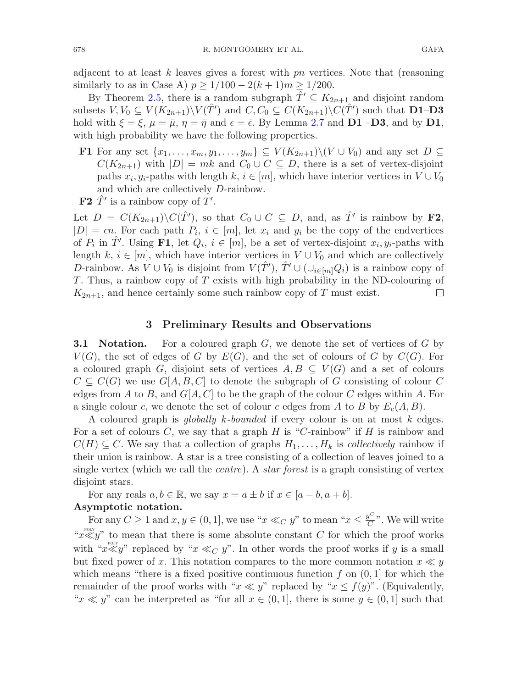adjacent to at least k leaves gives a forest with  $pn$  vertices. Note that (reasoning similarly to as in Case A)  $p \ge 1/100 - 2(k+1)m \ge 1/200$ .

By Theorem [2.5,](#page-12-1) there is a random subgraph  $\hat{T}' \subseteq K_{2n+1}$  and disjoint random subsets  $V, V_0 \subseteq V(K_{2n+1}) \setminus V(\hat{T}')$  and  $C, C_0 \subseteq C(K_{2n+1}) \setminus C(\hat{T}')$  such that **D1-D3** hold with  $\xi = \xi$ ,  $\mu = \bar{\mu}$ ,  $\eta = \bar{\eta}$  and  $\epsilon = \bar{\epsilon}$ . By Lemma [2.7](#page-13-1) and **D1** –**D3**, and by **D1**, with high probability we have the following properties.

**F1** For any set  $\{x_1,\ldots,x_m,y_1,\ldots,y_m\} \subseteq V(K_{2n+1})\setminus (V\cup V_0)$  and any set  $D \subseteq$  $C(K_{2n+1})$  with  $|D| = mk$  and  $C_0 \cup C \subseteq D$ , there is a set of vertex-disjoint paths  $x_i, y_i$ -paths with length k,  $i \in [m]$ , which have interior vertices in  $V \cup V_0$ and which are collectively D-rainbow.

**F2**  $\hat{T}'$  is a rainbow copy of  $T'$ .

Let  $D = C(K_{2n+1}) \backslash C(\hat{T}')$ , so that  $C_0 \cup C \subseteq D$ , and, as  $\hat{T}'$  is rainbow by **F2**,  $|D| = \epsilon n$ . For each path  $P_i$ ,  $i \in [m]$ , let  $x_i$  and  $y_i$  be the copy of the endvertices of  $P_i$  in  $\hat{T}'$ . Using **F1**, let  $Q_i$ ,  $i \in [m]$ , be a set of vertex-disjoint  $x_i, y_i$ -paths with length k,  $i \in [m]$ , which have interior vertices in  $V \cup V_0$  and which are collectively D-rainbow. As  $V \cup V_0$  is disjoint from  $V(\hat{T}'), \hat{T}' \cup (\cup_{i \in [m]} Q_i)$  is a rainbow copy of T. Thus, a rainbow copy of T exists with high probability in the ND-colouring of  $K_{2n+1}$ , and hence certainly some such rainbow copy of T must exist.  $\Box$ 

## **3 Preliminary Results and Observations**

<span id="page-15-1"></span><span id="page-15-0"></span>**3.1 Notation.** For a coloured graph G, we denote the set of vertices of G by  $V(G)$ , the set of edges of G by  $E(G)$ , and the set of colours of G by  $C(G)$ . For a coloured graph G, disjoint sets of vertices  $A, B \subseteq V(G)$  and a set of colours  $C \subseteq C(G)$  we use  $G[A, B, C]$  to denote the subgraph of G consisting of colour C edges from A to B, and  $G[A, C]$  to be the graph of the colour C edges within A. For a single colour c, we denote the set of colour c edges from A to B by  $E_c(A, B)$ .

A coloured graph is *globally* k*-bounded* if every colour is on at most k edges. For a set of colours C, we say that a graph  $H$  is "C-rainbow" if  $H$  is rainbow and  $C(H) \subseteq C$ . We say that a collection of graphs  $H_1, \ldots, H_k$  is *collectively* rainbow if their union is rainbow. A star is a tree consisting of a collection of leaves joined to a single vertex (which we call the *centre*). A *star forest* is a graph consisting of vertex disjoint stars.

For any reals  $a, b \in \mathbb{R}$ , we say  $x = a \pm b$  if  $x \in [a - b, a + b]$ . **Asymptotic notation.**

For any  $C \geq 1$  and  $x, y \in (0, 1]$ , we use " $x \ll_C y$ " to mean " $x \leq \frac{y^C}{C}$ ". We will write " $x \ll y$ " to mean that there is some absolute constant C for which the proof works with " $x \ll y$ " replaced by " $x \ll_C y$ ". In other words the proof works if y is a small but fixed power of x. This notation compares to the more common notation  $x \ll y$ which means "there is a fixed positive continuous function  $f$  on  $(0, 1]$  for which the remainder of the proof works with " $x \ll y$ " replaced by " $x \leq f(y)$ ". (Equivalently, " $x \ll y$ " can be interpreted as "for all  $x \in (0,1]$ , there is some  $y \in (0,1]$  such that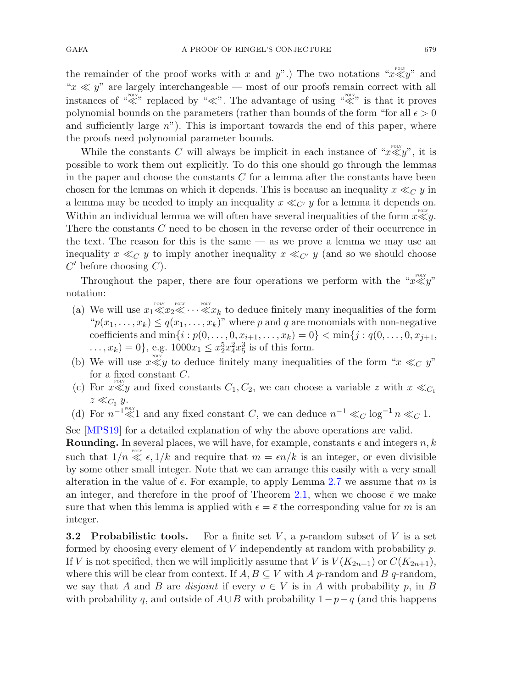the remainder of the proof works with x and y".) The two notations " $x \ll y$ " and " $x \ll y$ " are largely interchangeable — most of our proofs remain correct with all instances of " $\ll$ " replaced by " $\ll$ ". The advantage of using " $\ll$ " is that it proves polynomial bounds on the parameters (rather than bounds of the form "for all  $\epsilon > 0$ and sufficiently large  $n$ "). This is important towards the end of this paper, where the proofs need polynomial parameter bounds.

While the constants C will always be implicit in each instance of " $x \ll y$ ", it is possible to work them out explicitly. To do this one should go through the lemmas in the paper and choose the constants  $C$  for a lemma after the constants have been chosen for the lemmas on which it depends. This is because an inequality  $x \ll_C y$  in a lemma may be needed to imply an inequality  $x \ll_{C'} y$  for a lemma it depends on. Within an individual lemma we will often have several inequalities of the form  $x \ll y$ . There the constants C need to be chosen in the reverse order of their occurrence in the text. The reason for this is the same  $\sim$  as we prove a lemma we may use an inequality  $x \ll_C y$  to imply another inequality  $x \ll_{C'} y$  (and so we should choose  $C'$  before choosing  $C$ ).

Throughout the paper, there are four operations we perform with the " $x \ll y$ " notation:

- (a) We will use  $x_1 \ll x_2 \ll \cdots \ll x_k$  to deduce finitely many inequalities of the form  $\mathcal{L}(x_1,\ldots,x_k) \leq q(x_1,\ldots,x_k)$ " where p and q are monomials with non-negative coefficients and  $\min\{i : p(0,\ldots,0,x_{i+1},\ldots,x_k)=0\} < \min\{j : q(0,\ldots,0,x_{j+1},\ldots,x_k)\}$  $(x_1, x_k) = 0$ , e.g.  $1000x_1 \leq x_2^5 x_4^2 x_5^3$  is of this form.
- (b) We will use  $x \ll y$  to deduce finitely many inequalities of the form " $x \ll_C y$ " for a fixed constant C.
- (c) For  $x \ll y$  and fixed constants  $C_1, C_2$ , we can choose a variable z with  $x \ll_{C_1} C_2$  $z \ll_{C_2} y$ .
- (d) For  $n^{-1} \ll 1$  and any fixed constant C, we can deduce  $n^{-1} \ll_C \log^{-1} n \ll_C 1$ .

See [\[MPS19](#page-56-14)] for a detailed explanation of why the above operations are valid.

**Rounding.** In several places, we will have, for example, constants  $\epsilon$  and integers  $n, k$ such that  $1/n \ll \epsilon, 1/k$  and require that  $m = \epsilon n/k$  is an integer, or even divisible by some other small integer. Note that we can arrange this easily with a very small alteration in the value of  $\epsilon$ . For example, to apply Lemma [2.7](#page-13-1) we assume that m is an integer, and therefore in the proof of Theorem [2.1,](#page-4-0) when we choose  $\bar{\epsilon}$  we make sure that when this lemma is applied with  $\epsilon = \bar{\epsilon}$  the corresponding value for m is an integer.

<span id="page-16-0"></span>**3.2 Probabilistic tools.** For a finite set  $V$ , a p-random subset of  $V$  is a set formed by choosing every element of V independently at random with probability  $p$ . If V is not specified, then we will implicitly assume that V is  $V(K_{2n+1})$  or  $C(K_{2n+1}),$ where this will be clear from context. If  $A, B \subseteq V$  with A p-random and B q-random, we say that A and B are *disjoint* if every  $v \in V$  is in A with probability p, in B with probability q, and outside of  $A\cup B$  with probability  $1-p-q$  (and this happens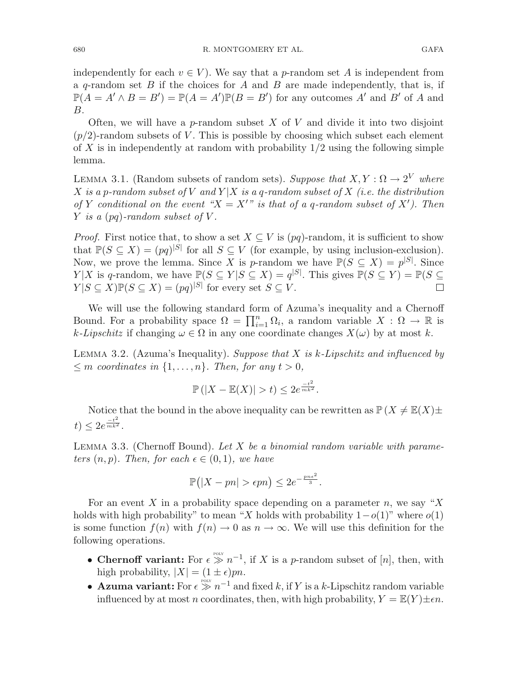independently for each  $v \in V$ ). We say that a p-random set A is independent from a q-random set B if the choices for A and B are made independently, that is, if  $\mathbb{P}(A = A' \wedge B = B') = \mathbb{P}(A = A')\mathbb{P}(B = B')$  for any outcomes A' and B' of A and B.

Often, we will have a p-random subset X of V and divide it into two disjoint  $(p/2)$ -random subsets of V. This is possible by choosing which subset each element of X is in independently at random with probability  $1/2$  using the following simple lemma.

<span id="page-17-2"></span>LEMMA 3.1. (Random subsets of random sets). *Suppose that*  $X, Y : \Omega \to 2^V$  *where* X is a p-random subset of V and  $Y|X$  is a q-random subset of X *(i.e. the distribution of* Y *conditional on the event* " $X = X'$ " *is that of a q-random subset of*  $X'$ *). Then* Y *is a* (pq)*-random subset of* V *.*

*Proof.* First notice that, to show a set  $X \subseteq V$  is (pq)-random, it is sufficient to show that  $\mathbb{P}(S \subseteq X) = (pq)^{|S|}$  for all  $S \subseteq V$  (for example, by using inclusion-exclusion). Now, we prove the lemma. Since X is p-random we have  $\mathbb{P}(S \subseteq X) = p^{|S|}$ . Since  $Y|X$  is q-random, we have  $\mathbb{P}(S \subseteq Y | S \subseteq X) = q^{|S|}$ . This gives  $\mathbb{P}(S \subseteq Y) = \mathbb{P}(S \subseteq Y)$  $Y|S \subseteq X|\mathbb{P}(S \subseteq X) = (pq)^{|S|}$  for every set  $S \subseteq V$ .

We will use the following standard form of Azuma's inequality and a Chernoff Bound. For a probability space  $\Omega = \prod_{i=1}^n \Omega_i$ , a random variable  $X : \Omega \to \mathbb{R}$  is  $k$ -Lipschitz if changing  $\omega \in \Omega$  in any one coordinate changes  $X(\omega)$  by at most k.

<span id="page-17-0"></span>Lemma 3.2. (Azuma's Inequality). *Suppose that* X *is* k*-Lipschitz and influenced by*  $\leq m$  *coordinates in*  $\{1, \ldots, n\}$ *. Then, for any*  $t > 0$ *,* 

$$
\mathbb{P}(|X-\mathbb{E}(X)|>t)\leq 2e^{\frac{-t^2}{mk^2}}.
$$

<span id="page-17-1"></span>Notice that the bound in the above inequality can be rewritten as  $\mathbb{P}(X \neq \mathbb{E}(X) \pm \mathbb{E}(X))$  $t) \leq 2e^{\frac{-t^2}{mk^2}}.$ 

Lemma 3.3. (Chernoff Bound). *Let* X *be a binomial random variable with parameters*  $(n, p)$ *. Then, for each*  $\epsilon \in (0, 1)$ *, we have* 

$$
\mathbb{P}(|X - pn| > \epsilon pn) \le 2e^{-\frac{pn\epsilon^2}{3}}.
$$

For an event X in a probability space depending on a parameter n, we say "X" holds with high probability" to mean "X holds with probability  $1-o(1)$ " where  $o(1)$ is some function  $f(n)$  with  $f(n) \to 0$  as  $n \to \infty$ . We will use this definition for the following operations.

- **Chernoff variant:** For  $\epsilon \gg n^{-1}$ , if X is a p-random subset of [n], then, with high probability,  $|X| = (1 \pm \epsilon)pn$ .
- **Azuma variant:** For  $\epsilon \gg n^{-1}$  and fixed k, if Y is a k-Lipschitz random variable influenced by at most n coordinates, then, with high probability,  $Y = \mathbb{E}(Y) \pm \epsilon n$ .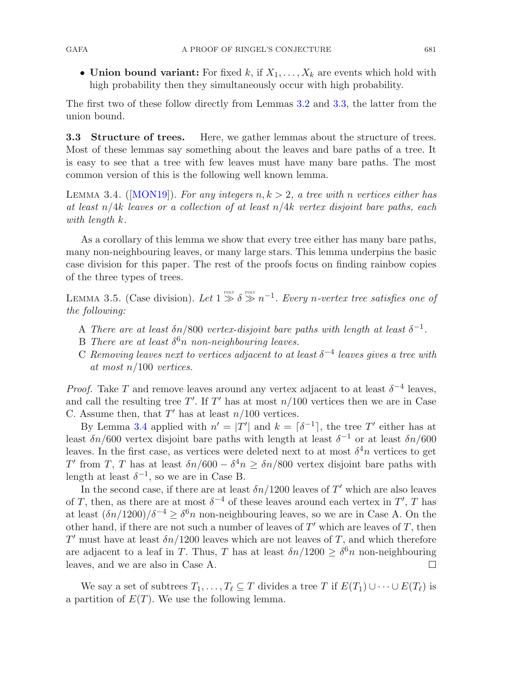• **Union bound variant:** For fixed  $k$ , if  $X_1, \ldots, X_k$  are events which hold with high probability then they simultaneously occur with high probability.

The first two of these follow directly from Lemmas [3.2](#page-17-0) and [3.3,](#page-17-1) the latter from the union bound.

**3.3 Structure of trees.** Here, we gather lemmas about the structure of trees. Most of these lemmas say something about the leaves and bare paths of a tree. It is easy to see that a tree with few leaves must have many bare paths. The most common version of this is the following well known lemma.

<span id="page-18-1"></span>LEMMA 3.4. ( $[MON19]$  $[MON19]$ ). For any integers  $n, k > 2$ , a tree with n vertices either has *at least* n/4k *leaves or a collection of at least* n/4k *vertex disjoint bare paths, each with length* k*.*

As a corollary of this lemma we show that every tree either has many bare paths, many non-neighbouring leaves, or many large stars. This lemma underpins the basic case division for this paper. The rest of the proofs focus on finding rainbow copies of the three types of trees.

LEMMA 3.5. (Case division). Let  $1 \gg \delta \gg n^{-1}$ . Every n-vertex tree satisfies one of *the following:*

- <span id="page-18-0"></span>A *There are at least*  $\delta n/800$  *vertex-disjoint bare paths with length at least*  $\delta^{-1}$ *.*
- B *There are at least*  $\delta^6 n$  *non-neighbouring leaves.*
- C *Removing leaves next to vertices adjacent to at least* δ−<sup>4</sup> *leaves gives a tree with at most* n/100 *vertices.*

*Proof.* Take T and remove leaves around any vertex adjacent to at least  $\delta^{-4}$  leaves, and call the resulting tree T'. If T' has at most  $n/100$  vertices then we are in Case C. Assume then, that  $T'$  has at least  $n/100$  vertices.

By Lemma [3.4](#page-18-1) applied with  $n' = |T'|$  and  $k = \lceil \delta^{-1} \rceil$ , the tree T' either has at least  $\delta n/600$  vertex disjoint bare paths with length at least  $\delta^{-1}$  or at least  $\delta n/600$ leaves. In the first case, as vertices were deleted next to at most  $\delta^4 n$  vertices to get T' from T, T has at least  $\delta n/600 - \delta^4 n \geq \delta n/800$  vertex disjoint bare paths with length at least  $\delta^{-1}$ , so we are in Case B.

In the second case, if there are at least  $\delta n/1200$  leaves of T' which are also leaves of T, then, as there are at most  $\delta^{-4}$  of these leaves around each vertex in T', T has at least  $(\delta n/1200)/\delta^{-4} \geq \delta^6 n$  non-neighbouring leaves, so we are in Case A. On the other hand, if there are not such a number of leaves of  $T'$  which are leaves of  $T$ , then T' must have at least  $\delta n/1200$  leaves which are not leaves of T, and which therefore are adjacent to a leaf in T. Thus, T has at least  $\delta n/1200 \ge \delta^6 n$  non-neighbouring leaves, and we are also in Case A. leaves, and we are also in Case A.

<span id="page-18-2"></span>We say a set of subtrees  $T_1, \ldots, T_\ell \subseteq T$  divides a tree T if  $E(T_1) \cup \cdots \cup E(T_\ell)$  is a partition of  $E(T)$ . We use the following lemma.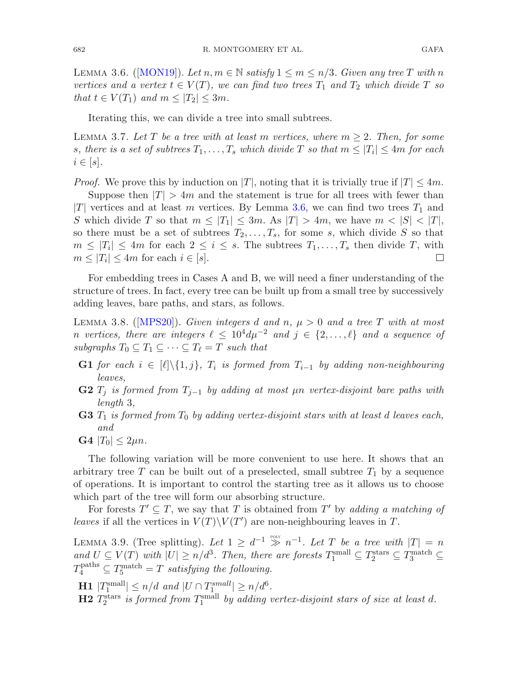LEMMA 3.6. ([\[MON19](#page-56-17)]). Let  $n, m \in \mathbb{N}$  satisfy  $1 \leq m \leq n/3$ . Given any tree T with n *vertices and a vertex*  $t \in V(T)$ *, we can find two trees*  $T_1$  *and*  $T_2$  *which divide*  $T$  *so that*  $t \in V(T_1)$  *and*  $m \leq |T_2| \leq 3m$ *.* 

<span id="page-19-0"></span>Iterating this, we can divide a tree into small subtrees.

LEMMA 3.7. Let T be a tree with at least m vertices, where  $m \geq 2$ . Then, for some s, there is a set of subtrees  $T_1, \ldots, T_s$  which divide T so that  $m \leq |T_i| \leq 4m$  for each  $i \in [s]$ .

*Proof.* We prove this by induction on |T|, noting that it is trivially true if  $|T| \leq 4m$ . Suppose then  $|T| > 4m$  and the statement is true for all trees with fewer than |T| vertices and at least m vertices. By Lemma [3.6,](#page-18-2) we can find two trees  $T_1$  and S which divide T so that  $m \leq |T_1| \leq 3m$ . As  $|T| > 4m$ , we have  $m < |S| < |T|$ , so there must be a set of subtrees  $T_2,\ldots,T_s$ , for some s, which divide S so that  $m \leq |T_i| \leq 4m$  for each  $2 \leq i \leq s$ . The subtrees  $T_1, \ldots, T_s$  then divide  $T$ , with  $m \leq |T_i| \leq 4m$  for each  $i \in [s]$ .  $m \leq |T_i| \leq 4m$  for each  $i \in [s]$ .

<span id="page-19-1"></span>For embedding trees in Cases A and B, we will need a finer understanding of the structure of trees. In fact, every tree can be built up from a small tree by successively adding leaves, bare paths, and stars, as follows.

Lemma 3.8. ([\[MPS20\]](#page-56-12)). *Given integers* d *and* n*,* μ > 0 *and a tree* T *with at most n vertices, there are integers*  $\ell \leq 10^4 d\mu^{-2}$  *and*  $j \in \{2, ..., \ell\}$  *and a sequence of*  $subgraphs T_0 \subseteq T_1 \subseteq \cdots \subseteq T_\ell = T$  *such that* 

- **G1** *for each*  $i \in [\ell] \setminus \{1, j\}$ *,*  $T_i$  *is formed from*  $T_{i-1}$  *by adding non-neighbouring leaves,*
- **G2** <sup>T</sup><sup>j</sup> *is formed from* <sup>T</sup>j−<sup>1</sup> *by adding at most* μn *vertex-disjoint bare paths with length* 3*,*
- **G3** T<sup>1</sup> *is formed from* T<sup>0</sup> *by adding vertex-disjoint stars with at least* d *leaves each, and*
- **G4**  $|T_0| \leq 2\mu n$ .

The following variation will be more convenient to use here. It shows that an arbitrary tree T can be built out of a preselected, small subtree  $T_1$  by a sequence of operations. It is important to control the starting tree as it allows us to choose which part of the tree will form our absorbing structure.

For forests  $T' \subseteq T$ , we say that T is obtained from T' by *adding a matching of leaves* if all the vertices in  $V(T)\backslash V(T')$  are non-neighbouring leaves in T.

<span id="page-19-2"></span>LEMMA 3.9. (Tree splitting). Let  $1 \geq d^{-1} \gg n^{-1}$ . Let T be a tree with  $|T| = n$  $and U \subseteq V(T)$  *with*  $|U| \ge n/d^3$ . Then, there are forests  $T_1^{\text{small}} \subseteq T_2^{\text{stars}} \subseteq T_3^{\text{match}} \subseteq$  $T_4^{\text{paths}} \subseteq T_5^{\text{match}} = T$  *satisfying the following.* 

**H1**  $|T_1^{\text{small}}|$  ≤  $n/d$  *and*  $|U \cap T_1^{\text{small}}|$  ≥  $n/d^6$ *.* 

 $\bf H2$   $T_2^{\text{stars}}$  is formed from  $T_1^{\text{small}}$  by adding vertex-disjoint stars of size at least  $d$ .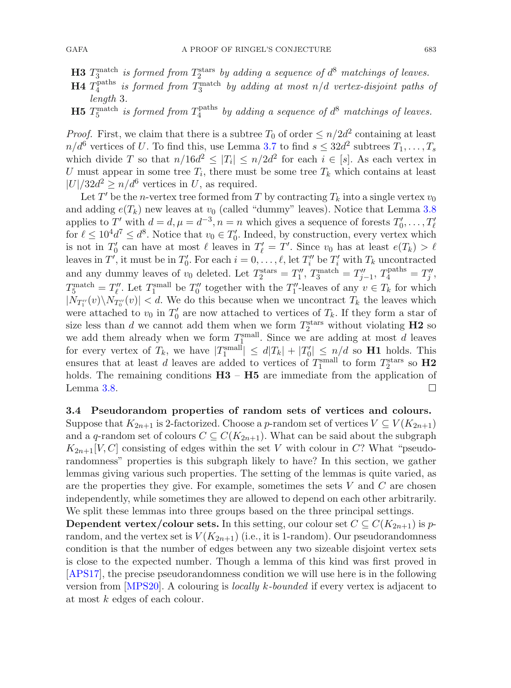- **H3**  $T_3^{\text{match}}$  is formed from  $T_2^{\text{stars}}$  by adding a sequence of  $d^8$  matchings of leaves.
- $\bf H4$   $T_4^{\rm paths}$  is formed from  $T_3^{\rm match}$  by adding at most  $n/d$  vertex-disjoint paths of *length* 3*.*
- $\bf H5$   $T_5^{\rm match}$  is formed from  $T_4^{\rm paths}$  by adding a sequence of  $d^8$  matchings of leaves.

*Proof.* First, we claim that there is a subtree  $T_0$  of order  $\leq n/2d^2$  containing at least  $n/d^6$  vertices of U. To find this, use Lemma [3.7](#page-19-0) to find  $s \leq 32d^2$  subtrees  $T_1, \ldots, T_s$ which divide T so that  $n/16d^2 \leq |T_i| \leq n/2d^2$  for each  $i \in [s]$ . As each vertex in U must appear in some tree  $T_i$ , there must be some tree  $T_k$  which contains at least  $|U|/32d^2 \ge n/d^6$  vertices in U, as required.

Let T' be the n-vertex tree formed from T by contracting  $T_k$  into a single vertex  $v_0$ and adding  $e(T_k)$  new leaves at  $v_0$  (called "dummy" leaves). Notice that Lemma [3.8](#page-19-1) applies to  $T'$  with  $d = d, \mu = d^{-3}, n = n$  which gives a sequence of forests  $T'_0, \ldots, T'_{\ell}$ for  $\ell \leq 10^4 d^7 \leq d^8$ . Notice that  $v_0 \in T'_0$ . Indeed, by construction, every vertex which is not in  $T'_0$  can have at most  $\ell$  leaves in  $T'_\ell = T'$ . Since  $v_0$  has at least  $e(T_k) > \ell$ leaves in  $T'$ , it must be in  $T'_0$ . For each  $i = 0, \ldots, \ell$ , let  $T''_i$  be  $T'_i$  with  $T_k$  uncontracted and any dummy leaves of  $v_0$  deleted. Let  $T_2^{\text{stars}} = T_1''$ ,  $T_3^{\text{match}} = T_{j-1}''$ ,  $T_4^{\text{paths}} = T_j''$ ,  $T_5^{\text{match}} = T''_l$ . Let  $T_1^{\text{small}}$  be  $T''_0$  together with the  $T''_1$ -leaves of any  $v \in T_k$  for which  $|N_{T''_1}(v)\setminus N_{T''_0}(v)| < d$ . We do this because when we uncontract  $T_k$  the leaves which were attached to  $v_0$  in  $T'_0$  are now attached to vertices of  $T_k$ . If they form a star of size less than d we cannot add them when we form  $T_2^{\text{stars}}$  without violating **H2** so we add them already when we form  $T_{\frac{1}{2}}^{\text{small}}$ . Since we are adding at most d leaves for every vertex of  $T_k$ , we have  $|T_1^{\text{small}}| \leq d|T_k| + |T_0'| \leq n/d$  so **H1** holds. This ensures that at least d leaves are added to vertices of  $T_1^{\text{small}}$  to form  $T_2^{\text{stars}}$  so  $H2$ holds. The remaining conditions  $H3 - H5$  are immediate from the application of Lemma [3.8.](#page-19-1)  $\Box$ 

# **3.4 Pseudorandom properties of random sets of vertices and colours.** Suppose that  $K_{2n+1}$  is 2-factorized. Choose a p-random set of vertices  $V \subseteq V(K_{2n+1})$ and a q-random set of colours  $C \subseteq C(K_{2n+1})$ . What can be said about the subgraph  $K_{2n+1}[V,C]$  consisting of edges within the set V with colour in C? What "pseudorandomness" properties is this subgraph likely to have? In this section, we gather lemmas giving various such properties. The setting of the lemmas is quite varied, as are the properties they give. For example, sometimes the sets  $V$  and  $C$  are chosen independently, while sometimes they are allowed to depend on each other arbitrarily. We split these lemmas into three groups based on the three principal settings.

<span id="page-20-0"></span>**Dependent vertex/colour sets.** In this setting, our colour set  $C \subseteq C(K_{2n+1})$  is prandom, and the vertex set is  $V(K_{2n+1})$  (i.e., it is 1-random). Our pseudorandomness condition is that the number of edges between any two sizeable disjoint vertex sets is close to the expected number. Though a lemma of this kind was first proved in [\[APS17](#page-56-18)], the precise pseudorandomness condition we will use here is in the following version from [\[MPS20\]](#page-56-12). A colouring is *locally* k*-bounded* if every vertex is adjacent to at most k edges of each colour.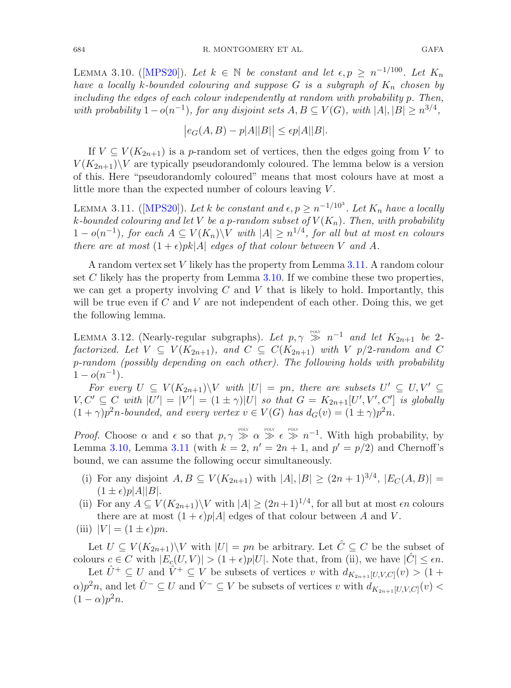684 R. MONTGOMERY ET AL. GAFA

LEMMA 3.10. ([\[MPS20\]](#page-56-12)). Let  $k \in \mathbb{N}$  be constant and let  $\epsilon, p \geq n^{-1/100}$ . Let  $K_n$ *have a locally k-bounded colouring and suppose*  $G$  *is a subgraph of*  $K_n$  *chosen by including the edges of each colour independently at random with probability* p*. Then, with probability*  $1-o(n^{-1})$ *, for any disjoint sets*  $A, B \subseteq V(G)$ *, with*  $|A|, |B| \geq n^{3/4}$ *,* 

<span id="page-21-0"></span>
$$
\big|e_G(A,B)-p|A||B|\big|\leq \epsilon p|A||B|.
$$

If  $V \subseteq V(K_{2n+1})$  is a p-random set of vertices, then the edges going from V to  $V(K_{2n+1})\backslash V$  are typically pseudorandomly coloured. The lemma below is a version of this. Here "pseudorandomly coloured" means that most colours have at most a little more than the expected number of colours leaving V.

LEMMA 3.11. ([\[MPS20\]](#page-56-12)). Let k be constant and  $\epsilon, p \geq n^{-1/10^3}$ . Let  $K_n$  have a locally  $k$ -bounded colouring and let V be a p-random subset of  $V(K_n)$ . Then, with probability 1 −  $o(n^{-1})$ *, for each*  $A ⊆ V(K_n) \ V$  *with*  $|A| ≥ n^{1/4}$ *, for all but at most en colours there are at most*  $(1 + \epsilon)pk|A|$  *edges of that colour between* V *and* A.

A random vertex set V likely has the property from Lemma [3.11.](#page-21-0) A random colour set  $C$  likely has the property from Lemma [3.10.](#page-20-0) If we combine these two properties, we can get a property involving  $C$  and  $V$  that is likely to hold. Importantly, this will be true even if  $C$  and  $V$  are not independent of each other. Doing this, we get the following lemma.

<span id="page-21-1"></span>LEMMA 3.12. (Nearly-regular subgraphs). Let  $p, \gamma \geqslant n^{-1}$  and let  $K_{2n+1}$  be 2*factorized. Let*  $V \subseteq V(K_{2n+1})$ *, and*  $C \subseteq C(K_{2n+1})$  *with*  $V$   $p/2$ -random and  $C$ p*-random (possibly depending on each other). The following holds with probability*  $1 - o(n^{-1})$ .

*For every*  $U \subseteq V(K_{2n+1}) \backslash V$  *with*  $|U| = pn$ *, there are subsets*  $U' \subseteq U, V' \subseteq$  $V, C' \subseteq C$  with  $|U'| = |V'| = (1 \pm \gamma)|U|$  so that  $G = K_{2n+1}[U', V', C']$  is globally  $(1 + \gamma)p^2n$ -bounded, and every vertex  $v \in V(G)$  has  $d_G(v) = (1 \pm \gamma)p^2n$ .

*Proof.* Choose  $\alpha$  and  $\epsilon$  so that  $p, \gamma \gg \alpha \gg \epsilon \gg n^{-1}$ . With high probability, by Lemma [3.10,](#page-20-0) Lemma [3.11](#page-21-0) (with  $k = 2$ ,  $n' = 2n + 1$ , and  $p' = p/2$ ) and Chernoff's bound, we can assume the following occur simultaneously.

- (i) For any disjoint  $A, B \subseteq V(K_{2n+1})$  with  $|A|, |B| \ge (2n+1)^{3/4}, |E_C(A, B)| =$  $(1 \pm \epsilon)p|A||B|.$
- (ii) For any  $A \subseteq V(K_{2n+1})\backslash V$  with  $|A| \geq (2n+1)^{1/4}$ , for all but at most  $\epsilon n$  colours there are at most  $(1 + \epsilon)p|A|$  edges of that colour between A and V.
- (iii)  $|V| = (1 \pm \epsilon)pn$ .

Let  $U \subseteq V(K_{2n+1})\backslash V$  with  $|U| = pn$  be arbitrary. Let  $\hat{C} \subseteq C$  be the subset of colours  $c \in C$  with  $|E_c(U, V)| > (1 + \epsilon)p|U|$ . Note that, from (ii), we have  $|\hat{C}| \leq \epsilon n$ .

Let  $\hat{U}^+ \subseteq U$  and  $\hat{V}^+ \subseteq V$  be subsets of vertices v with  $d_{K_{2n+1}[U,V,C]}(v) > (1+\epsilon)$  $\alpha$ ) $p^2n$ , and let  $\hat{U}^- \subseteq U$  and  $\hat{V}^- \subseteq V$  be subsets of vertices v with  $d_{K_{2n+1}[U,V,C]}(v)$  $(1 - \alpha)p^2n$ .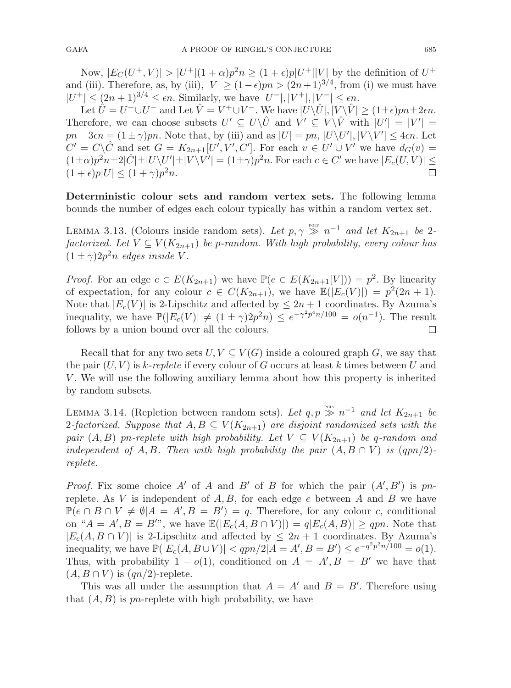<span id="page-22-1"></span>

Now,  $|E_C(U^+,V)|>|U^+|(1+\alpha)p^2n\geq (1+\epsilon)p|U^+||V|$  by the definition of  $U^+$ and (iii). Therefore, as, by (iii),  $|V| \ge (1 - \epsilon)pn > (2n+1)^{3/4}$ , from (i) we must have  $|U^+| \leq (2n+1)^{3/4} \leq \epsilon n$ . Similarly, we have  $|U^-|, |V^+|, |V^-| \leq \epsilon n$ .

Let  $\hat{U} = U^+ \cup U^-$  and Let  $\hat{V} = V^+ \cup V^-$ . We have  $|U \backslash \hat{U}|, |V \backslash \hat{V}| \ge (1 \pm \epsilon)pn \pm 2\epsilon n$ . Therefore, we can choose subsets  $U' \subseteq U \setminus \hat{U}$  and  $V' \subseteq V \setminus \hat{V}$  with  $|U'| = |V'| =$  $pn - 3\epsilon n = (1 \pm \gamma)pn$ . Note that, by (iii) and as  $|U| = pn$ ,  $|U \setminus U'|$ ,  $|V \setminus V'| \leq 4\epsilon n$ . Let  $C' = C \setminus \hat{C}$  and set  $G = K_{2n+1}[U', V', C']$ . For each  $v \in U' \cup V'$  we have  $d_G(v) =$  $(1 \pm \alpha)p^2n\pm 2|\hat{C}| \pm |U \setminus U'| \pm |V \setminus V'| = (1 \pm \gamma)p^2n$ . For each  $c \in C'$  we have  $|E_c(U, V)| \le$  $(1+\epsilon)p|U| \leq (1+\gamma)p^2n$ .

**Deterministic colour sets and random vertex sets.** The following lemma bounds the number of edges each colour typically has within a random vertex set.

LEMMA 3.13. (Colours inside random sets). Let  $p, \gamma \gg n^{-1}$  and let  $K_{2n+1}$  be 2*factorized. Let*  $V \subseteq V(K_{2n+1})$  *be p*-random. With high probability, every colour has  $(1 \pm \gamma)2p^2n$  *edges inside V*.

*Proof.* For an edge  $e \in E(K_{2n+1})$  we have  $\mathbb{P}(e \in E(K_{2n+1}[V])) = p^2$ . By linearity of expectation, for any colour  $c \in C(K_{2n+1})$ , we have  $\mathbb{E}(|E_c(V)|) = p^2(2n+1)$ . Note that  $|E_c(V)|$  is 2-Lipschitz and affected by  $\leq 2n+1$  coordinates. By Azuma's inequality, we have  $\mathbb{P}(|E_c(V)| \neq (1 \pm \gamma)2p^2n) \leq e^{-\gamma^2 p^4 n/100} = o(n^{-1})$ . The result follows by a union bound over all the colours. follows by a union bound over all the colours.

Recall that for any two sets  $U, V \subseteq V(G)$  inside a coloured graph G, we say that the pair  $(U, V)$  is k-replete if every colour of G occurs at least k times between U and V . We will use the following auxiliary lemma about how this property is inherited by random subsets.

<span id="page-22-0"></span>LEMMA 3.14. (Repletion between random sets). Let  $q, p \gg n^{-1}$  and let  $K_{2n+1}$  be 2-factorized. Suppose that  $A, B \subseteq V(K_{2n+1})$  are disjoint randomized sets with the *pair*  $(A, B)$  pn-replete with high probability. Let  $V \subseteq V(K_{2n+1})$  be q-random and *independent of*  $A, B$ *. Then with high probability the pair*  $(A, B \cap V)$  *is*  $(qpn/2)$ *replete.*

*Proof.* Fix some choice A' of A and B' of B for which the pair  $(A', B')$  is pnreplete. As V is independent of  $A, B$ , for each edge e between A and B we have  $\mathbb{P}(e \cap B \cap V \neq \emptyset | A = A', B = B') = q$ . Therefore, for any colour c, conditional on " $A = A'$ ,  $B = B''$ ", we have  $\mathbb{E}(|E_c(A, B \cap V)|) = q|E_c(A, B)| \ge qpn$ . Note that  $|E_c(A, B \cap V)|$  is 2-Lipschitz and affected by  $\leq 2n + 1$  coordinates. By Azuma's inequality, we have  $\mathbb{P}(|E_c(A, B \cup V)| < qpn/2 | A = A', B = B') \le e^{-q^2p^2n/100} = o(1)$ . Thus, with probability  $1 - o(1)$ , conditioned on  $A = A', B = B'$  we have that  $(A, B \cap V)$  is  $(qn/2)$ -replete.

This was all under the assumption that  $A = A'$  and  $B = B'$ . Therefore using that  $(A, B)$  is pn-replete with high probability, we have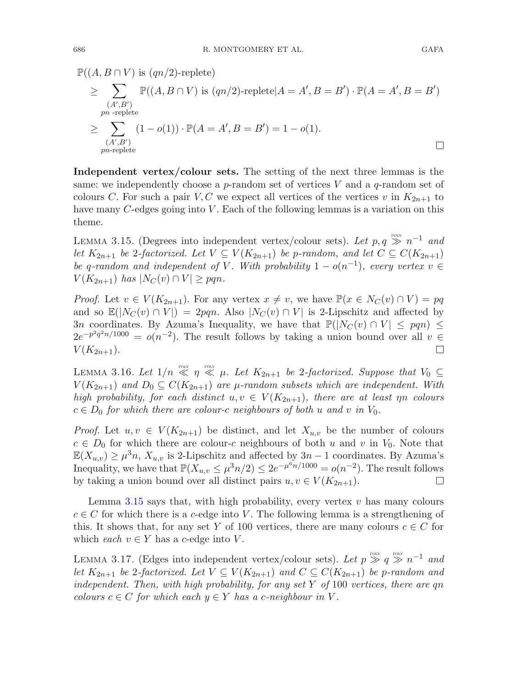$\mathbb{P}((A, B \cap V)$  is  $(qn/2)$ -replete)

$$
\geq \sum_{\substack{(A',B')\\pn-replete}} \mathbb{P}((A,B \cap V) \text{ is } (qn/2)\text{-replete}|A = A', B = B') \cdot \mathbb{P}(A = A', B = B')
$$
  

$$
\geq \sum_{\substack{(A',B')\\pn-replete}} (1 - o(1)) \cdot \mathbb{P}(A = A', B = B') = 1 - o(1).
$$

**Independent vertex/colour sets.** The setting of the next three lemmas is the same: we independently choose a p-random set of vertices  $V$  and a q-random set of colours C. For such a pair V, C we expect all vertices of the vertices v in  $K_{2n+1}$  to have many C-edges going into V. Each of the following lemmas is a variation on this theme.

<span id="page-23-0"></span>LEMMA 3.15. (Degrees into independent vertex/colour sets). Let  $p, q \gg n^{-1}$  and *let*  $K_{2n+1}$  *be* 2-factorized. Let  $V \subseteq V(K_{2n+1})$  *be* p-random, and let  $C \subseteq C(K_{2n+1})$ *be* q-random and independent of V. With probability  $1 - o(n^{-1})$ *, every vertex*  $v \in$  $V(K_{2n+1})$  has  $|N_C(v) \cap V| \geq pqn$ .

*Proof.* Let  $v \in V(K_{2n+1})$ . For any vertex  $x \neq v$ , we have  $\mathbb{P}(x \in N_C(v) \cap V) = pq$ and so  $\mathbb{E}(|N_C(v) \cap V|) = 2pqn$ . Also  $|N_C(v) \cap V|$  is 2-Lipschitz and affected by 3n coordinates. By Azuma's Inequality, we have that  $\mathbb{P}(|N_C(v) \cap V| \leq pqn) \leq$  $2e^{-p^2q^2n/1000} = o(n^{-2})$ . The result follows by taking a union bound over all  $v \in V(K_{2n+1})$ .  $V(K_{2n+1}).$ 

<span id="page-23-1"></span>LEMMA 3.16. Let  $1/n \ll n \ll \mu$ . Let  $K_{2n+1}$  be 2-factorized. Suppose that  $V_0 \subseteq$  $V(K_{2n+1})$  *and*  $D_0 \subseteq C(K_{2n+1})$  *are*  $\mu$ -random subsets which are independent. With *high probability, for each distinct*  $u, v \in V(K_{2n+1})$ *, there are at least*  $\eta n$  *colours*  $c \in D_0$  *for which there are colour-c neighbours of both* u and v *in*  $V_0$ *.* 

*Proof.* Let  $u, v \in V(K_{2n+1})$  be distinct, and let  $X_{u,v}$  be the number of colours  $c \in D_0$  for which there are colour-c neighbours of both u and v in  $V_0$ . Note that  $\mathbb{E}(X_{u,v}) \geq \mu^3 n$ ,  $X_{u,v}$  is 2-Lipschitz and affected by  $3n-1$  coordinates. By Azuma's Inequality, we have that  $\mathbb{P}(X_{u,v} \leq \mu^3 n/2) \leq 2e^{-\mu^6 n/1000} = o(n^{-2})$ . The result follows by taking a union bound over all distinct pairs  $u, v \in V(K_{2n+1})$ . by taking a union bound over all distinct pairs  $u, v \in V(K_{2n+1})$ .

Lemma [3.15](#page-23-0) says that, with high probability, every vertex  $v$  has many colours  $c \in C$  for which there is a c-edge into V. The following lemma is a strengthening of this. It shows that, for any set Y of 100 vertices, there are many colours  $c \in C$  for which *each*  $v \in Y$  has a *c*-edge into V.

LEMMA 3.17. (Edges into independent vertex/colour sets). Let  $p \gg q \gg n^{-1}$  and *let*  $K_{2n+1}$  *be* 2-factorized. Let  $V \subseteq V(K_{2n+1})$  and  $C \subseteq C(K_{2n+1})$  be p-random and *independent. Then, with high probability, for any set* Y *of* 100 *vertices, there are* qn *colours*  $c \in C$  *for which each*  $y \in Y$  *has a c-neighbour in* V.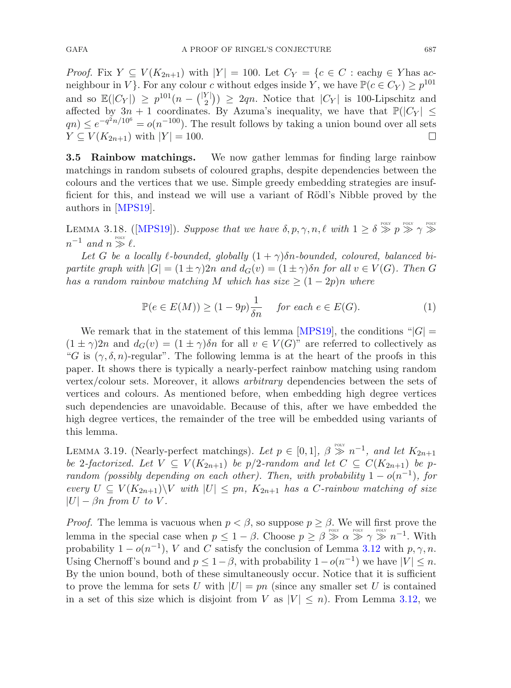*Proof.* Fix  $Y \subseteq V(K_{2n+1})$  with  $|Y| = 100$ . Let  $C_Y = \{c \in C : \text{eachy} \in Y \text{ has ac-}$ neighbour in V }. For any colour c without edges inside Y, we have  $\mathbb{P}(c \in C_Y) \geq p^{101}$ and so  $\mathbb{E}(|C_Y|) \geq p^{101}(n - {|\mathcal{Y}| \choose 2}) \geq 2qn$ . Notice that  $|C_Y|$  is 100-Lipschitz and affected by  $3n + 1$  coordinates. By Azuma's inequality, we have that  $\mathbb{P}(|C_Y| \leq$  $qn \leq e^{-q^2 n/10^6} = o(n^{-100})$ . The result follows by taking a union bound over all sets  $Y \subseteq V(K_{2n+1})$  with  $|Y| = 100$ .  $\Box$ 

**3.5 Rainbow matchings.** We now gather lemmas for finding large rainbow matchings in random subsets of coloured graphs, despite dependencies between the colours and the vertices that we use. Simple greedy embedding strategies are insufficient for this, and instead we will use a variant of Rödl's Nibble proved by the authors in [\[MPS19](#page-56-14)].

<span id="page-24-0"></span>LEMMA 3.18. ([\[MPS19\]](#page-56-14)). *Suppose that we have*  $\delta, p, \gamma, n, \ell \text{ with } 1 \geq \delta \gg p \gg \gamma \gg$  $n^{-1}$  *and*  $n \gg \ell$ .

Let G be a locally  $\ell$ -bounded, globally  $(1 + \gamma)\delta n$ -bounded, coloured, balanced bi*partite graph with*  $|G| = (1 \pm \gamma)2n$  *and*  $d_G(v) = (1 \pm \gamma)\delta n$  *for all*  $v \in V(G)$ *. Then* G *has a random rainbow matching* M *which has size*  $\geq (1-2p)n$  *where* 

$$
\mathbb{P}(e \in E(M)) \ge (1 - 9p)\frac{1}{\delta n} \quad \text{for each } e \in E(G). \tag{1}
$$

We remark that in the statement of this lemma [\[MPS19](#page-56-14)], the conditions " $|G|$  =  $(1 \pm \gamma)2n$  and  $d_G(v) = (1 \pm \gamma)\delta n$  for all  $v \in V(G)$ " are referred to collectively as "G is  $(\gamma, \delta, n)$ -regular". The following lemma is at the heart of the proofs in this paper. It shows there is typically a nearly-perfect rainbow matching using random vertex/colour sets. Moreover, it allows *arbitrary* dependencies between the sets of vertices and colours. As mentioned before, when embedding high degree vertices such dependencies are unavoidable. Because of this, after we have embedded the high degree vertices, the remainder of the tree will be embedded using variants of this lemma.

<span id="page-24-1"></span>LEMMA 3.19. (Nearly-perfect matchings). Let  $p \in [0,1]$ ,  $\beta \gg n^{-1}$ , and let  $K_{2n+1}$ *be* 2-factorized. Let  $V \subseteq V(K_{2n+1})$  *be*  $p/2$ -random and let  $C \subseteq C(K_{2n+1})$  *be* p*random (possibly depending on each other). Then, with probability*  $1 - o(n^{-1})$ *, for every*  $U \subseteq V(K_{2n+1}) \backslash V$  *with*  $|U| \leq pn$ ,  $K_{2n+1}$  *has a C-rainbow matching of size*  $|U| - \beta n$  *from U to V*.

*Proof.* The lemma is vacuous when  $p < \beta$ , so suppose  $p \geq \beta$ . We will first prove the lemma in the special case when  $p \leq 1-\beta$ . Choose  $p \geq \beta \gg \alpha \gg \gamma \gg n^{-1}$ . With probability  $1 - o(n^{-1})$ , V and C satisfy the conclusion of Lemma [3.12](#page-21-1) with p,  $\gamma$ , n. Using Chernoff's bound and  $p \leq 1-\beta$ , with probability  $1-o(n^{-1})$  we have  $|V| \leq n$ . By the union bound, both of these simultaneously occur. Notice that it is sufficient to prove the lemma for sets U with  $|U| = pn$  (since any smaller set U is contained in a set of this size which is disjoint from V as  $|V| \leq n$ . From Lemma [3.12,](#page-21-1) we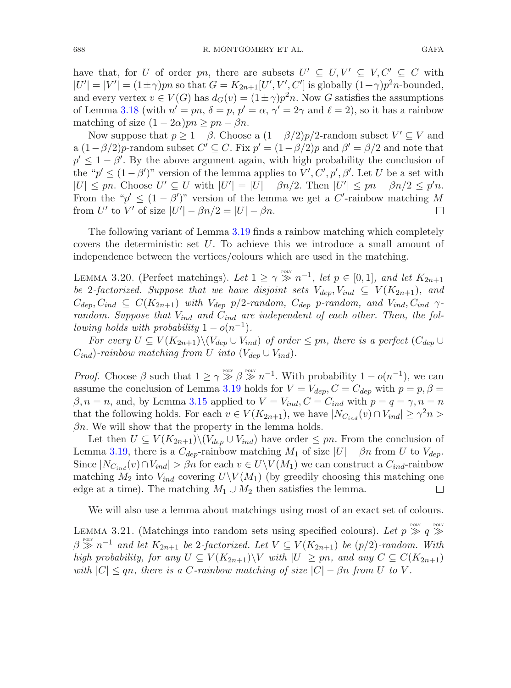have that, for U of order pn, there are subsets  $U' \subseteq U, V' \subseteq V, C' \subseteq C$  with  $|U'| = |V'| = (1 \pm \gamma)pn$  so that  $G = K_{2n+1}[U', V', C']$  is globally  $(1+\gamma)p^2n$ -bounded, and every vertex  $v \in V(G)$  has  $d_G(v) = (1 \pm \gamma)p^2n$ . Now G satisfies the assumptions of Lemma [3.18](#page-24-0) (with  $n' = pn$ ,  $\delta = p$ ,  $p' = \alpha$ ,  $\gamma' = 2\gamma$  and  $\ell = 2$ ), so it has a rainbow matching of size  $(1 - 2\alpha)pn \ge pn - \beta n$ .

Now suppose that  $p \geq 1 - \beta$ . Choose a  $(1 - \beta/2)p/2$ -random subset  $V' \subseteq V$  and a  $(1-\beta/2)p$ -random subset  $C' \subseteq C$ . Fix  $p' = (1-\beta/2)p$  and  $\beta' = \beta/2$  and note that  $p' \leq 1 - \beta'$ . By the above argument again, with high probability the conclusion of the " $p' \leq (1 - \beta')$ " version of the lemma applies to  $V', C', p', \beta'$ . Let U be a set with  $|U| \leq pn$ . Choose  $U' \subseteq U$  with  $|U'| = |U| - \beta n/2$ . Then  $|U'| \leq pn - \beta n/2 \leq p'n$ . From the " $p' \leq (1 - \beta')$ " version of the lemma we get a C'-rainbow matching M from U' to V' of size  $|U'| - \beta n/2 = |U| - \beta n$ .  $\Box$ 

<span id="page-25-1"></span>The following variant of Lemma [3.19](#page-24-1) finds a rainbow matching which completely covers the deterministic set U. To achieve this we introduce a small amount of independence between the vertices/colours which are used in the matching.

LEMMA 3.20. (Perfect matchings). Let  $1 \ge \gamma \gg n^{-1}$ , let  $p \in [0,1]$ , and let  $K_{2n+1}$ *be* 2-factorized. Suppose that we have disjoint sets  $V_{dep}$ ,  $V_{ind} \subseteq V(K_{2n+1})$ , and  $C_{dep}, C_{ind} \subseteq C(K_{2n+1})$  *with*  $V_{dep}$  p/2-random,  $C_{dep}$  p-random, and  $V_{ind}, C_{ind}$   $\gamma$ *random. Suppose that*  $V_{ind}$  *and*  $C_{ind}$  *are independent of each other. Then, the following holds with probability*  $1 - o(n^{-1})$ *.* 

*For every*  $U \subseteq V(K_{2n+1})\backslash (V_{den} \cup V_{ind})$  *of order*  $\leq pn$ *, there is a perfect*  $(C_{den} \cup$  $C_{ind}$ *)*-rainbow matching from U into  $(V_{den} \cup V_{ind})$ .

*Proof.* Choose  $\beta$  such that  $1 \ge \gamma \gg \beta \gg n^{-1}$ . With probability  $1 - o(n^{-1})$ , we can assume the conclusion of Lemma [3.19](#page-24-1) holds for  $V = V_{dep}$ ,  $C = C_{dep}$  with  $p = p, \beta =$  $\beta, n = n$ , and, by Lemma [3.15](#page-23-0) applied to  $V = V_{ind}$ ,  $C = C_{ind}$  with  $p = q = \gamma$ ,  $n = n$ that the following holds. For each  $v \in V(K_{2n+1})$ , we have  $|N_{C_{ind}}(v) \cap V_{ind}| \geq \gamma^2 n >$  $\beta n$ . We will show that the property in the lemma holds.

Let then  $U \subseteq V(K_{2n+1})\setminus (V_{dep} \cup V_{ind})$  have order  $\leq pn$ . From the conclusion of Lemma [3.19,](#page-24-1) there is a  $C_{dep}$ -rainbow matching  $M_1$  of size  $|U| - \beta n$  from U to  $V_{dep}$ . Since  $|N_{C_{ind}}(v) \cap V_{ind}| > \beta n$  for each  $v \in U \setminus V(M_1)$  we can construct a  $C_{ind}$ -rainbow matching  $M_2$  into  $V_{ind}$  covering  $U\setminus V(M_1)$  (by greedily choosing this matching one edge at a time). The matching  $M_1 \cup M_2$  then satisfies the lemma. edge at a time). The matching  $M_1 \cup M_2$  then satisfies the lemma.

We will also use a lemma about matchings using most of an exact set of colours.

<span id="page-25-0"></span>LEMMA 3.21. (Matchings into random sets using specified colours). Let  $p \gg q \gg$  $\beta \gg n^{-1}$  *and let*  $K_{2n+1}$  *be* 2-factorized. Let  $V \subseteq V(K_{2n+1})$  *be* (p/2)-random. With *high probability, for any*  $U \subseteq V(K_{2n+1}) \backslash V$  *with*  $|U| \geq pn$ *, and any*  $C \subseteq C(K_{2n+1})$ *with*  $|C| \leq qn$ , there is a C-rainbow matching of size  $|C| - \beta n$  from U to V.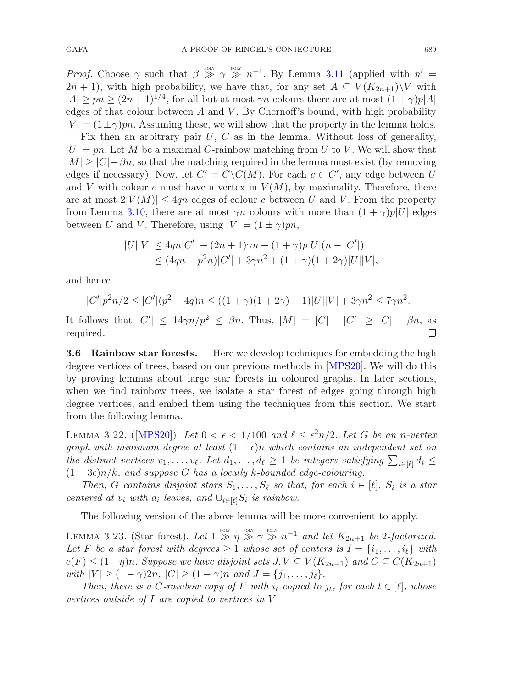*Proof.* Choose  $\gamma$  such that  $\beta \gg \gamma \gg n^{-1}$ . By Lemma [3.11](#page-21-0) (applied with  $n' =$  $2n + 1$ , with high probability, we have that, for any set  $A \subseteq V(K_{2n+1})\backslash V$  with  $|A| \geq pn \geq (2n+1)^{1/4}$ , for all but at most  $\gamma n$  colours there are at most  $(1+\gamma)p|A|$ edges of that colour between  $A$  and  $V$ . By Chernoff's bound, with high probability  $|V| = (1 \pm \gamma)pn$ . Assuming these, we will show that the property in the lemma holds.

Fix then an arbitrary pair  $U, C$  as in the lemma. Without loss of generality,  $|U| = pn$ . Let M be a maximal C-rainbow matching from U to V. We will show that  $|M| \geq |C|-\beta n$ , so that the matching required in the lemma must exist (by removing edges if necessary). Now, let  $C' = C \setminus C(M)$ . For each  $c \in C'$ , any edge between U and V with colour c must have a vertex in  $V(M)$ , by maximality. Therefore, there are at most  $2|V(M)| \leq 4qn$  edges of colour c between U and V. From the property from Lemma [3.10,](#page-20-0) there are at most  $\gamma n$  colours with more than  $(1 + \gamma)p|U|$  edges between U and V. Therefore, using  $|V| = (1 \pm \gamma)pn$ ,

$$
|U||V| \le 4qn|C'| + (2n+1)\gamma n + (1+\gamma)p|U|(n-|C'|)
$$
  
\n
$$
\le (4qn - p^2n)|C'| + 3\gamma n^2 + (1+\gamma)(1+2\gamma)|U||V|,
$$

and hence

$$
|C'|p^2n/2 \le |C'|(p^2 - 4q)n \le ((1 + \gamma)(1 + 2\gamma) - 1)|U||V| + 3\gamma n^2 \le 7\gamma n^2.
$$

It follows that  $|C'| \leq 14\gamma n/p^2 \leq \beta n$ . Thus,  $|M| = |C| - |C'| \geq |C| - \beta n$ , as required.

**3.6 Rainbow star forests.** Here we develop techniques for embedding the high degree vertices of trees, based on our previous methods in [\[MPS20](#page-56-12)]. We will do this by proving lemmas about large star forests in coloured graphs. In later sections, when we find rainbow trees, we isolate a star forest of edges going through high degree vertices, and embed them using the techniques from this section. We start from the following lemma.

<span id="page-26-0"></span>LEMMA 3.22. ([\[MPS20\]](#page-56-12)). Let  $0 < \epsilon < 1/100$  and  $\ell \leq \epsilon^2 n/2$ . Let G be an n-vertex *graph with minimum degree at least*  $(1 - \epsilon)n$  *which contains an independent set on the distinct vertices*  $v_1, \ldots, v_\ell$ . Let  $d_1, \ldots, d_\ell \geq 1$  *be integers satisfying*  $\sum_{i \in [\ell]} d_i \leq$  $(1-3\epsilon)n/k$ , and suppose G has a locally k-bounded edge-colouring.

*Then, G contains* disjoint stars  $S_1, \ldots, S_\ell$  so that, for each  $i \in [\ell], S_i$  *is a star centered at*  $v_i$  *with*  $d_i$  *leaves, and*  $\cup_{i \in [\ell]} S_i$  *is rainbow.* 

<span id="page-26-1"></span>The following version of the above lemma will be more convenient to apply.

LEMMA 3.23. (Star forest). Let  $1 \gg \eta \gg \gamma \gg n^{-1}$  and let  $K_{2n+1}$  be 2-factorized. Let F be a star forest with degrees  $\geq 1$  whose set of centers is  $I = \{i_1, \ldots, i_\ell\}$  with  $e(F) \leq (1-\eta)n$ *. Suppose we have disjoint sets*  $J, V \subseteq V(K_{2n+1})$  *and*  $C \subseteq C(K_{2n+1})$ *with*  $|V| \ge (1 - \gamma)2n$ ,  $|C| \ge (1 - \gamma)n$  *and*  $J = \{j_1, \ldots, j_\ell\}.$ 

*Then, there is a C-rainbow copy of* F with  $i_t$  *copied to*  $j_t$ *, for each*  $t \in [\ell]$ *, whose vertices outside of* I *are copied to vertices in* V *.*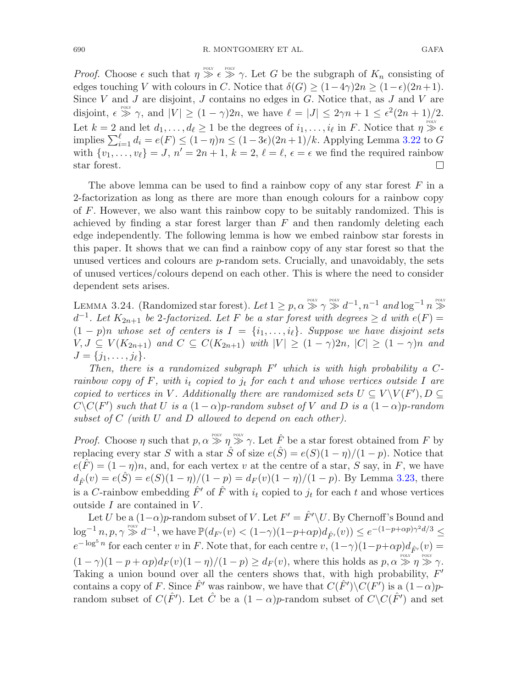690 R. MONTGOMERY ET AL. GAFA

*Proof.* Choose  $\epsilon$  such that  $\eta \gg \epsilon \gg \gamma$ . Let G be the subgraph of  $K_n$  consisting of edges touching V with colours in C. Notice that  $\delta(G) \geq (1-4\gamma)2n \geq (1-\epsilon)(2n+1)$ . Since  $V$  and  $J$  are disjoint,  $J$  contains no edges in  $G$ . Notice that, as  $J$  and  $V$  are disjoint,  $\epsilon \gg \gamma$ , and  $|V| \ge (1 - \gamma)2n$ , we have  $\ell = |J| \le 2\gamma n + 1 \le \epsilon^2 (2n + 1)/2$ . Let  $k = 2$  and let  $d_1, \ldots, d_\ell \geq 1$  be the degrees of  $i_1, \ldots, i_\ell$  in F. Notice that  $\eta \gg \epsilon$ implies  $\sum_{i=1}^{\ell} d_i = e(F) \le (1-\eta)n \le (1-3\epsilon)(2n+1)/k$ . Applying Lemma [3.22](#page-26-0) to G with  $\{v_1, \ldots, v_\ell\} = J$ ,  $n' = 2n + 1$ ,  $k = 2$ ,  $\ell = \ell$ ,  $\epsilon = \epsilon$  we find the required rainbow star forest.

The above lemma can be used to find a rainbow copy of any star forest  $F$  in a 2-factorization as long as there are more than enough colours for a rainbow copy of F. However, we also want this rainbow copy to be suitably randomized. This is achieved by finding a star forest larger than  $F$  and then randomly deleting each edge independently. The following lemma is how we embed rainbow star forests in this paper. It shows that we can find a rainbow copy of any star forest so that the unused vertices and colours are  $p$ -random sets. Crucially, and unavoidably, the sets of unused vertices/colours depend on each other. This is where the need to consider dependent sets arises.

<span id="page-27-0"></span>LEMMA 3.24. (Randomized star forest). Let  $1 \ge p, \alpha \gg \gamma \gg d^{-1}, n^{-1}$  and  $\log^{-1} n \gg$  $d^{-1}$ . Let  $K_{2n+1}$  be 2-factorized. Let F be a star forest with degrees  $\geq d$  with  $e(F)$  $(1-p)n$  whose set of centers is  $I = \{i_1, \ldots, i_\ell\}$ . Suppose we have disjoint sets  $V, J \subseteq V(K_{2n+1})$  *and*  $C \subseteq C(K_{2n+1})$  *with*  $|V| \ge (1 - \gamma)2n$ ,  $|C| \ge (1 - \gamma)n$  *and*  $J = \{j_1, \ldots, j_\ell\}.$ 

*Then, there is a randomized subgraph*  $F'$  which is with high probability a C*rainbow copy of*  $F$ *, with*  $i_t$  *copied to*  $j_t$  *for each*  $t$  *and whose vertices outside*  $I$  *are copied to vertices in* V. Additionally there are randomized sets  $U \subseteq V \backslash V(F')$ ,  $D \subseteq$  $C\setminus C(F')$  *such that* U *is a*  $(1 - \alpha)p$ *-random subset of* V *and* D *is a*  $(1 - \alpha)p$ *-random subset of* C *(with* U *and* D *allowed to depend on each other).*

*Proof.* Choose  $\eta$  such that  $p, \alpha \gg \eta \gg \gamma$ . Let  $\hat{F}$  be a star forest obtained from F by replacing every star S with a star  $\hat{S}$  of size  $e(\hat{S}) = e(S)(1 - \eta)/(1 - p)$ . Notice that  $e(F) = (1 - \eta)n$ , and, for each vertex v at the centre of a star, S say, in F, we have  $d_{\hat{F}}(v) = e(\hat{S}) = e(S)(1 - \eta)/(1 - p) = d_{F}(v)(1 - \eta)/(1 - p)$ . By Lemma [3.23,](#page-26-1) there is a C-rainbow embedding  $\hat{F}'$  of  $\hat{F}$  with  $i_t$  copied to  $j_t$  for each t and whose vertices outside  $I$  are contained in  $V$ .

Let U be a  $(1-\alpha)p$ -random subset of V. Let  $F' = \hat{F}' \setminus U$ . By Chernoff's Bound and  $\log^{-1} n, p, \gamma \gg d^{-1}$ , we have  $\mathbb{P}(d_{F'}(v) < (1-\gamma)(1-p+\alpha p)d_{\hat{F}'}(v)) \leq e^{-(1-p+\alpha p)\gamma^2 d/3} \leq$  $e^{-\log^5 n}$  for each center v in F. Note that, for each centre  $v, (1-\gamma)(1-p+\alpha p)d_{\hat{F}'}(v) =$  $(1 - \gamma)(1 - p + \alpha p)d_F(v)(1 - \eta)/(1 - p) \ge d_F(v)$ , where this holds as  $p, \alpha \gg \eta \gg \gamma$ . Taking a union bound over all the centers shows that, with high probability,  $F'$ contains a copy of F. Since  $\hat{F}'$  was rainbow, we have that  $C(\hat{F}')\backslash C(F')$  is a  $(1-\alpha)p$ random subset of  $C(\hat{F}')$ . Let  $\hat{C}$  be a  $(1 - \alpha)p$ -random subset of  $C\setminus C(\hat{F}')$  and set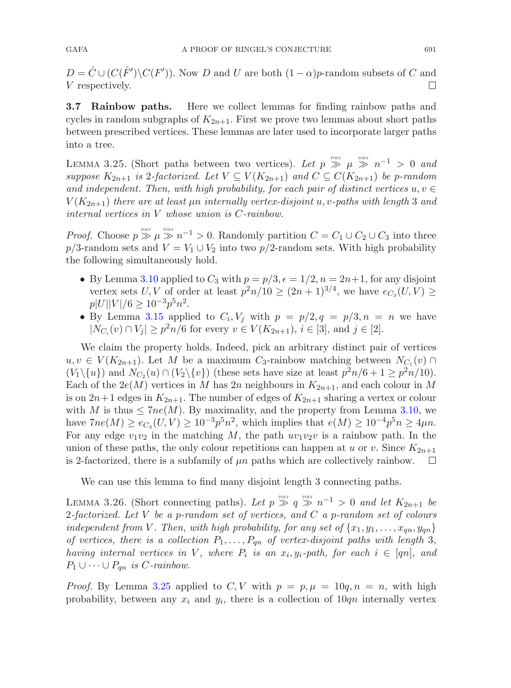$D = \hat{C} \cup (C(\hat{F}') \backslash C(F'))$ . Now D and U are both  $(1 - \alpha)p$ -random subsets of C and V respectively.

**3.7 Rainbow paths.** Here we collect lemmas for finding rainbow paths and cycles in random subgraphs of  $K_{2n+1}$ . First we prove two lemmas about short paths between prescribed vertices. These lemmas are later used to incorporate larger paths into a tree.

<span id="page-28-0"></span>LEMMA 3.25. (Short paths between two vertices). Let  $p \gg \mu \gg n^{-1} > 0$  and *suppose*  $K_{2n+1}$  *is* 2-factorized. Let  $V \subseteq V(K_{2n+1})$  and  $C \subseteq C(K_{2n+1})$  be p-random *and independent. Then, with high probability, for each pair of distinct vertices*  $u, v \in$  $V(K_{2n+1})$  *there are at least*  $\mu n$  *internally vertex-disjoint* u, v-paths with length 3 and *internal vertices in* V *whose union is* C*-rainbow.*

*Proof.* Choose  $p \gg \mu \gg n^{-1} > 0$ . Randomly partition  $C = C_1 \cup C_2 \cup C_3$  into three p/3-random sets and  $V = V_1 \cup V_2$  into two p/2-random sets. With high probability the following simultaneously hold.

- By Lemma [3.10](#page-20-0) applied to  $C_3$  with  $p = p/3, \epsilon = 1/2, n = 2n+1$ , for any disjoint vertex sets U, V of order at least  $p^2n/10 \ge (2n+1)^{3/4}$ , we have  $e_{C_3}(U, V) \ge$  $p|U||V|/6 > 10^{-3} p^5 n^2$ .
- By Lemma [3.15](#page-23-0) applied to  $C_i, V_j$  with  $p = p/2, q = p/3, n = n$  we have  $|N_{C_i}(v) \cap V_j| \geq p^2n/6$  for every  $v \in V(K_{2n+1}), i \in [3]$ , and  $j \in [2]$ .

We claim the property holds. Indeed, pick an arbitrary distinct pair of vertices  $u, v \in V(K_{2n+1})$ . Let M be a maximum C<sub>3</sub>-rainbow matching between  $N_{C_1}(v)$  $(V_1\backslash\{u\})$  and  $N_{C_2}(u)\cap(V_2\backslash\{v\})$  (these sets have size at least  $p^2n/6+1\geq p^2n/10$ ). Each of the  $2e(M)$  vertices in M has 2n neighbours in  $K_{2n+1}$ , and each colour in M is on  $2n+1$  edges in  $K_{2n+1}$ . The number of edges of  $K_{2n+1}$  sharing a vertex or colour with M is thus  $\leq 7ne(M)$ . By maximality, and the property from Lemma [3.10,](#page-20-0) we have  $7n e(M) \ge e_{C_3}(U, V) \ge 10^{-3} p^5 n^2$ , which implies that  $e(M) \ge 10^{-4} p^5 n \ge 4 \mu n$ . For any edge  $v_1v_2$  in the matching M, the path  $uv_1v_2v$  is a rainbow path. In the union of these paths, the only colour repetitions can happen at u or v. Since  $K_{2n+1}$ is 2-factorized, there is a subfamily of  $\mu n$  paths which are collectively rainbow.  $\Box$ 

<span id="page-28-1"></span>We can use this lemma to find many disjoint length 3 connecting paths.

LEMMA 3.26. (Short connecting paths). Let  $p \gg q \gg n^{-1} > 0$  and let  $K_{2n+1}$  be 2*-factorized. Let* V *be a* p*-random set of vertices, and* C *a* p*-random set of colours independent from* V. Then, with high probability, for any set of  $\{x_1, y_1, \ldots, x_{qn}, y_{qn}\}$ *of vertices, there is a collection*  $P_1, \ldots, P_{qn}$  *of vertex-disjoint paths with length* 3*, having internal vertices in* V, where  $P_i$  *is an*  $x_i, y_i$ -path, for each  $i \in [qn]$ , and  $P_1 \cup \cdots \cup P_{qn}$  *is C-rainbow.* 

*Proof.* By Lemma [3.25](#page-28-0) applied to  $C, V$  with  $p = p, \mu = 10q, n = n$ , with high probability, between any  $x_i$  and  $y_i$ , there is a collection of  $10qn$  internally vertex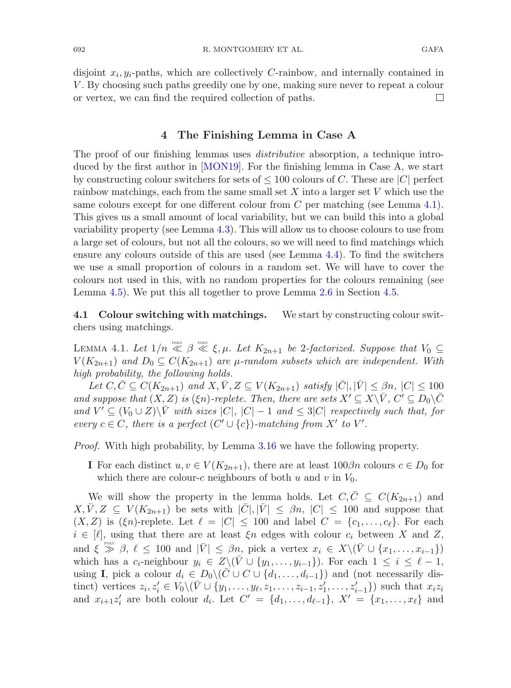disjoint  $x_i, y_i$ -paths, which are collectively C-rainbow, and internally contained in V . By choosing such paths greedily one by one, making sure never to repeat a colour or vertex, we can find the required collection of paths.  $\Box$ 

## **4 The Finishing Lemma in Case A**

<span id="page-29-0"></span>The proof of our finishing lemmas uses *distributive* absorption, a technique introduced by the first author in [\[MON19](#page-56-17)]. For the finishing lemma in Case A, we start by constructing colour switchers for sets of  $\leq 100$  colours of C. These are |C| perfect rainbow matchings, each from the same small set  $X$  into a larger set  $V$  which use the same colours except for one different colour from  $C$  per matching (see Lemma [4.1\)](#page-29-2). This gives us a small amount of local variability, but we can build this into a global variability property (see Lemma [4.3\)](#page-30-1). This will allow us to choose colours to use from a large set of colours, but not all the colours, so we will need to find matchings which ensure any colours outside of this are used (see Lemma [4.4\)](#page-31-0). To find the switchers we use a small proportion of colours in a random set. We will have to cover the colours not used in this, with no random properties for the colours remaining (see Lemma [4.5\)](#page-32-0). We put this all together to prove Lemma [2.6](#page-13-0) in Section [4.5.](#page-33-0)

<span id="page-29-2"></span><span id="page-29-1"></span>**4.1 Colour switching with matchings.** We start by constructing colour switchers using matchings.

LEMMA 4.1. Let  $1/n \ll \beta \ll \xi, \mu$ . Let  $K_{2n+1}$  be 2*-factorized. Suppose that*  $V_0 \subseteq$  $V(K_{2n+1})$  *and*  $D_0 \subseteq C(K_{2n+1})$  *are*  $\mu$ -random subsets which are independent. With *high probability, the following holds.*

Let  $C, \overline{C} \subseteq C(K_{2n+1})$  and  $X, \overline{V}, Z \subseteq V(K_{2n+1})$  *satisfy*  $|\overline{C}|, |\overline{V}| \leq \beta n$ ,  $|C| \leq 100$ *and suppose that*  $(X, Z)$  *is*  $(\xi n)$ *-replete. Then, there are sets*  $X' \subseteq X \backslash \overline{V}$ *, C'*  $\subseteq D_0 \backslash \overline{C}$ *and*  $V' \subseteq (V_0 \cup Z) \setminus \overline{V}$  *with sizes* |C|, |C| − 1 *and*  $\leq$  3|C| *respectively such that, for every*  $c \in C$ *, there is a perfect*  $(C' \cup \{c\})$ *-matching from*  $X'$  to  $V'$ *.* 

*Proof.* With high probability, by Lemma [3.16](#page-23-1) we have the following property.

**I** For each distinct  $u, v \in V(K_{2n+1})$ , there are at least  $100\beta n$  colours  $c \in D_0$  for which there are colour-c neighbours of both u and v in  $V_0$ .

We will show the property in the lemma holds. Let  $C, \overline{C} \subseteq C(K_{2n+1})$  and  $X, \bar{V}, Z \subseteq V(K_{2n+1})$  be sets with  $|\bar{C}|, |\bar{V}| \leq \beta n, |C| \leq 100$  and suppose that  $(X, Z)$  is  $(\xi n)$ -replete. Let  $\ell = |C| \leq 100$  and label  $C = \{c_1, \ldots, c_\ell\}$ . For each  $i \in [\ell],$  using that there are at least  $\xi n$  edges with colour  $c_i$  between X and Z, and  $\xi \geq \beta$ ,  $\ell \leq 100$  and  $|\bar{V}| \leq \beta n$ , pick a vertex  $x_i \in X \setminus (\bar{V} \cup \{x_1, \ldots, x_{i-1}\})$ which has a  $c_i$ -neighbour  $y_i \in Z \setminus (\bar{V} \cup \{y_1,\ldots,y_{i-1}\})$ . For each  $1 \leq i \leq \ell - 1$ , using **I**, pick a colour  $d_i \in D_0 \setminus (\overline{C} \cup C \cup \{d_1, \ldots, d_{i-1}\})$  and (not necessarily distinct) vertices  $z_i, z'_i \in V_0 \setminus (\bar{V} \cup \{y_1, \ldots, y_\ell, z_1, \ldots, z_{i-1}, z'_1, \ldots, z'_{i-1}\})$  such that  $x_i z_i$ and  $x_{i+1}z'_i$  are both colour  $d_i$ . Let  $C' = \{d_1, ..., d_{\ell-1}\}, X' = \{x_1, ..., x_{\ell}\}\$ and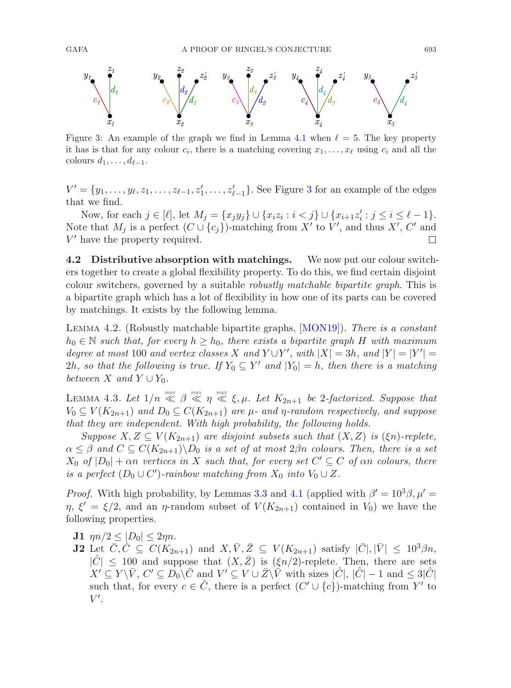

<span id="page-30-2"></span>Figure 3: An example of the graph we find in Lemma [4.1](#page-29-2) when  $\ell = 5$ . The key property it has is that for any colour  $c_i$ , there is a matching covering  $x_1, \ldots, x_\ell$  using  $c_i$  and all the colours  $d_1, \ldots, d_{\ell-1}$ .

 $V' = \{y_1, \ldots, y_\ell, z_1, \ldots, z_{\ell-1}, z'_1, \ldots, z'_{\ell-1}\}.$  See Figure [3](#page-30-2) for an example of the edges that we find.

Now, for each  $j \in [\ell]$ , let  $M_j = \{x_j y_j\} \cup \{x_i z_i : i < j\} \cup \{x_{i+1} z'_i : j \le i \le \ell - 1\}.$ Note that  $M_j$  is a perfect  $(C \cup \{c_j\})$ -matching from X' to V', and thus X', C' and  $V'$  have the property required.  $\Box$ 

**4.2 Distributive absorption with matchings.** We now put our colour switchers together to create a global flexibility property. To do this, we find certain disjoint colour switchers, governed by a suitable *robustly matchable bipartite graph*. This is a bipartite graph which has a lot of flexibility in how one of its parts can be covered by matchings. It exists by the following lemma.

<span id="page-30-0"></span>Lemma 4.2. (Robustly matchable bipartite graphs, [\[MON19](#page-56-17)]). *There is a constant*  $h_0 \in \mathbb{N}$  *such that, for every*  $h \geq h_0$ *, there exists a bipartite graph* H *with maximum degree at most* 100 *and vertex classes* X *and*  $Y \cup Y'$ , *with*  $|X| = 3h$ *, and*  $|Y| = |Y'| =$ 2h, so that the following is true. If  $Y_0 \subseteq Y'$  and  $|Y_0| = h$ , then there is a matching *between*  $X$  *and*  $Y \cup Y_0$ *.* 

<span id="page-30-1"></span>LEMMA 4.3. Let  $1/n \ll \beta \ll \eta \ll \xi, \mu$ . Let  $K_{2n+1}$  be 2-factorized. Suppose that  $V_0 \subseteq V(K_{2n+1})$  *and*  $D_0 \subseteq C(K_{2n+1})$  *are*  $\mu$ - *and*  $\eta$ -random respectively, *and* suppose *that they are independent. With high probability, the following holds.*

*Suppose*  $X, Z \subseteq V(K_{2n+1})$  *are disjoint subsets such that*  $(X, Z)$  *is*  $(\xi_n)$ *-replete,*  $\alpha \leq \beta$  and  $C \subseteq C(K_{2n+1}) \backslash D_0$  *is a set of at most*  $2\beta n$  *colours. Then, there is a set*  $X_0$  *of*  $|D_0| + \alpha n$  *vertices in* X *such that, for every set*  $C' \subseteq C$  *of*  $\alpha n$  *colours, there is a perfect*  $(D_0 \cup C')$ -rainbow matching from  $X_0$  *into*  $V_0 \cup Z$ *.* 

*Proof.* With high probability, by Lemmas [3.3](#page-17-1) and [4.1](#page-29-2) (applied with  $\beta' = 10^3 \beta$ ,  $\mu' =$  $\eta$ ,  $\xi' = \xi/2$ , and an  $\eta$ -random subset of  $V(K_{2n+1})$  contained in  $V_0$ ) we have the following properties.

- **J1**  $\eta n/2 \leq |D_0| \leq 2\eta n$ .
- **J2** Let  $\bar{C}, \hat{C} \subseteq C(K_{2n+1})$  and  $X, \bar{V}, \bar{Z} \subseteq V(K_{2n+1})$  satisfy  $|\bar{C}|, |\bar{V}| \leq 10^3 \beta n$ ,  $|\hat{C}| \leq 100$  and suppose that  $(X,\bar{Z})$  is  $(\xi n/2)$ -replete. Then, there are sets  $X' \subseteq Y \backslash \bar{V}$ ,  $C' \subseteq D_0 \backslash \bar{C}$  and  $V' \subseteq V \cup \bar{Z} \backslash \bar{V}$  with sizes  $|\hat{C}|$ ,  $|\hat{C}| - 1$  and  $\leq 3|\hat{C}|$ such that, for every  $c \in \hat{C}$ , there is a perfect  $(C' \cup \{c\})$ -matching from Y' to  $V'.$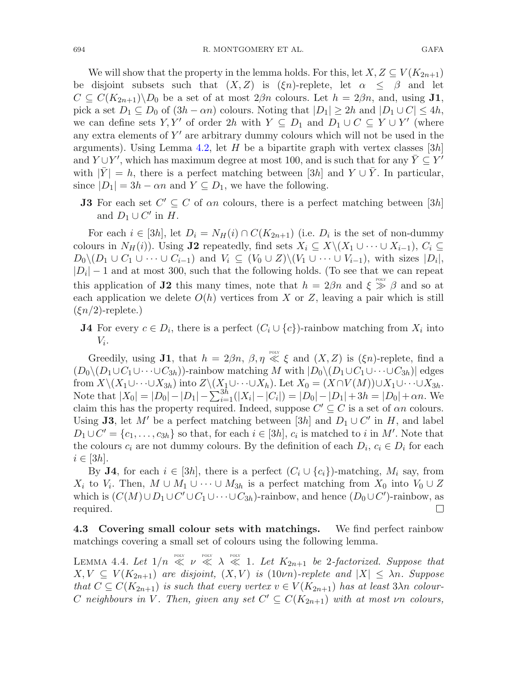We will show that the property in the lemma holds. For this, let  $X, Z \subseteq V(K_{2n+1})$ be disjoint subsets such that  $(X, Z)$  is  $(\xi n)$ -replete, let  $\alpha \leq \beta$  and let  $C \subseteq C(K_{2n+1})\backslash D_0$  be a set of at most  $2\beta n$  colours. Let  $h = 2\beta n$ , and, using **J1**, pick a set  $D_1 \subseteq D_0$  of  $(3h - \alpha n)$  colours. Noting that  $|D_1| \geq 2h$  and  $|D_1 \cup C| \leq 4h$ , we can define sets Y, Y' of order 2h with  $Y \subseteq D_1$  and  $D_1 \cup C \subseteq Y \cup Y'$  (where any extra elements of  $Y'$  are arbitrary dummy colours which will not be used in the arguments). Using Lemma [4.2,](#page-30-0) let H be a bipartite graph with vertex classes  $[3h]$ and  $Y \cup Y'$ , which has maximum degree at most 100, and is such that for any  $\overline{Y} \subseteq Y'$ with  $|Y| = h$ , there is a perfect matching between [3h] and  $Y \cup Y$ . In particular, since  $|D_1| = 3h - \alpha n$  and  $Y \subseteq D_1$ , we have the following.

**J3** For each set  $C' \subseteq C$  of an colours, there is a perfect matching between [3h] and  $D_1 \cup C'$  in H.

For each  $i \in [3h]$ , let  $D_i = N_H(i) \cap C(K_{2n+1})$  (i.e.  $D_i$  is the set of non-dummy colours in  $N_H(i)$ ). Using **J2** repeatedly, find sets  $X_i \subseteq X \setminus (X_1 \cup \cdots \cup X_{i-1}), C_i \subseteq$  $D_0 \setminus (D_1 \cup C_1 \cup \cdots \cup C_{i-1})$  and  $V_i \subseteq (V_0 \cup Z) \setminus (V_1 \cup \cdots \cup V_{i-1}),$  with sizes  $|D_i|$ ,  $|D_i| - 1$  and at most 300, such that the following holds. (To see that we can repeat this application of **J2** this many times, note that  $h = 2\beta n$  and  $\xi \gg \beta$  and so at each application we delete  $O(h)$  vertices from X or Z, leaving a pair which is still  $(\xi n/2)$ -replete.)

**J4** For every  $c \in D_i$ , there is a perfect  $(C_i \cup \{c\})$ -rainbow matching from  $X_i$  into  $V_i$ .

Greedily, using **J1**, that  $h = 2\beta n$ ,  $\beta, \eta \ll \xi$  and  $(X, Z)$  is  $(\xi n)$ -replete, find a  $(D_0\setminus (D_1\cup C_1\cup\cdots\cup C_{3h})$ -rainbow matching M with  $|D_0\setminus (D_1\cup C_1\cup\cdots\cup C_{3h})|$  edges from  $X\setminus (X_1\cup\cdots\cup X_{3h})$  into  $Z\setminus (X_1\cup\cdots\cup X_h)$ . Let  $X_0 = (X\cap V(M))\cup X_1\cup\cdots\cup X_{3h}$ . Note that  $|X_0| = |D_0| - |D_1| - \sum_{i=1}^{3h} (|X_i| - |C_i|) = |D_0| - |D_1| + 3h = |D_0| + \alpha n$ . We claim this has the property required. Indeed, suppose  $C' \subseteq C$  is a set of  $\alpha n$  colours. Using **J3**, let M' be a perfect matching between [3h] and  $D_1 \cup C'$  in H, and label  $D_1 \cup C' = \{c_1, \ldots, c_{3h}\}\$  so that, for each  $i \in [3h]$ ,  $c_i$  is matched to i in M'. Note that the colours  $c_i$  are not dummy colours. By the definition of each  $D_i$ ,  $c_i \in D_i$  for each  $i \in [3h]$ .

By **J4**, for each  $i \in [3h]$ , there is a perfect  $(C_i \cup \{c_i\})$ -matching,  $M_i$  say, from  $X_i$  to  $V_i$ . Then,  $M \cup M_1 \cup \cdots \cup M_{3h}$  is a perfect matching from  $X_0$  into  $V_0 \cup Z$ which is  $(C(M) \cup D_1 \cup C' \cup C_1 \cup \cdots \cup C_{3h})$ -rainbow, and hence  $(D_0 \cup C')$ -rainbow, as required.  $\Box$ 

<span id="page-31-0"></span>**4.3 Covering small colour sets with matchings.** We find perfect rainbow matchings covering a small set of colours using the following lemma.

LEMMA 4.4. Let  $1/n \ll \nu \ll \lambda \ll 1$ . Let  $K_{2n+1}$  be 2-factorized. Suppose that  $X, V \subseteq V(K_{2n+1})$  are disjoint,  $(X, V)$  is  $(10\nu n)$ -replete and  $|X| \leq \lambda n$ . Suppose *that*  $C \subseteq C(K_{2n+1})$  *is such that every vertex*  $v \in V(K_{2n+1})$  *has at least*  $3\lambda n$  *colour-*C neighbours in V. Then, given any set  $C' \subseteq C(K_{2n+1})$  with at most vn colours,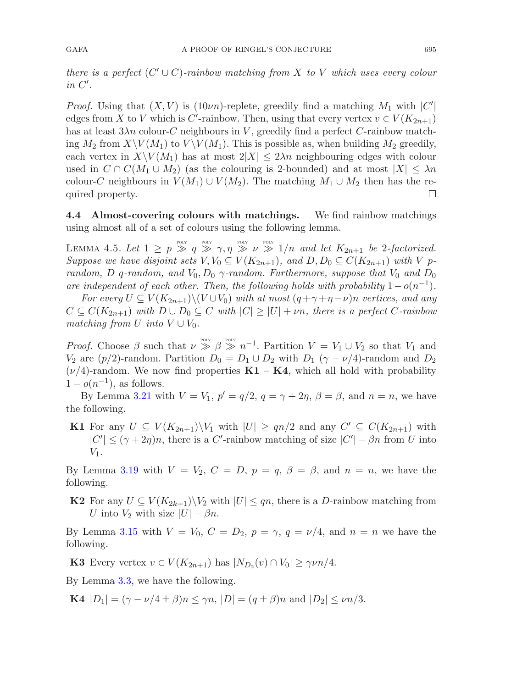*there is a perfect*  $(C' \cup C)$ *-rainbow matching from X to* V which uses every colour *in* C *.*

*Proof.* Using that  $(X, V)$  is  $(10\nu n)$ -replete, greedily find a matching  $M_1$  with  $|C'|$ edges from X to V which is C'-rainbow. Then, using that every vertex  $v \in V(K_{2n+1})$ has at least  $3\lambda n$  colour-C neighbours in V, greedily find a perfect C-rainbow matching  $M_2$  from  $X \backslash V(M_1)$  to  $V \backslash V(M_1)$ . This is possible as, when building  $M_2$  greedily, each vertex in  $X\setminus V(M_1)$  has at most  $2|X| \leq 2\lambda n$  neighbouring edges with colour used in  $C \cap C(M_1 \cup M_2)$  (as the colouring is 2-bounded) and at most  $|X| \leq \lambda n$ colour-C neighbours in  $V(M_1) \cup V(M_2)$ . The matching  $M_1 \cup M_2$  then has the re-<br>quired property. quired property.

<span id="page-32-0"></span>**4.4 Almost-covering colours with matchings.** We find rainbow matchings using almost all of a set of colours using the following lemma.

LEMMA 4.5. Let  $1 \geq p \gg q \gg \gamma, \eta \gg \gamma$  poly  $\nu \gg 1/n$  and let  $K_{2n+1}$  be 2-factorized. *Suppose we have disjoint sets*  $V, V_0 \subseteq V(K_{2n+1})$ *, and*  $D, D_0 \subseteq C(K_{2n+1})$  *with* V p*random,* D q-random, and  $V_0$ ,  $D_0$   $\gamma$ -random. Furthermore, suppose that  $V_0$  *and*  $D_0$ *are independent of each other. Then, the following holds with probability*  $1-o(n^{-1})$ *.* 

*For every*  $U \subseteq V(K_{2n+1})\setminus (V \cup V_0)$  *with at most*  $(q+\gamma+\eta-\nu)n$  *vertices, and any*  $C \subseteq C(K_{2n+1})$  *with*  $D \cup D_0 \subseteq C$  *with*  $|C| \geq |U| + \nu n$ *, there is a perfect* C-rainbow *matching from*  $U$  *into*  $V \cup V_0$ *.* 

*Proof.* Choose  $\beta$  such that  $\nu \gg \beta \gg n^{-1}$ . Partition  $V = V_1 \cup V_2$  so that  $V_1$  and  $V_2$  are  $(p/2)$ -random. Partition  $D_0 = D_1 \cup D_2$  with  $D_1 (\gamma - \nu/4)$ -random and  $D_2$ ( $\nu/4$ )-random. We now find properties  $\mathbf{K1} - \mathbf{K4}$ , which all hold with probability  $1-o(n^{-1})$ , as follows.

By Lemma [3.21](#page-25-0) with  $V = V_1$ ,  $p' = q/2$ ,  $q = \gamma + 2\eta$ ,  $\beta = \beta$ , and  $n = n$ , we have the following.

**K1** For any  $U \subseteq V(K_{2n+1})\backslash V_1$  with  $|U| \geq qn/2$  and any  $C' \subseteq C(K_{2n+1})$  with  $|C'| \leq (\gamma + 2\eta)n$ , there is a C'-rainbow matching of size  $|C'| - \beta n$  from U into  $V_1$ .

By Lemma [3.19](#page-24-1) with  $V = V_2$ ,  $C = D$ ,  $p = q$ ,  $\beta = \beta$ , and  $n = n$ , we have the following.

**K2** For any  $U \subseteq V(K_{2k+1})\backslash V_2$  with  $|U| \leq qn$ , there is a D-rainbow matching from U into  $V_2$  with size  $|U| - \beta n$ .

By Lemma [3.15](#page-23-0) with  $V = V_0$ ,  $C = D_2$ ,  $p = \gamma$ ,  $q = \nu/4$ , and  $n = n$  we have the following.

**K3** Every vertex  $v \in V(K_{2n+1})$  has  $|N_{D_2}(v) \cap V_0| \geq \gamma \nu n/4$ .

By Lemma [3.3,](#page-17-1) we have the following.

**K4**  $|D_1| = (\gamma - \nu/4 \pm \beta)n \leq \gamma n$ ,  $|D| = (q \pm \beta)n$  and  $|D_2| \leq \nu n/3$ .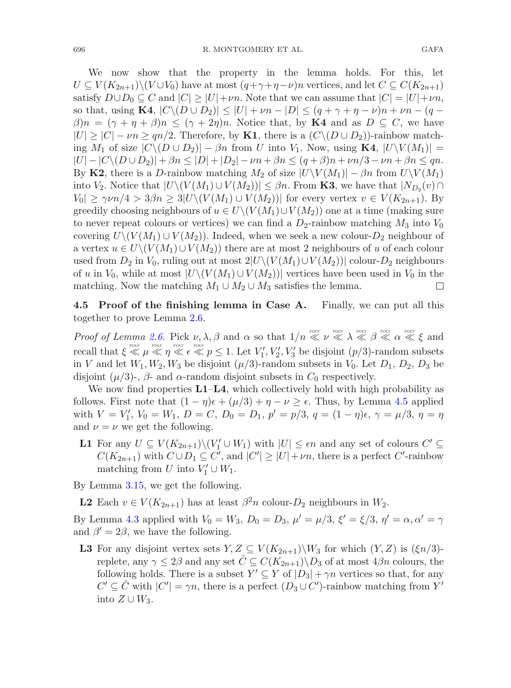We now show that the property in the lemma holds. For this, let  $U \subseteq V(K_{2n+1})\setminus (V \cup V_0)$  have at most  $(q+\gamma+\eta-\nu)n$  vertices, and let  $C \subseteq C(K_{2n+1})$ satisfy  $D \cup D_0 \subseteq C$  and  $|C| \geq |U| + \nu n$ . Note that we can assume that  $|C| = |U| + \nu n$ , so that, using **K4**,  $|C \setminus (D \cup D_2)| \leq |U| + \nu n - |D| \leq (q + \gamma + \eta - \nu)n + \nu n - (q - \nu)n$  $\beta$ )n =  $(\gamma + \eta + \beta)n \leq (\gamma + 2\eta)n$ . Notice that, by **K4** and as  $D \subseteq C$ , we have  $|U| \ge |C| - \nu n \ge qn/2$ . Therefore, by **K1**, there is a  $(C \setminus (D \cup D_2))$ -rainbow matching  $M_1$  of size  $|C \setminus (D \cup D_2)| - \beta n$  from U into  $V_1$ . Now, using **K4**,  $|U \setminus V(M_1)| =$  $|U| - |C \setminus (D \cup D_2)| + \beta n \leq |D| + |D_2| - \nu n + \beta n \leq (q + \beta)n + \nu n/3 - \nu n + \beta n \leq qn.$ By **K2**, there is a D-rainbow matching  $M_2$  of size  $|U \setminus V(M_1)| - \beta n$  from  $U \setminus V(M_1)$ into  $V_2$ . Notice that  $|U\setminus (V(M_1)\cup V(M_2))|\leq \beta n$ . From **K3**, we have that  $|N_{D_2}(v)\cap V(M_2)|$  $|V_0| \geq \gamma \nu n/4 > 3\beta n \geq 3|U\setminus (V(M_1) \cup V(M_2))|$  for every vertex  $v \in V(K_{2n+1})$ . By greedily choosing neighbours of  $u \in U\setminus (V(M_1) \cup V(M_2))$  one at a time (making sure to never repeat colours or vertices) we can find a  $D_2$ -rainbow matching  $M_3$  into  $V_0$ covering  $U\setminus (V(M_1) \cup V(M_2))$ . Indeed, when we seek a new colour- $D_2$  neighbour of a vertex  $u \in U \setminus (V(M_1) \cup V(M_2))$  there are at most 2 neighbours of u of each colour used from  $D_2$  in  $V_0$ , ruling out at most  $2|U\setminus (V(M_1)\cup V(M_2))|$  colour- $D_2$  neighbours

of u in  $V_0$ , while at most  $|U\setminus (V(M_1) \cup V(M_2))|$  vertices have been used in  $V_0$  in the matching. Now the matching  $M_1 \cup M_2 \cup M_3$  satisfies the lemma. matching. Now the matching  $M_1 \cup M_2 \cup M_3$  satisfies the lemma.

<span id="page-33-0"></span>**4.5 Proof of the finishing lemma in Case A.** Finally, we can put all this together to prove Lemma [2.6.](#page-13-0)

*Proof of Lemma [2.6.](#page-13-0)* Pick  $\nu, \lambda, \beta$  and  $\alpha$  so that  $1/n \ll \nu \ll \lambda \ll \beta \ll \alpha \ll \xi$  and recall that  $\xi \ll \mu \ll \eta \ll \epsilon \ll p \le 1$ . Let  $V'_1, V'_2, V'_3$  be disjoint  $(p/3)$ -random subsets in V and let  $W_1, W_2, W_3$  be disjoint  $(\mu/3)$ -random subsets in  $V_0$ . Let  $D_1, D_2, D_3$  be disjoint  $(\mu/3)$ -,  $\beta$ - and  $\alpha$ -random disjoint subsets in  $C_0$  respectively.

We now find properties **L1**–**L4**, which collectively hold with high probability as follows. First note that  $(1 - \eta)\epsilon + (\mu/3) + \eta - \nu \geq \epsilon$ . Thus, by Lemma [4.5](#page-32-0) applied with  $V = V'_1$ ,  $V_0 = W_1$ ,  $D = C$ ,  $D_0 = D_1$ ,  $p' = p/3$ ,  $q = (1 - \eta)\epsilon$ ,  $\gamma = \mu/3$ ,  $\eta = \eta$ and  $\nu = \nu$  we get the following.

**L1** For any  $U \subseteq V(K_{2n+1}) \setminus (V'_1 \cup W_1)$  with  $|U| \leq \epsilon n$  and any set of colours  $C' \subseteq$  $C(K_{2n+1})$  with  $C \cup D_1 \subseteq C'$ , and  $|C'| \geq |U| + \nu n$ , there is a perfect  $C'$ -rainbow matching from U into  $V'_1 \cup W_1$ .

By Lemma [3.15,](#page-23-0) we get the following.

**L2** Each  $v \in V(K_{2n+1})$  has at least  $\beta^2 n$  colour- $D_2$  neighbours in  $W_2$ .

By Lemma [4.3](#page-30-1) applied with  $V_0 = W_3$ ,  $D_0 = D_3$ ,  $\mu' = \mu/3$ ,  $\xi' = \xi/3$ ,  $\eta' = \alpha$ ,  $\alpha' = \gamma$ and  $\beta' = 2\beta$ , we have the following.

**L3** For any disjoint vertex sets  $Y, Z \subseteq V(K_{2n+1})\backslash W_3$  for which  $(Y, Z)$  is  $(\xi n/3)$ replete, any  $\gamma \leq 2\beta$  and any set  $\hat{C} \subseteq C(K_{2n+1})\backslash D_3$  of at most  $4\beta n$  colours, the following holds. There is a subset  $Y' \subseteq Y$  of  $|D_3| + \gamma n$  vertices so that, for any  $C' \subseteq \hat{C}$  with  $|C'| = \gamma n$ , there is a perfect  $(D_3 \cup C')$ -rainbow matching from  $Y'$ into  $Z \cup W_3$ .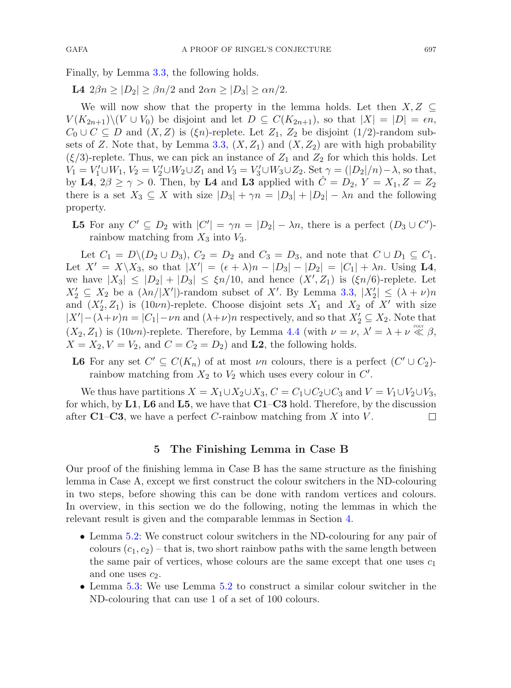Finally, by Lemma [3.3,](#page-17-1) the following holds.

**L4**  $2\beta n \geq |D_2| \geq \beta n/2$  and  $2\alpha n \geq |D_3| \geq \alpha n/2$ .

We will now show that the property in the lemma holds. Let then  $X, Z \subseteq$  $V(K_{2n+1})\setminus (V\cup V_0)$  be disjoint and let  $D\subseteq C(K_{2n+1}),$  so that  $|X|=|D|=\epsilon n$ ,  $C_0 \cup C \subseteq D$  and  $(X, Z)$  is  $(\xi n)$ -replete. Let  $Z_1, Z_2$  be disjoint  $(1/2)$ -random sub-sets of Z. Note that, by Lemma [3.3,](#page-17-1)  $(X, Z_1)$  and  $(X, Z_2)$  are with high probability  $(\xi/3)$ -replete. Thus, we can pick an instance of  $Z_1$  and  $Z_2$  for which this holds. Let  $V_1 = V_1' \cup W_1, V_2 = V_2' \cup W_2 \cup Z_1$  and  $V_3 = V_3' \cup W_3 \cup Z_2$ . Set  $\gamma = (|D_2|/n) - \lambda$ , so that, by **L4**,  $2\beta \ge \gamma > 0$ . Then, by **L4** and **L3** applied with  $\hat{C} = D_2$ ,  $Y = X_1, Z = Z_2$ there is a set  $X_3 \subseteq X$  with size  $|D_3| + \gamma n = |D_3| + |D_2| - \lambda n$  and the following property.

**L5** For any  $C' \subseteq D_2$  with  $|C'| = \gamma n = |D_2| - \lambda n$ , there is a perfect  $(D_3 \cup C')$ rainbow matching from  $X_3$  into  $V_3$ .

Let  $C_1 = D \setminus (D_2 \cup D_3)$ ,  $C_2 = D_2$  and  $C_3 = D_3$ , and note that  $C \cup D_1 \subseteq C_1$ . Let  $X' = X \setminus X_3$ , so that  $|X'| = (\epsilon + \lambda)n - |D_3| - |D_2| = |C_1| + \lambda n$ . Using **L4**, we have  $|X_3| \leq |D_2| + |D_3| \leq \xi n/10$ , and hence  $(X', Z_1)$  is  $(\xi n/6)$ -replete. Let  $X'_2 \subseteq X_2$  be a  $(\lambda n / |X'|)$ -random subset of X'. By Lemma [3.3,](#page-17-1)  $|X'_2| \leq (\lambda + \nu)n$ and  $(X'_2, Z_1)$  is  $(10\nu n)$ -replete. Choose disjoint sets  $X_1$  and  $X_2$  of  $X'$  with size  $|X'|-(\lambda+\nu)n=|C_1|-\nu n$  and  $(\lambda+\nu)n$  respectively, and so that  $X'_2\subseteq X_2$ . Note that  $(X_2, Z_1)$  is  $(10\nu n)$ -replete. Therefore, by Lemma [4.4](#page-31-0) (with  $\nu = \nu, \lambda' = \lambda + \nu \ll \beta$ ,  $X = X_2, V = V_2$ , and  $C = C_2 = D_2$  and **L2**, the following holds.

**L6** For any set  $C' \subseteq C(K_n)$  of at most  $\nu_n$  colours, there is a perfect  $(C' \cup C_2)$ rainbow matching from  $X_2$  to  $V_2$  which uses every colour in  $C'$ .

We thus have partitions  $X = X_1 \cup X_2 \cup X_3$ ,  $C = C_1 \cup C_2 \cup C_3$  and  $V = V_1 \cup V_2 \cup V_3$ , for which, by **L1**, **L6** and **L5**, we have that **C1**–**C3** hold. Therefore, by the discussion after  $C1-C3$ , we have a perfect C-rainbow matching from X into V.  $\Box$ 

## **5 The Finishing Lemma in Case B**

<span id="page-34-0"></span>Our proof of the finishing lemma in Case B has the same structure as the finishing lemma in Case A, except we first construct the colour switchers in the ND-colouring in two steps, before showing this can be done with random vertices and colours. In overview, in this section we do the following, noting the lemmas in which the relevant result is given and the comparable lemmas in Section [4.](#page-29-0)

- Lemma [5.2:](#page-35-1) We construct colour switchers in the ND-colouring for any pair of colours  $(c_1, c_2)$  – that is, two short rainbow paths with the same length between the same pair of vertices, whose colours are the same except that one uses  $c_1$ and one uses  $c_2$ .
- Lemma [5.3:](#page-37-0) We use Lemma [5.2](#page-35-1) to construct a similar colour switcher in the ND-colouring that can use 1 of a set of 100 colours.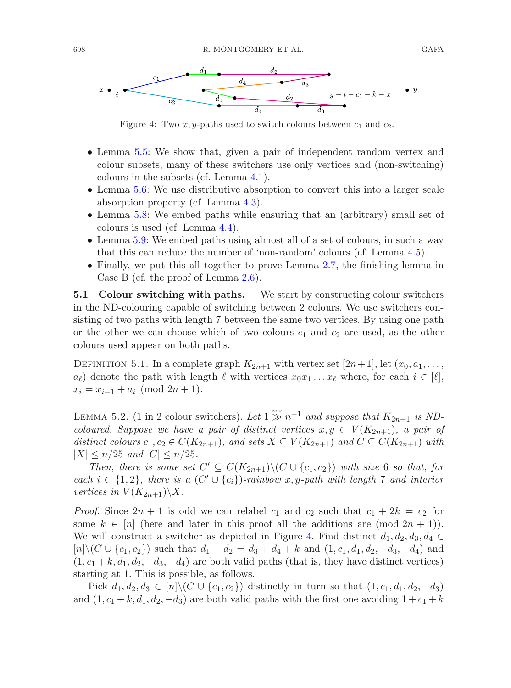

<span id="page-35-2"></span>Figure 4: Two  $x, y$ -paths used to switch colours between  $c_1$  and  $c_2$ .

- Lemma [5.5:](#page-38-0) We show that, given a pair of independent random vertex and colour subsets, many of these switchers use only vertices and (non-switching) colours in the subsets (cf. Lemma [4.1\)](#page-29-2).
- Lemma [5.6:](#page-38-1) We use distributive absorption to convert this into a larger scale absorption property (cf. Lemma [4.3\)](#page-30-1).
- Lemma [5.8:](#page-40-0) We embed paths while ensuring that an (arbitrary) small set of colours is used (cf. Lemma [4.4\)](#page-31-0).
- Lemma [5.9:](#page-41-0) We embed paths using almost all of a set of colours, in such a way that this can reduce the number of 'non-random' colours (cf. Lemma [4.5\)](#page-32-0).
- Finally, we put this all together to prove Lemma [2.7,](#page-13-1) the finishing lemma in Case B (cf. the proof of Lemma [2.6\)](#page-13-0).

<span id="page-35-0"></span>**5.1 Colour switching with paths.** We start by constructing colour switchers in the ND-colouring capable of switching between 2 colours. We use switchers consisting of two paths with length 7 between the same two vertices. By using one path or the other we can choose which of two colours  $c_1$  and  $c_2$  are used, as the other colours used appear on both paths.

DEFINITION 5.1. In a complete graph  $K_{2n+1}$  with vertex set  $|2n+1|$ , let  $(x_0, a_1, \ldots, a_n)$  $a_{\ell}$  denote the path with length  $\ell$  with vertices  $x_0x_1 \ldots x_{\ell}$  where, for each  $i \in [\ell],$  $x_i = x_{i-1} + a_i \pmod{2n+1}.$ 

<span id="page-35-1"></span>LEMMA 5.2. (1 in 2 colour switchers). Let  $1 \gg n^{-1}$  *and suppose that*  $K_{2n+1}$  *is NDcoloured. Suppose we have a pair of distinct vertices*  $x, y \in V(K_{2n+1})$ *, a pair of* distinct colours  $c_1, c_2 \in C(K_{2n+1})$ , and sets  $X \subseteq V(K_{2n+1})$  and  $C \subseteq C(K_{2n+1})$  with  $|X| \leq n/25$  *and*  $|C| \leq n/25$ *.* 

*Then, there is some set*  $C' \subseteq C(K_{2n+1}) \setminus (C \cup \{c_1, c_2\})$  *with size* 6 *so that, for each*  $i \in \{1,2\}$ , there is a  $(C' \cup \{c_i\})$ -rainbow x, y-path with length 7 and interior *vertices in*  $V(K_{2n+1})\X$ .

*Proof.* Since  $2n + 1$  is odd we can relabel  $c_1$  and  $c_2$  such that  $c_1 + 2k = c_2$  for some  $k \in [n]$  (here and later in this proof all the additions are (mod  $2n + 1$ )). We will construct a switcher as depicted in Figure [4.](#page-35-2) Find distinct  $d_1, d_2, d_3, d_4 \in$  $[n]\setminus (C\cup \{c_1, c_2\})$  such that  $d_1 + d_2 = d_3 + d_4 + k$  and  $(1, c_1, d_1, d_2, -d_3, -d_4)$  and  $(1, c_1 + k, d_1, d_2, -d_3, -d_4)$  are both valid paths (that is, they have distinct vertices) starting at 1. This is possible, as follows.

Pick  $d_1, d_2, d_3 \in [n] \setminus (C \cup \{c_1, c_2\})$  distinctly in turn so that  $(1, c_1, d_1, d_2, -d_3)$ and  $(1, c_1 + k, d_1, d_2, -d_3)$  are both valid paths with the first one avoiding  $1 + c_1 + k$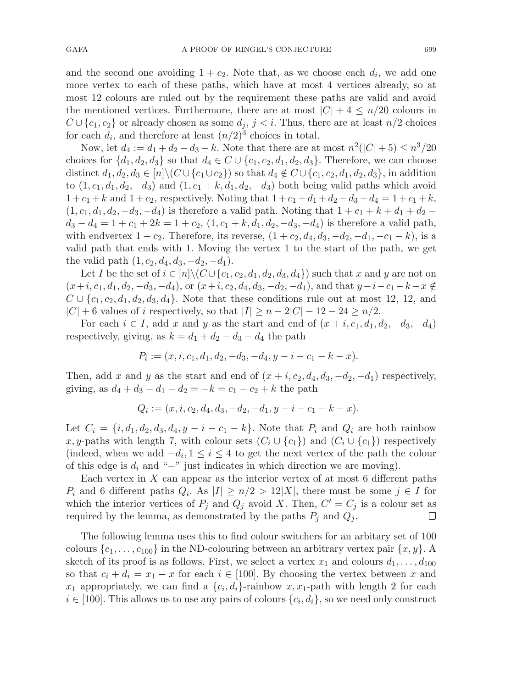and the second one avoiding  $1 + c_2$ . Note that, as we choose each  $d_i$ , we add one more vertex to each of these paths, which have at most 4 vertices already, so at most 12 colours are ruled out by the requirement these paths are valid and avoid the mentioned vertices. Furthermore, there are at most  $|C| + 4 \leq n/20$  colours in  $C \cup \{c_1, c_2\}$  or already chosen as some  $d_j$ ,  $j < i$ . Thus, there are at least  $n/2$  choices for each  $d_i$ , and therefore at least  $(n/2)^3$  choices in total.

Now, let  $d_4 := d_1 + d_2 - d_3 - k$ . Note that there are at most  $n^2(|C|+5) \leq n^3/20$ choices for  $\{d_1, d_2, d_3\}$  so that  $d_4 \in C \cup \{c_1, c_2, d_1, d_2, d_3\}$ . Therefore, we can choose distinct  $d_1, d_2, d_3 \in [n] \backslash (C \cup \{c_1 \cup c_2\})$  so that  $d_4 \notin C \cup \{c_1, c_2, d_1, d_2, d_3\}$ , in addition to  $(1, c_1, d_1, d_2, -d_3)$  and  $(1, c_1 + k, d_1, d_2, -d_3)$  both being valid paths which avoid  $1 + c_1 + k$  and  $1 + c_2$ , respectively. Noting that  $1 + c_1 + d_1 + d_2 - d_3 - d_4 = 1 + c_1 + k$ ,  $(1, c_1, d_1, d_2, -d_3, -d_4)$  is therefore a valid path. Noting that  $1 + c_1 + k + d_1 + d_2$  $d_3 - d_4 = 1 + c_1 + 2k = 1 + c_2$ ,  $(1, c_1 + k, d_1, d_2, -d_3, -d_4)$  is therefore a valid path, with endvertex  $1 + c_2$ . Therefore, its reverse,  $(1 + c_2, d_4, d_3, -d_2, -d_1, -c_1 - k)$ , is a valid path that ends with 1. Moving the vertex 1 to the start of the path, we get the valid path  $(1, c_2, d_4, d_3, -d_2, -d_1)$ .

Let I be the set of  $i \in [n] \setminus (C \cup \{c_1, c_2, d_1, d_2, d_3, d_4\})$  such that x and y are not on  $(x+i, c_1, d_1, d_2, -d_3, -d_4)$ , or  $(x+i, c_2, d_4, d_3, -d_2, -d_1)$ , and that  $y-i-c_1-k-x \notin$  $C \cup \{c_1, c_2, d_1, d_2, d_3, d_4\}$ . Note that these conditions rule out at most 12, 12, and  $|C| + 6$  values of i respectively, so that  $|I| \ge n - 2|C| - 12 - 24 \ge n/2$ .

For each  $i \in I$ , add x and y as the start and end of  $(x + i, c_1, d_1, d_2, -d_3, -d_4)$ respectively, giving, as  $k = d_1 + d_2 - d_3 - d_4$  the path

$$
P_i:=(x,i,c_1,d_1,d_2,-d_3,-d_4,y-i-c_1-k-x).
$$

Then, add x and y as the start and end of  $(x + i, c_2, d_4, d_3, -d_2, -d_1)$  respectively, giving, as  $d_4 + d_3 - d_1 - d_2 = -k = c_1 - c_2 + k$  the path

$$
Q_i:=(x,i,c_2,d_4,d_3,-d_2,-d_1,y-i-c_1-k-x).
$$

Let  $C_i = \{i, d_1, d_2, d_3, d_4, y - i - c_1 - k\}$ . Note that  $P_i$  and  $Q_i$  are both rainbow x, y-paths with length 7, with colour sets  $(C_i \cup \{c_1\})$  and  $(C_i \cup \{c_1\})$  respectively (indeed, when we add  $-d_i, 1 \leq i \leq 4$  to get the next vertex of the path the colour of this edge is  $d_i$  and "−" just indicates in which direction we are moving).

Each vertex in  $X$  can appear as the interior vertex of at most 6 different paths  $P_i$  and 6 different paths  $Q_i$ . As  $|I| \geq n/2 > 12|X|$ , there must be some  $j \in I$  for which the interior vertices of  $P_j$  and  $Q_j$  avoid X. Then,  $C' = C_j$  is a colour set as required by the lemma, as demonstrated by the paths  $P_i$  and  $Q_i$ .  $\Box$ 

The following lemma uses this to find colour switchers for an arbitary set of 100 colours  $\{c_1,\ldots,c_{100}\}\$  in the ND-colouring between an arbitrary vertex pair  $\{x,y\}$ . sketch of its proof is as follows. First, we select a vertex  $x_1$  and colours  $d_1, \ldots, d_{100}$ so that  $c_i + d_i = x_1 - x$  for each  $i \in [100]$ . By choosing the vertex between x and  $x_1$  appropriately, we can find a  $\{c_i, d_i\}$ -rainbow  $x, x_1$ -path with length 2 for each  $i \in [100]$ . This allows us to use any pairs of colours  $\{c_i, d_i\}$ , so we need only construct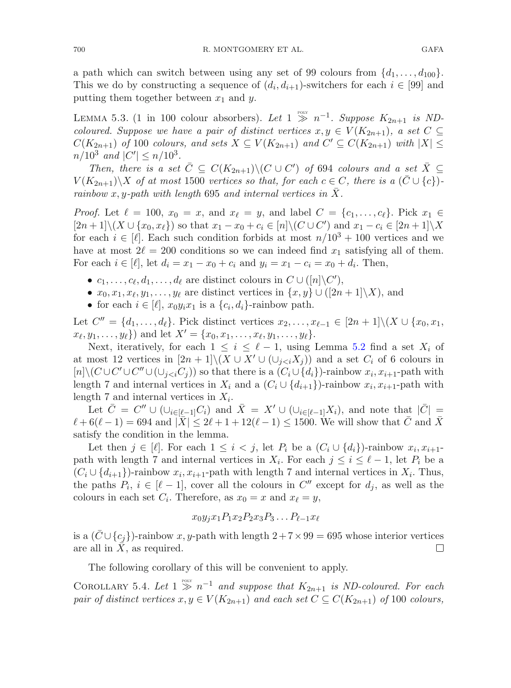a path which can switch between using any set of 99 colours from  $\{d_1,\ldots,d_{100}\}.$ This we do by constructing a sequence of  $(d_i, d_{i+1})$ -switchers for each  $i \in [99]$  and putting them together between  $x_1$  and y.

<span id="page-37-0"></span>LEMMA 5.3. (1 in 100 colour absorbers). Let  $1 \gg n^{-1}$ . Suppose  $K_{2n+1}$  is ND*coloured. Suppose we have a pair of distinct vertices*  $x, y \in V(K_{2n+1})$ *, a set*  $C \subseteq$  $C(K_{2n+1})$  *of* 100 *colours, and sets*  $X \subseteq V(K_{2n+1})$  *and*  $C' \subseteq C(K_{2n+1})$  *with*  $|X| \leq$  $n/10^3$  and  $|C'| \le n/10^3$ .

*Then, there is a set*  $\overline{C} \subseteq C(K_{2n+1}) \setminus (C \cup C')$  *of* 694 *colours and a set*  $\overline{X} \subseteq$  $V(K_{2n+1})\ X$  *of at most* 1500 *vertices so that, for each*  $c \in C$ *, there is a*  $(\bar{C} \cup \{c\})$ *rainbow* x, y-path with length 695 and internal vertices in  $\bar{X}$ .

*Proof.* Let  $\ell = 100$ ,  $x_0 = x$ , and  $x_{\ell} = y$ , and label  $C = \{c_1, \ldots, c_{\ell}\}$ . Pick  $x_1 \in$  $[2n+1]\setminus (X\cup \{x_0, x_\ell\})$  so that  $x_1 - x_0 + c_i \in [n]\setminus (C\cup C')$  and  $x_1 - c_i \in [2n+1]\setminus X$ for each  $i \in [\ell]$ . Each such condition forbids at most  $n/10^3 + 100$  vertices and we have at most  $2\ell = 200$  conditions so we can indeed find  $x_1$  satisfying all of them. For each  $i \in [\ell]$ , let  $d_i = x_1 - x_0 + c_i$  and  $y_i = x_1 - c_i = x_0 + d_i$ . Then,

- $c_1, \ldots, c_\ell, d_1, \ldots, d_\ell$  are distinct colours in  $C \cup ([n] \backslash C'),$
- $x_0, x_1, x_\ell, y_1, \ldots, y_\ell$  are distinct vertices in  $\{x, y\} \cup ([2n + 1]\setminus X)$ , and
- for each  $i \in [\ell], x_0 y_i x_1$  is a  $\{c_i, d_i\}$ -rainbow path.

Let  $C'' = \{d_1, \ldots, d_\ell\}$ . Pick distinct vertices  $x_2, \ldots, x_{\ell-1} \in [2n+1] \setminus (X \cup \{x_0, x_1, x_1\})$  $x_{\ell}, y_1, \ldots, y_{\ell}$  and let  $X' = \{x_0, x_1, \ldots, x_{\ell}, y_1, \ldots, y_{\ell}\}.$ 

Next, iteratively, for each  $1 \leq i \leq \ell - 1$ , using Lemma [5.2](#page-35-1) find a set  $X_i$  of at most 12 vertices in  $[2n+1]\setminus (X\cup X'\cup (\cup_{j and a set  $C_i$  of 6 colours in$  $[n]\setminus (C\cup C'\cup C''\cup (\cup_{j so that there is a  $(C_i\cup\{d_i\})$ -rainbow  $x_i, x_{i+1}$ -path with$ length 7 and internal vertices in  $X_i$  and a  $(C_i \cup \{d_{i+1}\})$ -rainbow  $x_i, x_{i+1}$ -path with length 7 and internal vertices in  $X_i$ .

Let  $\overline{C} = C'' \cup (\cup_{i \in [\ell-1]} C_i)$  and  $\overline{X} = X' \cup (\cup_{i \in [\ell-1]} X_i)$ , and note that  $|\overline{C}| =$  $\ell + 6(\ell - 1) = 694$  and  $|\bar{X}| \leq 2\ell + 1 + 12(\ell - 1) \leq 1500$ . We will show that C and X satisfy the condition in the lemma.

Let then  $j \in [\ell]$ . For each  $1 \leq i < j$ , let  $P_i$  be a  $(C_i \cup \{d_i\})$ -rainbow  $x_i, x_{i+1}$ path with length 7 and internal vertices in  $X_i$ . For each  $j \leq i \leq \ell - 1$ , let  $P_i$  be a  $(C_i \cup \{d_{i+1}\})$ -rainbow  $x_i, x_{i+1}$ -path with length 7 and internal vertices in  $X_i$ . Thus, the paths  $P_i$ ,  $i \in [\ell - 1]$ , cover all the colours in  $C''$  except for  $d_j$ , as well as the colours in each set  $C_i$ . Therefore, as  $x_0 = x$  and  $x_\ell = y$ ,

<span id="page-37-1"></span>
$$
x_0y_jx_1P_1x_2P_2x_3P_3\dots P_{\ell-1}x_\ell
$$

is a  $(\bar{C} \cup \{c_j\})$ -rainbow  $x, y$ -path with length  $2 + 7 \times 99 = 695$  whose interior vertices are all in  $\bar{X}$ , as required. are all in  $X$ , as required.

The following corollary of this will be convenient to apply.

COROLLARY 5.4. Let  $1 \geq n^{-1}$  and suppose that  $K_{2n+1}$  is ND-coloured. For each *pair of distinct vertices*  $x, y \in V(K_{2n+1})$  *and each set*  $C \subseteq C(K_{2n+1})$  *of* 100 *colours,*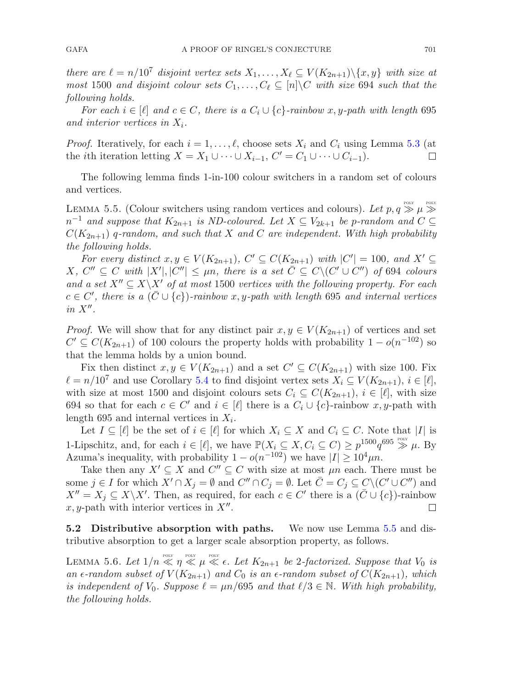*there are*  $\ell = n/10^7$  *disjoint vertex sets*  $X_1, \ldots, X_\ell \subseteq V(K_{2n+1})\backslash\{x, y\}$  *with size at most* 1500 *and disjoint colour sets*  $C_1, \ldots, C_\ell \subseteq [n] \backslash C$  *with size* 694 *such that the following holds.*

*For each*  $i \in [\ell]$  *and*  $c \in C$ *, there is a*  $C_i \cup \{c\}$ *-rainbow* x, y-path with length 695 and interior vertices in  $X_i$ .

*Proof.* Iteratively, for each  $i = 1, \ldots, \ell$ , choose sets  $X_i$  and  $C_i$  using Lemma [5.3](#page-37-0) (at the *i*th iteration letting  $X = X_1 \cup \cdots \cup X_{i-1}$ ,  $C' = C_1 \cup \cdots \cup C_{i-1}$ . П

<span id="page-38-0"></span>The following lemma finds 1-in-100 colour switchers in a random set of colours and vertices.

LEMMA 5.5. (Colour switchers using random vertices and colours). Let  $p, q \gg \mu \gg$  $n^{-1}$  *and suppose that*  $K_{2n+1}$  *is ND-coloured. Let*  $X \subseteq V_{2k+1}$  *be p-random and*  $C \subseteq$ C(K2n+1) q*-random, and such that* X *and* C *are independent. With high probability the following holds.*

*For every distinct*  $x, y \in V(K_{2n+1}), C' \subseteq C(K_{2n+1})$  *with*  $|C'| = 100$ *, and*  $X' \subseteq$  $X, C'' \subseteq C$  with  $|X'|, |C''| \leq \mu n$ , there is a set  $\overline{C} \subseteq C \setminus (C' \cup C'')$  of 694 colours *and a set*  $X'' \subseteq X \backslash X'$  *of at most* 1500 *vertices with the following property. For each*  $c \in C'$ , there is a ( $\overline{C} \cup \{c\}$ )-rainbow x, y-path with length 695 and internal vertices  $in X$ .

*Proof.* We will show that for any distinct pair  $x, y \in V(K_{2n+1})$  of vertices and set  $C' \subseteq C(K_{2n+1})$  of 100 colours the property holds with probability  $1-o(n^{-102})$  so that the lemma holds by a union bound.

Fix then distinct  $x, y \in V(K_{2n+1})$  and a set  $C' \subseteq C(K_{2n+1})$  with size 100. Fix  $\ell = n/10^7$  and use Corollary [5.4](#page-37-1) to find disjoint vertex sets  $X_i \subseteq V(K_{2n+1}), i \in [\ell],$ with size at most 1500 and disjoint colours sets  $C_i \subseteq C(K_{2n+1}), i \in [\ell]$ , with size 694 so that for each  $c \in C'$  and  $i \in [\ell]$  there is a  $C_i \cup \{c\}$ -rainbow  $x, y$ -path with length 695 and internal vertices in  $X_i$ .

Let  $I \subseteq [\ell]$  be the set of  $i \in [\ell]$  for which  $X_i \subseteq X$  and  $C_i \subseteq C$ . Note that  $|I|$  is 1-Lipschitz, and, for each  $i \in [\ell]$ , we have  $\mathbb{P}(X_i \subseteq X, C_i \subseteq C) \geq p^{1500} q^{695} \gg \mu$ . By Azuma's inequality, with probability  $1 - o(n^{-102})$  we have  $|I| \geq 10^4 \mu n$ .

Take then any  $X' \subseteq X$  and  $C'' \subseteq C$  with size at most  $\mu n$  each. There must be some  $j \in I$  for which  $X' \cap X_j = \emptyset$  and  $C'' \cap C_j = \emptyset$ . Let  $\overline{C} = C_j \subseteq C \setminus (C' \cup C'')$  and  $X'' = X_j \subseteq X \backslash X'$ . Then, as required, for each  $c \in C'$  there is a  $(\bar{C} \cup \{c\})$ -rainbow x, y-path with interior vertices in  $X''$ .

**5.2 Distributive absorption with paths.** We now use Lemma [5.5](#page-38-0) and distributive absorption to get a larger scale absorption property, as follows.

<span id="page-38-1"></span>LEMMA 5.6. Let  $1/n \ll n \ll \mu \ll \epsilon$ . Let  $K_{2n+1}$  be 2-factorized. Suppose that  $V_0$  is *an*  $\epsilon$ -random subset of  $V(K_{2n+1})$  and  $C_0$  is an  $\epsilon$ -random subset of  $C(K_{2n+1})$ , which *is independent of*  $V_0$ *. Suppose*  $\ell = \mu n/695$  *and that*  $\ell/3 \in \mathbb{N}$ *. With high probability, the following holds.*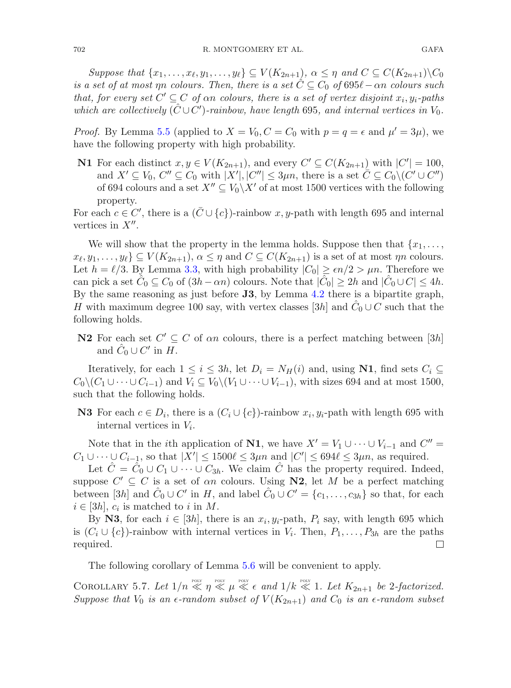$Suppose that \{x_1, \ldots, x_\ell, y_1, \ldots, y_\ell\} \subseteq V(K_{2n+1}), \alpha \leq \eta \text{ and } C \subseteq C(K_{2n+1})\backslash C_0$ *is a set of at most*  $\eta n$  *colours. Then, there is a set*  $\hat{C} \subseteq C_0$  *of* 695 $\ell - \alpha n$  *colours such that, for every set*  $C' \subseteq C$  *of*  $\alpha n$  *colours, there is a set of vertex disjoint*  $x_i, y_i$ -paths *which are collectively*  $(\hat{C} \cup C')$ -rainbow, have length 695, and internal vertices in  $V_0$ .

*Proof.* By Lemma [5.5](#page-38-0) (applied to  $X = V_0$ ,  $C = C_0$  with  $p = q = \epsilon$  and  $\mu' = 3\mu$ ), we have the following property with high probability.

**N1** For each distinct  $x, y \in V(K_{2n+1})$ , and every  $C' \subseteq C(K_{2n+1})$  with  $|C'| = 100$ , and  $X' \subseteq V_0$ ,  $C'' \subseteq C_0$  with  $|X'|, |C''| \leq 3\mu n$ , there is a set  $\overline{C} \subseteq C_0 \setminus (C' \cup C'')$ of 694 colours and a set  $X'' \subseteq V_0 \backslash X'$  of at most 1500 vertices with the following property.

For each  $c \in C'$ , there is a  $(\bar{C} \cup \{c\})$ -rainbow x, y-path with length 695 and internal vertices in  $X''$ .

We will show that the property in the lemma holds. Suppose then that  $\{x_1, \ldots,$  $\{x_{\ell}, y_1, \ldots, y_{\ell}\} \subseteq V(K_{2n+1}), \alpha \leq \eta \text{ and } C \subseteq C(K_{2n+1})$  is a set of at most  $\eta n$  colours. Let  $h = \ell/3$ . By Lemma [3.3,](#page-17-1) with high probability  $|C_0| \ge \epsilon n/2 > \mu n$ . Therefore we can pick a set  $C_0 \subseteq C_0$  of  $(3h - \alpha n)$  colours. Note that  $|\tilde{C}_0| \geq 2h$  and  $|\tilde{C}_0 \cup C| \leq 4h$ . By the same reasoning as just before **J3**, by Lemma [4.2](#page-30-0) there is a bipartite graph, H with maximum degree 100 say, with vertex classes [3h] and  $\ddot{C}_0 \cup C$  such that the following holds.

**N2** For each set  $C' \subseteq C$  of an colours, there is a perfect matching between [3h] and  $\hat{C}_0 \cup C'$  in H.

Iteratively, for each  $1 \leq i \leq 3h$ , let  $D_i = N_H(i)$  and, using **N1**, find sets  $C_i \subseteq$  $C_0\backslash (C_1\cup\cdots\cup C_{i-1})$  and  $V_i\subseteq V_0\backslash (V_1\cup\cdots\cup V_{i-1}),$  with sizes 694 and at most 1500, such that the following holds.

**N3** For each  $c \in D_i$ , there is a  $(C_i \cup \{c\})$ -rainbow  $x_i, y_i$ -path with length 695 with internal vertices in  $V_i$ .

Note that in the *i*th application of **N1**, we have  $X' = V_1 \cup \cdots \cup V_{i-1}$  and  $C'' =$  $C_1 \cup \cdots \cup C_{i-1}$ , so that  $|X'| \leq 1500 \ell \leq 3\mu n$  and  $|C'| \leq 694 \ell \leq 3\mu n$ , as required.

Let  $C = C_0 \cup C_1 \cup \cdots \cup C_{3h}$ . We claim C has the property required. Indeed, suppose  $C' \subseteq C$  is a set of an colours. Using **N2**, let M be a perfect matching between [3h] and  $\hat{C}_0 \cup C'$  in H, and label  $\hat{C}_0 \cup C' = \{c_1, \ldots, c_{3h}\}$  so that, for each  $i \in [3h]$ ,  $c_i$  is matched to i in M.

By **N3**, for each  $i \in [3h]$ , there is an  $x_i, y_i$ -path,  $P_i$  say, with length 695 which is  $(C_i \cup \{c\})$ -rainbow with internal vertices in  $V_i$ . Then,  $P_1, \ldots, P_{3h}$  are the paths required. required.

<span id="page-39-0"></span>The following corollary of Lemma [5.6](#page-38-1) will be convenient to apply.

COROLLARY 5.7. Let  $1/n \ll n \ll \mu \ll \epsilon$  and  $1/k \ll 1$ . Let  $K_{2n+1}$  be 2-factorized. *Suppose that*  $V_0$  *is an*  $\epsilon$ -random subset of  $V(K_{2n+1})$  *and*  $C_0$  *is an*  $\epsilon$ -random subset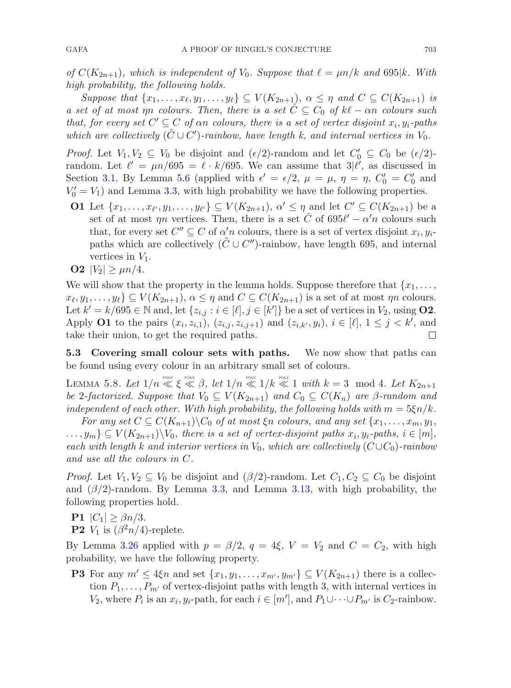*of*  $C(K_{2n+1})$ *, which is independent of*  $V_0$ *. Suppose that*  $\ell = \mu n/k$  *and* 695|k. With *high probability, the following holds.*

*Suppose that*  $\{x_1, \ldots, x_\ell, y_1, \ldots, y_\ell\} \subseteq V(K_{2n+1}), \alpha \leq \eta$  and  $C \subseteq C(K_{2n+1})$  *is a set of at most*  $\eta n$  *colours. Then, there is a set*  $\tilde{C} \subseteq C_0$  *of*  $k\ell - \alpha n$  *colours such that, for every set*  $C' \subseteq C$  *of*  $\alpha n$  *colours, there is a set of vertex disjoint*  $x_i, y_i$ -paths *which are collectively*  $(\hat{C} \cup C')$ -rainbow, have length k, and internal vertices in  $V_0$ .

*Proof.* Let  $V_1, V_2 \subseteq V_0$  be disjoint and  $(\epsilon/2)$ -random and let  $C'_0 \subseteq C_0$  be  $(\epsilon/2)$ random. Let  $\ell' = \mu n/695 = \ell \cdot k/695$ . We can assume that  $3\ell'$ , as discussed in Section [3.1.](#page-15-1) By Lemma [5.6](#page-38-1) (applied with  $\epsilon' = \epsilon/2$ ,  $\mu = \mu$ ,  $\eta = \eta$ ,  $C'_0 = C'_0$  and  $V'_0 = V_1$ ) and Lemma [3.3,](#page-17-1) with high probability we have the following properties.

- **O1** Let  $\{x_1, \ldots, x_{\ell'}, y_1, \ldots, y_{\ell'}\} \subseteq V(K_{2n+1}), \alpha' \leq \eta$  and let  $C' \subseteq C(K_{2n+1})$  be a set of at most  $\eta n$  vertices. Then, there is a set  $\hat{C}$  of 695 $\ell' - \alpha' n$  colours such that, for every set  $C'' \subseteq C$  of  $\alpha' n$  colours, there is a set of vertex disjoint  $x_i, y_i$ . paths which are collectively  $(\hat{C} \cup C'')$ -rainbow, have length 695, and internal vertices in  $V_1$ .
- **O2**  $|V_2| \ge \mu n/4$ .

We will show that the property in the lemma holds. Suppose therefore that  ${x_1, \ldots,$  $x_{\ell}, y_1, \ldots, y_{\ell} \} \subseteq V(K_{2n+1}), \alpha \leq \eta \text{ and } C \subseteq C(K_{2n+1})$  is a set of at most  $\eta n$  colours. Let  $k' = k/695 \in \mathbb{N}$  and, let  $\{z_{i,j} : i \in [\ell], j \in [k']\}$  be a set of vertices in  $V_2$ , using **O2**. Apply **O1** to the pairs  $(x_i, z_{i,1}), (z_{i,j}, z_{i,j+1})$  and  $(z_{i,k}, y_i), i \in [\ell], 1 \leq j \leq k'$ , and take their union, to get the required paths. П

**5.3 Covering small colour sets with paths.** We now show that paths can be found using every colour in an arbitrary small set of colours.

<span id="page-40-0"></span>LEMMA 5.8. Let  $1/n \ll \xi \ll \beta$ , let  $1/n \ll 1/k \ll 1$  with  $k = 3 \mod 4$ . Let  $K_{2n+1}$ *be* 2-factorized. Suppose that  $V_0 \subseteq V(K_{2n+1})$  and  $C_0 \subseteq C(K_n)$  are  $\beta$ -random and *independent of each other. With high probability, the following holds with*  $m = 5\xi n/k$ .

*For any set*  $C \subseteq C(K_{n+1}) \backslash C_0$  *of at most*  $\xi n$  *colours, and any set*  $\{x_1, \ldots, x_m, y_1,$  $\ldots, y_m$   $\subseteq V(K_{2n+1})\backslash V_0$ , there is a set of vertex-disjoint paths  $x_i, y_i$ -paths,  $i \in [m]$ , *each with length* k and interior vertices in  $V_0$ , which are collectively  $(C \cup C_0)$ *-rainbow and use all the colours in* C*.*

*Proof.* Let  $V_1, V_2 \subseteq V_0$  be disjoint and  $(\beta/2)$ -random. Let  $C_1, C_2 \subseteq C_0$  be disjoint and  $(\beta/2)$ -random. By Lemma [3.3,](#page-17-1) and Lemma [3.13,](#page-22-1) with high probability, the following properties hold.

**P1**  $|C_1| \geq \beta n/3$ .

**P2**  $V_1$  is  $(\beta^2 n/4)$ -replete.

By Lemma [3.26](#page-28-1) applied with  $p = \beta/2$ ,  $q = 4\xi$ ,  $V = V_2$  and  $C = C_2$ , with high probability, we have the following property.

**P3** For any  $m' \leq 4\xi n$  and set  $\{x_1, y_1, \ldots, x_{m'}\} \subseteq V(K_{2n+1})$  there is a collection  $P_1, \ldots, P_{m'}$  of vertex-disjoint paths with length 3, with internal vertices in  $V_2$ , where  $P_i$  is an  $x_i, y_i$ -path, for each  $i \in [m']$ , and  $P_1 \cup \cdots \cup P_{m'}$  is  $C_2$ -rainbow.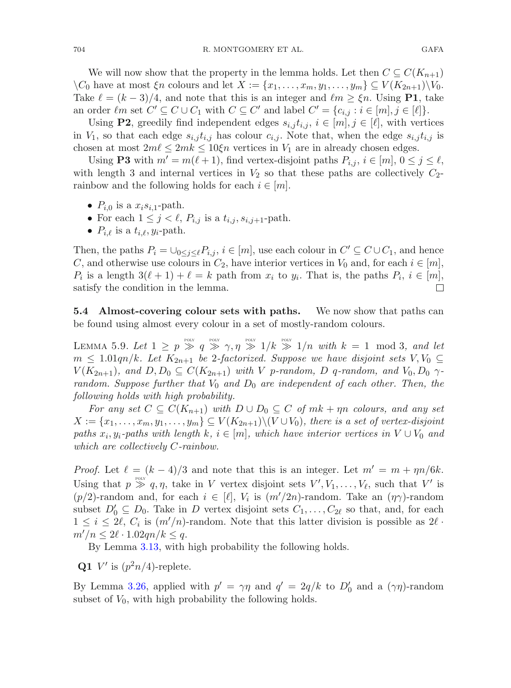We will now show that the property in the lemma holds. Let then  $C \subseteq C(K_{n+1})$  $\setminus C_0$  have at most  $\xi n$  colours and let  $X := \{x_1, \ldots, x_m, y_1, \ldots, y_m\} \subseteq V(K_{2n+1})\setminus V_0$ . Take  $\ell = (k-3)/4$ , and note that this is an integer and  $\ell m \geq \xi n$ . Using **P1**, take an order  $\ell m$  set  $C' \subseteq C \cup C_1$  with  $C \subseteq C'$  and label  $C' = \{c_{i,j} : i \in [m], j \in [\ell]\}.$ 

Using **P2**, greedily find independent edges  $s_{i,j} t_{i,j}, i \in [m], j \in [\ell]$ , with vertices in  $V_1$ , so that each edge  $s_{i,j} t_{i,j}$  has colour  $c_{i,j}$ . Note that, when the edge  $s_{i,j} t_{i,j}$  is chosen at most  $2m\ell \leq 2mk \leq 10\xi n$  vertices in  $V_1$  are in already chosen edges.

Using **P3** with  $m' = m(\ell + 1)$ , find vertex-disjoint paths  $P_{i,j}$ ,  $i \in [m], 0 \leq j \leq \ell$ , with length 3 and internal vertices in  $V_2$  so that these paths are collectively  $C_2$ rainbow and the following holds for each  $i \in [m]$ .

- $P_{i,0}$  is a  $x_i s_{i,1}$ -path.
- For each  $1 \leq j \leq \ell$ ,  $P_{i,j}$  is a  $t_{i,j}$ ,  $s_{i,j+1}$ -path.
- $P_{i,\ell}$  is a  $t_{i,\ell}, y_i$ -path.

Then, the paths  $P_i = \bigcup_{0 \leq j \leq \ell} P_{i,j}, i \in [m]$ , use each colour in  $C' \subseteq C \cup C_1$ , and hence C, and otherwise use colours in  $C_2$ , have interior vertices in  $V_0$  and, for each  $i \in [m]$ ,  $P_i$  is a length  $3(\ell + 1) + \ell = k$  path from  $x_i$  to  $y_i$ . That is, the paths  $P_i$ ,  $i \in [m]$ , satisfy the condition in the lemma. satisfy the condition in the lemma.

<span id="page-41-0"></span>**5.4 Almost-covering colour sets with paths.** We now show that paths can be found using almost every colour in a set of mostly-random colours.

LEMMA 5.9. Let  $1 \geq p \gg q \gg \gamma, \eta \gg 1/k \gg 1/n$  with  $k = 1 \mod 3$ , and let  $m \leq 1.01qn/k$ *. Let*  $K_{2n+1}$  *be* 2-factorized. Suppose we have disjoint sets  $V, V_0 \subseteq$  $V(K_{2n+1})$ *, and*  $D, D_0 \subseteq C(K_{2n+1})$  *with* V p-random, D q-random, and  $V_0, D_0 \sim$ *random. Suppose further that*  $V_0$  *and*  $D_0$  *are independent of each other. Then, the following holds with high probability.*

*For any set*  $C \subseteq C(K_{n+1})$  *with*  $D \cup D_0 \subseteq C$  *of*  $mk + \eta n$  *colours, and any set*  $X := \{x_1,\ldots,x_m,y_1,\ldots,y_m\} \subseteq V(K_{2n+1})\setminus (V\cup V_0)$ , there is a set of vertex-disjoint *paths*  $x_i, y_i$ -paths with length k,  $i \in [m]$ , which have interior vertices in  $V \cup V_0$  and *which are collectively* C*-rainbow.*

*Proof.* Let  $\ell = (k-4)/3$  and note that this is an integer. Let  $m' = m + \eta n/6k$ . Using that  $p \gg q, \eta$ , take in V vertex disjoint sets  $V', V_1, \ldots, V_\ell$ , such that V' is (p/2)-random and, for each  $i \in [\ell], V_i$  is  $(m'/2n)$ -random. Take an  $(\eta \gamma)$ -random subset  $D'_0 \subseteq D_0$ . Take in D vertex disjoint sets  $C_1, \ldots, C_{2\ell}$  so that, and, for each  $1 \leq i \leq 2\ell$ ,  $C_i$  is  $(m'/n)$ -random. Note that this latter division is possible as  $2\ell$ .  $m'/n \leq 2\ell \cdot 1.02qn/k \leq q.$ 

By Lemma [3.13,](#page-22-1) with high probability the following holds.

**Q1** V' is  $(p^2n/4)$ -replete.

By Lemma [3.26,](#page-28-1) applied with  $p' = \gamma \eta$  and  $q' = 2q/k$  to  $D'_0$  and a  $(\gamma \eta)$ -random subset of  $V_0$ , with high probability the following holds.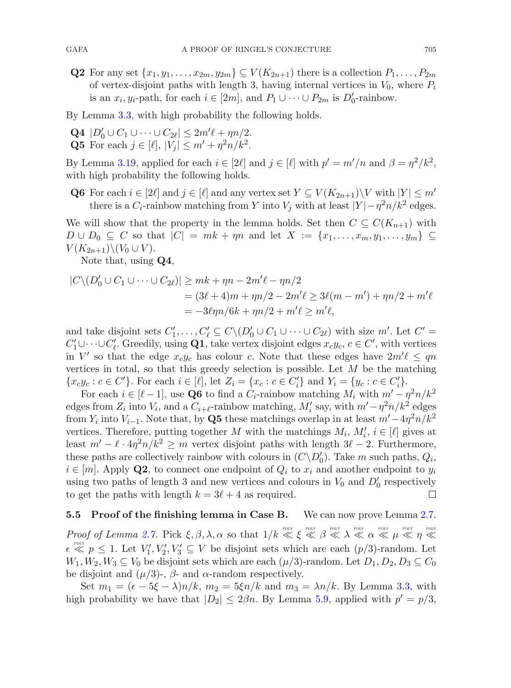**Q2** For any set  $\{x_1, y_1, \ldots, x_{2m}, y_{2m}\} \subseteq V(K_{2n+1})$  there is a collection  $P_1, \ldots, P_{2m}$ of vertex-disjoint paths with length 3, having internal vertices in  $V_0$ , where  $P_i$ is an  $x_i, y_i$ -path, for each  $i \in [2m]$ , and  $P_1 \cup \cdots \cup P_{2m}$  is  $D'_0$ -rainbow.

By Lemma [3.3,](#page-17-1) with high probability the following holds.

**Q4**  $|D'_0 \cup C_1 \cup \cdots \cup C_{2\ell}| \leq 2m'\ell + \eta n/2.$ **Q5** For each  $j \in [\ell], |V_j| \leq m' + n^2 n/k^2$ .

By Lemma [3.19,](#page-24-1) applied for each  $i \in [2\ell]$  and  $j \in [\ell]$  with  $p' = m'/n$  and  $\beta = \eta^2/k^2$ , with high probability the following holds.

**Q6** For each  $i \in [2\ell]$  and  $j \in [\ell]$  and any vertex set  $Y \subseteq V(K_{2n+1})\backslash V$  with  $|Y| \leq m'$ there is a  $C_i$ -rainbow matching from Y into  $V_j$  with at least  $|Y| - \eta^2 n/k^2$  edges.

We will show that the property in the lemma holds. Set then  $C \subseteq C(K_{n+1})$  with  $D \cup D_0 \subseteq C$  so that  $|C| = mk + \eta n$  and let  $X := \{x_1, \ldots, x_m, y_1, \ldots, y_m\} \subseteq$  $V(K_{2n+1})\backslash (V_0\cup V)$ .

Note that, using **Q4**,

$$
|C\setminus (D'_0 \cup C_1 \cup \cdots \cup C_{2\ell})| \ge mk + \eta n - 2m'\ell - \eta n/2
$$
  
= (3\ell + 4)m + \eta n/2 - 2m'\ell \ge 3\ell(m - m') + \eta n/2 + m'\ell  
= -3\ell\eta n/6k + \eta n/2 + m'\ell \ge m'\ell,

and take disjoint sets  $C'_1, \ldots, C'_{\ell} \subseteq C \setminus (D'_0 \cup C_1 \cup \cdots \cup C_{2\ell})$  with size  $m'$ . Let  $C' =$  $C'_1 \cup \cdots \cup C'_\ell$ . Greedily, using **Q1**, take vertex disjoint edges  $x_c y_c$ ,  $c \in C'$ , with vertices in  $V'$  so that the edge  $x_c y_c$  has colour c. Note that these edges have  $2m'\ell \leq qn$ vertices in total, so that this greedy selection is possible. Let  $M$  be the matching  ${x_c y_c : c \in C'}$ . For each  $i \in [\ell]$ , let  $Z_i = {x_c : c \in C'_i}$  and  $Y_i = {y_c : c \in C'_i}$ .

For each  $i \in [\ell - 1]$ , use **Q6** to find a  $C_i$ -rainbow matching  $M_i$  with  $m' - \eta^2 n/k^2$ edges from  $Z_i$  into  $V_i$ , and a  $C_{i+\ell}$ -rainbow matching,  $M'_i$  say, with  $m'-\eta^2n/k^2$  edges from  $Y_i$  into  $V_{i-1}$ . Note that, by **Q5** these matchings overlap in at least  $m' - 4\eta^2 n/k^2$ vertices. Therefore, putting together M with the matchings  $M_i$ ,  $M'_i$ ,  $i \in [\ell]$  gives at least  $m' - \ell \cdot 4\eta^2 n/k^2 \ge m$  vertex disjoint paths with length  $3\ell - 2$ . Furthermore, these paths are collectively rainbow with colours in  $(C\setminus D'_0)$ . Take m such paths,  $Q_i$ ,  $i \in [m]$ . Apply **Q2**, to connect one endpoint of  $Q_i$  to  $x_i$  and another endpoint to  $y_i$ using two paths of length 3 and new vertices and colours in  $V_0$  and  $D'_0$  respectively to get the paths with length  $k = 3\ell + 4$  as required. П

#### **5.5 Proof of the finishing lemma in Case B.** We can now prove Lemma [2.7.](#page-13-1)

*Proof of Lemma [2.7.](#page-13-1)* Pick  $\xi, \beta, \lambda, \alpha$  so that  $1/k \ll \xi \ll \beta \ll \lambda \ll \alpha \ll \mu \ll \eta \ll$  $\epsilon \ll p \leq 1$ . Let  $V'_1, V'_2, V'_3 \subseteq V$  be disjoint sets which are each  $(p/3)$ -random. Let  $W_1, W_2, W_3 \subseteq V_0$  be disjoint sets which are each  $(\mu/3)$ -random. Let  $D_1, D_2, D_3 \subseteq C_0$ be disjoint and  $(\mu/3)$ -,  $\beta$ - and  $\alpha$ -random respectively.

Set  $m_1 = (\epsilon - 5\xi - \lambda)n/k$ ,  $m_2 = 5\xi n/k$  and  $m_3 = \lambda n/k$ . By Lemma [3.3,](#page-17-1) with high probability we have that  $|D_2| \leq 2\beta n$ . By Lemma [5.9,](#page-41-0) applied with  $p' = p/3$ ,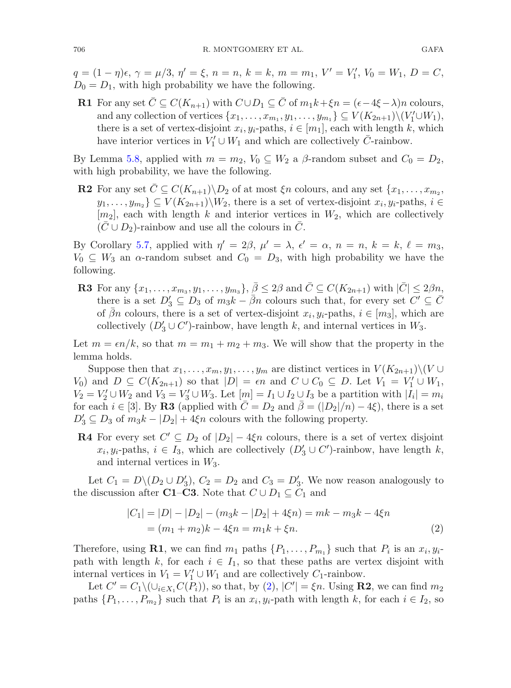$q = (1 - \eta)\epsilon, \gamma = \mu/3, \eta' = \xi, n = n, k = k, m = m_1, V' = V'_1, V_0 = W_1, D = C,$  $D_0 = D_1$ , with high probability we have the following.

**R1** For any set  $\overline{C} \subseteq C(K_{n+1})$  with  $C \cup D_1 \subseteq \overline{C}$  of  $m_1k + \xi n = (\epsilon - 4\xi - \lambda)n$  colours, and any collection of vertices  $\{x_1,\ldots,x_{m_1},y_1,\ldots,y_{m_1}\} \subseteq V(K_{2n+1})\setminus (V'_1\cup W_1),$ there is a set of vertex-disjoint  $x_i, y_i$ -paths,  $i \in [m_1]$ , each with length k, which have interior vertices in  $V_1' \cup W_1$  and which are collectively  $\bar{C}$ -rainbow.

By Lemma [5.8,](#page-40-0) applied with  $m = m_2$ ,  $V_0 \subseteq W_2$  a  $\beta$ -random subset and  $C_0 = D_2$ , with high probability, we have the following.

**R2** For any set  $\overline{C} \subseteq C(K_{n+1}) \backslash D_2$  of at most  $\xi_n$  colours, and any set  $\{x_1, \ldots, x_{m_2},$  $y_1,\ldots,y_{m_2} \} \subseteq V(K_{2n+1}) \backslash W_2$ , there is a set of vertex-disjoint  $x_i, y_i$ -paths,  $i \in$  $[m_2]$ , each with length k and interior vertices in  $W_2$ , which are collectively  $(C \cup D_2)$ -rainbow and use all the colours in C.

By Corollary [5.7,](#page-39-0) applied with  $\eta' = 2\beta$ ,  $\mu' = \lambda$ ,  $\epsilon' = \alpha$ ,  $n = n$ ,  $k = k$ ,  $\ell = m_3$ ,  $V_0 \subseteq W_3$  an  $\alpha$ -random subset and  $C_0 = D_3$ , with high probability we have the following.

**R3** For any  $\{x_1,\ldots,x_{m_3},y_1,\ldots,y_{m_3}\}, \bar{\beta} \leq 2\beta$  and  $\bar{C} \subseteq C(K_{2n+1})$  with  $|\bar{C}| \leq 2\beta n$ , there is a set  $D'_3 \subseteq D_3$  of  $m_3k - \bar{\beta}n$  colours such that, for every set  $C' \subseteq \bar{C}$ of  $\bar{\beta}n$  colours, there is a set of vertex-disjoint  $x_i, y_i$ -paths,  $i \in [m_3]$ , which are collectively  $(D'_3 \cup C')$ -rainbow, have length k, and internal vertices in  $W_3$ .

Let  $m = \epsilon n/k$ , so that  $m = m_1 + m_2 + m_3$ . We will show that the property in the lemma holds.

Suppose then that  $x_1, \ldots, x_m, y_1, \ldots, y_m$  are distinct vertices in  $V(K_{2n+1})\setminus (V \cup$  $V_0$ ) and  $D \subseteq C(K_{2n+1})$  so that  $|D| = \epsilon n$  and  $C \cup C_0 \subseteq D$ . Let  $V_1 = V'_1 \cup W_1$ ,  $V_2 = V_2' \cup W_2$  and  $V_3 = V_3' \cup W_3$ . Let  $[m] = I_1 \cup I_2 \cup I_3$  be a partition with  $|I_i| = m_i$ for each  $i \in [3]$ . By **R3** (applied with  $C = D_2$  and  $\beta = (|D_2|/n) - 4\xi$ ), there is a set  $D'_3 \subseteq D_3$  of  $m_3k - |D_2| + 4\xi n$  colours with the following property.

**R4** For every set  $C' \subseteq D_2$  of  $|D_2| - 4\xi n$  colours, there is a set of vertex disjoint  $x_i, y_i$ -paths,  $i \in I_3$ , which are collectively  $(D'_3 \cup C')$ -rainbow, have length k, and internal vertices in  $W_3$ .

Let  $C_1 = D \setminus (D_2 \cup D'_3)$ ,  $C_2 = D_2$  and  $C_3 = D'_3$ . We now reason analogously to the discussion after **C1–C3**. Note that  $C \cup D_1 \subseteq C_1$  and

<span id="page-43-0"></span>
$$
|C_1| = |D| - |D_2| - (m_3k - |D_2| + 4\xi n) = mk - m_3k - 4\xi n
$$
  
=  $(m_1 + m_2)k - 4\xi n = m_1k + \xi n.$  (2)

Therefore, using **R1**, we can find  $m_1$  paths  $\{P_1,\ldots,P_{m_1}\}\$  such that  $P_i$  is an  $x_i, y_i$ path with length k, for each  $i \in I_1$ , so that these paths are vertex disjoint with internal vertices in  $V_1 = V_1' \cup W_1$  and are collectively  $C_1$ -rainbow.

Let  $C' = C_1 \setminus (\cup_{i \in X_1} C(P_i))$ , so that, by [\(2\)](#page-43-0),  $|C'| = \xi n$ . Using **R2**, we can find  $m_2$ paths  $\{P_1,\ldots,P_{m_2}\}\$  such that  $P_i$  is an  $x_i, y_i$ -path with length k, for each  $i \in I_2$ , so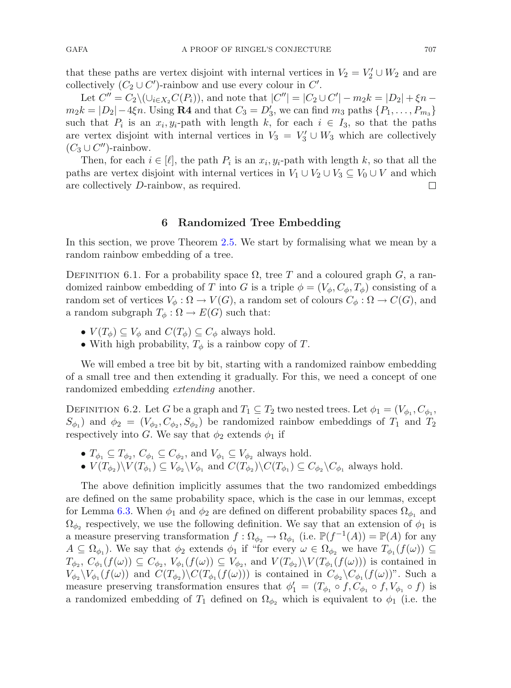that these paths are vertex disjoint with internal vertices in  $V_2 = V_2' \cup W_2$  and are collectively  $(C_2 \cup C')$ -rainbow and use every colour in  $C'$ .

Let  $C'' = C_2 \setminus (\cup_{i \in X_2} C(P_i))$ , and note that  $|C''| = |C_2 \cup C'| - m_2 k = |D_2| + \xi n$  $m_2 k = |D_2| - 4\xi n$ . Using **R4** and that  $C_3 = D'_3$ , we can find  $m_3$  paths  $\{P_1, \ldots, P_{m_3}\}$ such that  $P_i$  is an  $x_i, y_i$ -path with length k, for each  $i \in I_3$ , so that the paths are vertex disjoint with internal vertices in  $V_3 = V'_3 \cup W_3$  which are collectively  $(C_3 \cup C'')$ -rainbow.

Then, for each  $i \in [\ell]$ , the path  $P_i$  is an  $x_i, y_i$ -path with length k, so that all the paths are vertex disjoint with internal vertices in  $V_1 \cup V_2 \cup V_3 \subseteq V_0 \cup V$  and which are collectively D-rainbow, as required. are collectively D-rainbow, as required.

#### **6 Randomized Tree Embedding**

<span id="page-44-0"></span>In this section, we prove Theorem [2.5.](#page-12-1) We start by formalising what we mean by a random rainbow embedding of a tree.

DEFINITION 6.1. For a probability space  $\Omega$ , tree T and a coloured graph G, a randomized rainbow embedding of T into G is a triple  $\phi = (V_{\phi}, C_{\phi}, T_{\phi})$  consisting of a random set of vertices  $V_{\phi}: \Omega \to V(G)$ , a random set of colours  $C_{\phi}: \Omega \to C(G)$ , and a random subgraph  $T_{\phi} : \Omega \to E(G)$  such that:

- $V(T_{\phi}) \subseteq V_{\phi}$  and  $C(T_{\phi}) \subseteq C_{\phi}$  always hold.
- <span id="page-44-1"></span>• With high probability,  $T_{\phi}$  is a rainbow copy of T.

We will embed a tree bit by bit, starting with a randomized rainbow embedding of a small tree and then extending it gradually. For this, we need a concept of one randomized embedding *extending* another.

DEFINITION 6.2. Let G be a graph and  $T_1 \subseteq T_2$  two nested trees. Let  $\phi_1 = (V_{\phi_1}, C_{\phi_1},$  $S_{\phi_1}$ ) and  $\phi_2 = (V_{\phi_2}, C_{\phi_2}, S_{\phi_2})$  be randomized rainbow embeddings of  $T_1$  and  $T_2$ respectively into G. We say that  $\phi_2$  extends  $\phi_1$  if

- $T_{\phi_1} \subseteq T_{\phi_2}, C_{\phi_1} \subseteq C_{\phi_2}$ , and  $V_{\phi_1} \subseteq V_{\phi_2}$  always hold.
- $V(T_{\phi_2})\backslash V(T_{\phi_1}) \subseteq V_{\phi_2}\backslash V_{\phi_1}$  and  $C(T_{\phi_2})\backslash C(T_{\phi_1}) \subseteq C_{\phi_2}\backslash C_{\phi_1}$  always hold.

The above definition implicitly assumes that the two randomized embeddings are defined on the same probability space, which is the case in our lemmas, except for Lemma [6.3.](#page-45-0) When  $\phi_1$  and  $\phi_2$  are defined on different probability spaces  $\Omega_{\phi_1}$  and  $\Omega_{\phi_2}$  respectively, we use the following definition. We say that an extension of  $\phi_1$  is a measure preserving transformation  $f : \Omega_{\phi_2} \to \Omega_{\phi_1}$  (i.e.  $\mathbb{P}(f^{-1}(A)) = \mathbb{P}(A)$  for any  $A \subseteq \Omega_{\phi_1}$ . We say that  $\phi_2$  extends  $\phi_1$  if "for every  $\omega \in \Omega_{\phi_2}$  we have  $T_{\phi_1}(f(\omega)) \subseteq$  $T_{\phi_2}$ ,  $C_{\phi_1}(f(\omega)) \subseteq C_{\phi_2}$ ,  $V_{\phi_1}(f(\omega)) \subseteq V_{\phi_2}$ , and  $V(T_{\phi_2})\backslash V(T_{\phi_1}(f(\omega)))$  is contained in  $V_{\phi_2} \backslash V_{\phi_1} (f(\omega))$  and  $C(T_{\phi_2}) \backslash C(T_{\phi_1} (f(\omega)))$  is contained in  $C_{\phi_2} \backslash C_{\phi_1} (f(\omega))$ ". Such a measure preserving transformation ensures that  $\phi'_1 = (T_{\phi_1} \circ f, C_{\phi_1} \circ f, V_{\phi_1} \circ f)$  is a randomized embedding of  $T_1$  defined on  $\Omega_{\phi_2}$  which is equivalent to  $\phi_1$  (i.e. the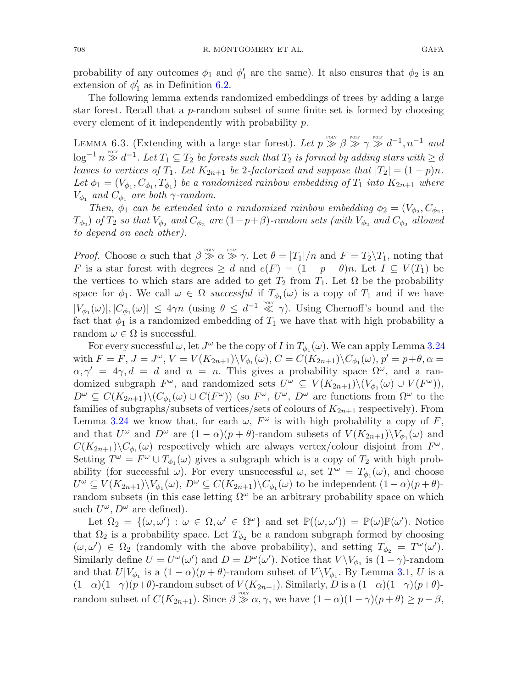probability of any outcomes  $\phi_1$  and  $\phi'_1$  are the same). It also ensures that  $\phi_2$  is an extension of  $\phi'_1$  as in Definition [6.2.](#page-44-1)

The following lemma extends randomized embeddings of trees by adding a large star forest. Recall that a p-random subset of some finite set is formed by choosing every element of it independently with probability p.

<span id="page-45-0"></span>LEMMA 6.3. (Extending with a large star forest). Let  $p \gg \beta \gg \gamma \gg d^{-1}, n^{-1}$  and  $\log^{-1} n \gg d^{-1}$ . Let  $T_1 \subseteq T_2$  *be forests such that*  $T_2$  *is formed by adding stars with*  $\geq d$ *leaves to vertices of*  $T_1$ *. Let*  $K_{2n+1}$  *be* 2-factorized and suppose that  $|T_2| = (1-p)n$ *.* Let  $\phi_1 = (V_{\phi_1}, C_{\phi_1}, T_{\phi_1})$  *be a randomized rainbow embedding of*  $T_1$  *into*  $K_{2n+1}$  *where*  $V_{\phi_1}$  *and*  $C_{\phi_1}$  *are both*  $\gamma$ *-random.* 

*Then,*  $\phi_1$  *can be extended into a randomized rainbow embedding*  $\phi_2 = (V_{\phi_2}, C_{\phi_2},$  $T_{\phi_2}$ ) *of*  $T_2$  *so that*  $V_{\phi_2}$  *and*  $C_{\phi_2}$  *are* (1−p+β)-random sets (with  $V_{\phi_2}$  *and*  $C_{\phi_2}$  *allowed to depend on each other).*

*Proof.* Choose  $\alpha$  such that  $\beta \gg \alpha \gg \gamma$ . Let  $\theta = |T_1|/n$  and  $F = T_2 \backslash T_1$ , noting that F is a star forest with degrees  $\geq d$  and  $e(F) = (1 - p - \theta)n$ . Let  $I \subseteq V(T_1)$  be the vertices to which stars are added to get  $T_2$  from  $T_1$ . Let  $\Omega$  be the probability space for  $\phi_1$ . We call  $\omega \in \Omega$  *successful* if  $T_{\phi_1}(\omega)$  is a copy of  $T_1$  and if we have  $|V_{\phi_1}(\omega)|, |C_{\phi_1}(\omega)| \leq 4\gamma n$  (using  $\theta \leq d^{-1} \ll \gamma$ ). Using Chernoff's bound and the fact that  $\phi_1$  is a randomized embedding of  $T_1$  we have that with high probability a random  $\omega \in \Omega$  is successful.

For every successful  $\omega$ , let  $J^{\omega}$  be the copy of I in  $T_{\phi_1}(\omega)$ . We can apply Lemma [3.24](#page-27-0) with  $F = F, J = J^{\omega}, V = V(K_{2n+1})\backslash V_{\phi_1}(\omega), C = C(K_{2n+1})\backslash C_{\phi_1}(\omega), p' = p + \theta, \alpha =$  $\alpha, \gamma' = 4\gamma, d = d$  and  $n = n$ . This gives a probability space  $\Omega^{\omega}$ , and a randomized subgraph  $F^{\omega}$ , and randomized sets  $U^{\omega} \subseteq V(K_{2n+1})\setminus (V_{\phi_1}(\omega) \cup V(F^{\omega}))$ ,  $D^{\omega} \subseteq C(K_{2n+1}) \backslash (C_{\phi_1}(\omega) \cup C(F^{\omega}))$  (so  $F^{\omega}$ ,  $U^{\omega}$ ,  $D^{\omega}$  are functions from  $\Omega^{\omega}$  to the families of subgraphs/subsets of vertices/sets of colours of  $K_{2n+1}$  respectively). From Lemma [3.24](#page-27-0) we know that, for each  $\omega$ ,  $F^{\omega}$  is with high probability a copy of F, and that  $U^{\omega}$  and  $D^{\omega}$  are  $(1 - \alpha)(p + \theta)$ -random subsets of  $V(K_{2n+1})\setminus V_{\phi_1}(\omega)$  and  $C(K_{2n+1})\backslash C_{\phi_1}(\omega)$  respectively which are always vertex/colour disjoint from  $F^{\omega}$ . Setting  $T^{\omega} = F^{\omega} \cup T_{\phi_1}(\omega)$  gives a subgraph which is a copy of  $T_2$  with high probability (for successful  $\omega$ ). For every unsuccessful  $\omega$ , set  $T^{\omega} = T_{\phi_1}(\omega)$ , and choose  $U^{\omega} \subseteq V(K_{2n+1})\backslash V_{\phi_1}(\omega), D^{\omega} \subseteq C(K_{2n+1})\backslash C_{\phi_1}(\omega)$  to be independent  $(1-\alpha)(p+\theta)$ random subsets (in this case letting  $\Omega^{\omega}$  be an arbitrary probability space on which such  $U^{\omega}$ ,  $D^{\omega}$  are defined).

Let  $\Omega_2 = \{(\omega, \omega') : \omega \in \Omega, \omega' \in \Omega^{\omega}\}\$ and set  $\mathbb{P}((\omega, \omega')) = \mathbb{P}(\omega)\mathbb{P}(\omega')$ . Notice that  $\Omega_2$  is a probability space. Let  $T_{\phi_2}$  be a random subgraph formed by choosing  $(\omega, \omega') \in \Omega_2$  (randomly with the above probability), and setting  $T_{\phi_2} = T^{\omega}(\omega')$ . Similarly define  $U = U^{\omega}(\omega')$  and  $D = D^{\omega}(\omega')$ . Notice that  $V \setminus V_{\phi_1}$  is  $(1 - \gamma)$ -random and that  $U|V_{\phi_1}$  is a  $(1-\alpha)(p+\theta)$ -random subset of  $V\setminus V_{\phi_1}$ . By Lemma [3.1,](#page-17-2) U is a  $(1-\alpha)(1-\gamma)(p+\theta)$ -random subset of  $V(K_{2n+1})$ . Similarly, D is a  $(1-\alpha)(1-\gamma)(p+\theta)$ random subset of  $C(K_{2n+1})$ . Since  $\beta \gg \alpha, \gamma$ , we have  $(1-\alpha)(1-\gamma)(p+\theta) \geq p-\beta$ ,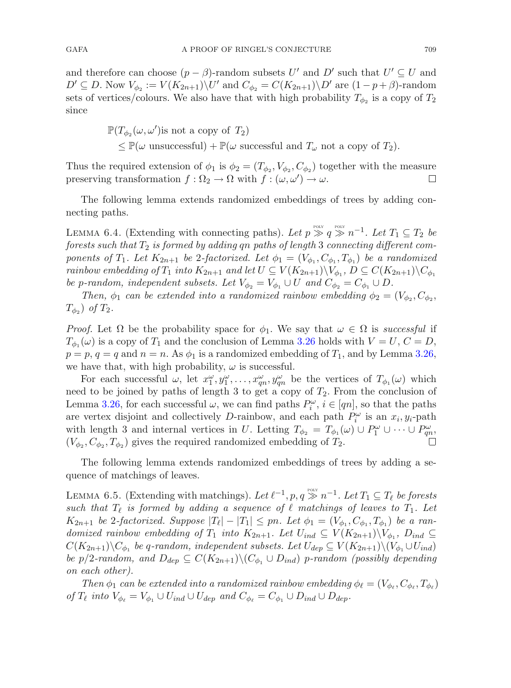and therefore can choose  $(p - \beta)$ -random subsets U' and D' such that  $U' \subseteq U$  and  $D' \subseteq D$ . Now  $V_{\phi_2} := V(K_{2n+1}) \backslash U'$  and  $C_{\phi_2} = C(K_{2n+1}) \backslash D'$  are  $(1 - p + \beta)$ -random sets of vertices/colours. We also have that with high probability  $T_{\phi_2}$  is a copy of  $T_2$ since

$$
\mathbb{P}(T_{\phi_2}(\omega,\omega')\text{is not a copy of }T_2)
$$
  
\$\leq\$  $\mathbb{P}(\omega \text{ unsuccessful}) + \mathbb{P}(\omega \text{ successful and } T_{\omega} \text{ not a copy of } T_2).$ 

Thus the required extension of  $\phi_1$  is  $\phi_2 = (T_{\phi_2}, V_{\phi_2}, C_{\phi_2})$  together with the measure preserving transformation  $f : \Omega_2 \to \Omega$  with  $f : (\omega, \omega') \to \omega$ .  $\Box$ 

<span id="page-46-1"></span>The following lemma extends randomized embeddings of trees by adding connecting paths.

LEMMA 6.4. (Extending with connecting paths). Let  $p \gg q \gg n^{-1}$ . Let  $T_1 \subseteq T_2$  be *forests such that*  $T_2$  *is formed by adding qn paths of length* 3 *connecting different components of*  $T_1$ *. Let*  $K_{2n+1}$  *be* 2-factorized. Let  $\phi_1 = (V_{\phi_1}, C_{\phi_1}, T_{\phi_1})$  *be a randomized rainbow embedding of*  $T_1$  *into*  $K_{2n+1}$  *and let*  $U \subseteq V(K_{2n+1}) \setminus V_{\phi_1}$ ,  $D \subseteq C(K_{2n+1}) \setminus C_{\phi_1}$ *be* p-random, independent subsets. Let  $V_{\phi_2} = V_{\phi_1} \cup U$  and  $C_{\phi_2} = C_{\phi_1} \cup D$ .

*Then,*  $\phi_1$  *can be extended into a randomized rainbow embedding*  $\phi_2 = (V_{\phi_2}, C_{\phi_2},$  $T_{\phi_2}$  of  $T_2$ .

*Proof.* Let  $\Omega$  be the probability space for  $\phi_1$ . We say that  $\omega \in \Omega$  is *successful* if  $T_{\phi_1}(\omega)$  is a copy of  $T_1$  and the conclusion of Lemma [3.26](#page-28-1) holds with  $V = U, C = D$ ,  $p = p$ ,  $q = q$  and  $n = n$ . As  $\phi_1$  is a randomized embedding of  $T_1$ , and by Lemma [3.26,](#page-28-1) we have that, with high probability,  $\omega$  is successful.

For each successful  $\omega$ , let  $x_1^{\omega}, y_1^{\omega}, \ldots, x_{qn}^{\omega}, y_{qn}^{\omega}$  be the vertices of  $T_{\phi_1}(\omega)$  which need to be joined by paths of length 3 to get a copy of  $T_2$ . From the conclusion of Lemma [3.26,](#page-28-1) for each successful  $\omega$ , we can find paths  $P_i^{\omega}$ ,  $i \in [qn]$ , so that the paths are vertex disjoint and collectively D-rainbow, and each path  $P_i^{\omega}$  is an  $x_i, y_i$ -path with length 3 and internal vertices in U. Letting  $T_{\phi_2} = T_{\phi_1}(\omega) \cup P_1^{\omega} \cup \cdots \cup P_m^{\omega}$  $(V_{\phi_2}, C_{\phi_2}, T_{\phi_2})$  gives the required randomized embedding of  $T_2$ .

<span id="page-46-0"></span>The following lemma extends randomized embeddings of trees by adding a sequence of matchings of leaves.

LEMMA 6.5. (Extending with matchings). Let  $\ell^{-1}$ , p,  $q \gg n^{-1}$ . Let  $T_1 \subseteq T_\ell$  be forests *such that*  $T_{\ell}$  *is formed by adding a sequence of*  $\ell$  *matchings of leaves to*  $T_1$ *. Let*  $K_{2n+1}$  *be* 2-factorized. Suppose  $|T_{\ell}| - |T_1| \leq pn$ . Let  $\phi_1 = (V_{\phi_1}, C_{\phi_1}, T_{\phi_1})$  *be a randomized rainbow embedding of*  $T_1$  *into*  $K_{2n+1}$ *. Let*  $U_{ind} \subseteq V(K_{2n+1})\backslash V_{\phi_1}$ *,*  $D_{ind} \subseteq$  $C(K_{2n+1})\backslash C_{\phi_1}$  *be* q-random, independent subsets. Let  $U_{dep} \subseteq V(K_{2n+1})\backslash (V_{\phi_1} \cup U_{ind})$ *be*  $p/2$ *-random, and*  $D_{dep} \subseteq C(K_{2n+1}) \setminus (C_{\phi_1} \cup D_{ind})$  *p*-random (possibly depending *on each other).*

*Then*  $\phi_1$  *can be extended into a randomized rainbow embedding*  $\phi_\ell = (V_{\phi_\ell}, C_{\phi_\ell}, T_{\phi_\ell})$ *of*  $T_{\ell}$  *into*  $V_{\phi_{\ell}} = V_{\phi_1} \cup U_{ind} \cup U_{dep}$  *and*  $C_{\phi_{\ell}} = C_{\phi_1} \cup D_{ind} \cup D_{dep}$ *.*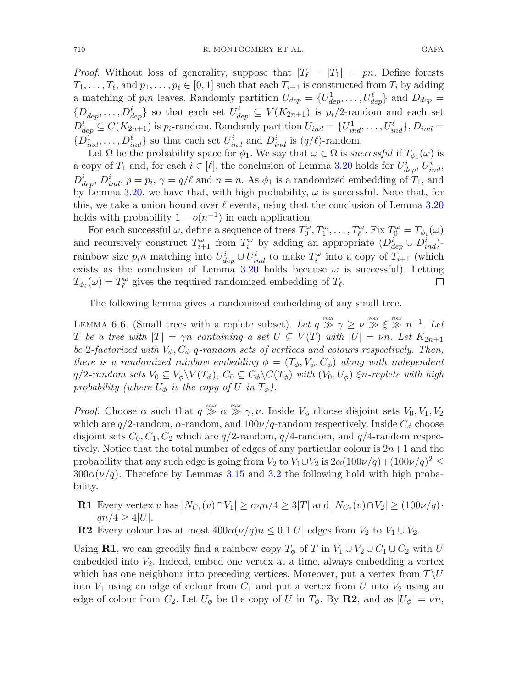*Proof.* Without loss of generality, suppose that  $|T_{\ell}| - |T_1| = pn$ . Define forests  $T_1, \ldots, T_\ell$ , and  $p_1, \ldots, p_\ell \in [0, 1]$  such that each  $T_{i+1}$  is constructed from  $T_i$  by adding a matching of  $p_i n$  leaves. Randomly partition  $U_{dep} = \{U_{dep}^1, \ldots, U_{dep}^{\ell}\}\$  and  $D_{dep} =$  $\{D^\mathbf{1}_{dep}, \ldots, D^\ell_{dep}\}\$  so that each set  $U^i_{dep} \subseteq V(K_{2n+1})$  is  $p_i/2$ -random and each set  $D_{dep}^i \subseteq C(K_{2n+1})$  is  $p_i$ -random. Randomly partition  $U_{ind} = \{U_{ind}^1, \ldots, U_{ind}^{\ell}\}, D_{ind} =$  $\{D_{ind}^{\hat{i}},\ldots,D_{ind}^{\ell}\}\$  so that each set  $U_{ind}^i$  and  $D_{ind}^i$  is  $(q/\ell)$ -random.

Let  $\Omega$  be the probability space for  $\phi_1$ . We say that  $\omega \in \Omega$  is *successful* if  $T_{\phi_1}(\omega)$  is a copy of  $T_1$  and, for each  $i \in [\ell]$ , the conclusion of Lemma [3.20](#page-25-1) holds for  $U_{dep}^i$ ,  $U_{ind}^i$ ,  $D_{dep}^i$ ,  $D_{ind}^i$ ,  $p = p_i$ ,  $\gamma = q/\ell$  and  $n = n$ . As  $\phi_1$  is a randomized embedding of  $T_1$ , and by Lemma [3.20,](#page-25-1) we have that, with high probability,  $\omega$  is successful. Note that, for this, we take a union bound over  $\ell$  events, using that the conclusion of Lemma [3.20](#page-25-1) holds with probability  $1 - o(n^{-1})$  in each application.

For each successful  $\omega$ , define a sequence of trees  $T_0^{\omega}, T_1^{\omega}, \ldots, T_{\ell}^{\omega}$ . Fix  $T_0^{\omega} = T_{\phi_1}(\omega)$ and recursively construct  $T_{i+1}^{\omega}$  from  $T_i^{\omega}$  by adding an appropriate  $(D_{dep}^i \cup D_{ind}^i)$ rainbow size  $p_i n$  matching into  $U_{dep}^i \cup U_{ind}^i$  to make  $T_i^{\omega}$  into a copy of  $T_{i+1}$  (which exists as the conclusion of Lemma [3.20](#page-25-1) holds because  $\omega$  is successful). Letting  $T_{\phi_{\ell}}(\omega) = T_{\ell}^{\omega}$  gives the required randomized embedding of  $T_{\ell}$ .  $\Box$ 

<span id="page-47-0"></span>The following lemma gives a randomized embedding of any small tree.

LEMMA 6.6. (Small trees with a replete subset). Let  $q \gg \gamma \geq \nu \gg \xi \gg n^{-1}$ . Let T be a tree with  $|T| = \gamma n$  containing a set  $U \subseteq V(T)$  with  $|U| = \nu n$ . Let  $K_{2n+1}$ *be* 2-factorized with  $V_{\phi}$ ,  $C_{\phi}$  q-random sets of vertices and colours respectively. Then, *there is a randomized rainbow embedding*  $\phi = (T_{\phi}, V_{\phi}, C_{\phi})$  *along with independent*  $q/2$ *-random sets*  $V_0 \subseteq V_\phi \backslash V(T_\phi)$ ,  $C_0 \subseteq C_\phi \backslash C(T_\phi)$  *with*  $(V_0, U_\phi)$   $\xi$ *n*-replete with high *probability (where*  $U_{\phi}$  *is the copy of* U *in*  $T_{\phi}$ ).

*Proof.* Choose  $\alpha$  such that  $q \gg \alpha \gg \gamma, \nu$ . Inside  $V_{\phi}$  choose disjoint sets  $V_0, V_1, V_2$ which are  $q/2$ -random,  $\alpha$ -random, and  $100\nu/q$ -random respectively. Inside  $C_{\phi}$  choose disjoint sets  $C_0, C_1, C_2$  which are  $q/2$ -random,  $q/4$ -random, and  $q/4$ -random respectively. Notice that the total number of edges of any particular colour is  $2n+1$  and the probability that any such edge is going from  $V_2$  to  $V_1 \cup V_2$  is  $2\alpha(100\nu/q)+(100\nu/q)^2 \leq$  $300\alpha(\nu/q)$ . Therefore by Lemmas [3.15](#page-23-0) and [3.2](#page-17-0) the following hold with high probability.

- **R1** Every vertex v has  $|N_{C_1}(v) \cap V_1| \ge \alpha q n/4 \ge 3|T|$  and  $|N_{C_2}(v) \cap V_2| \ge (100\nu/q)$ .  $qn/4 \geq 4|U|$ .
- **R2** Every colour has at most  $400\alpha(\nu/q)n \leq 0.1|U|$  edges from  $V_2$  to  $V_1 \cup V_2$ .

Using **R1**, we can greedily find a rainbow copy  $T_{\phi}$  of T in  $V_1 \cup V_2 \cup C_1 \cup C_2$  with U embedded into  $V_2$ . Indeed, embed one vertex at a time, always embedding a vertex which has one neighbour into preceding vertices. Moreover, put a vertex from  $T\backslash U$ into  $V_1$  using an edge of colour from  $C_1$  and put a vertex from U into  $V_2$  using an edge of colour from  $C_2$ . Let  $U_{\phi}$  be the copy of U in  $T_{\phi}$ . By **R2**, and as  $|U_{\phi}| = \nu n$ ,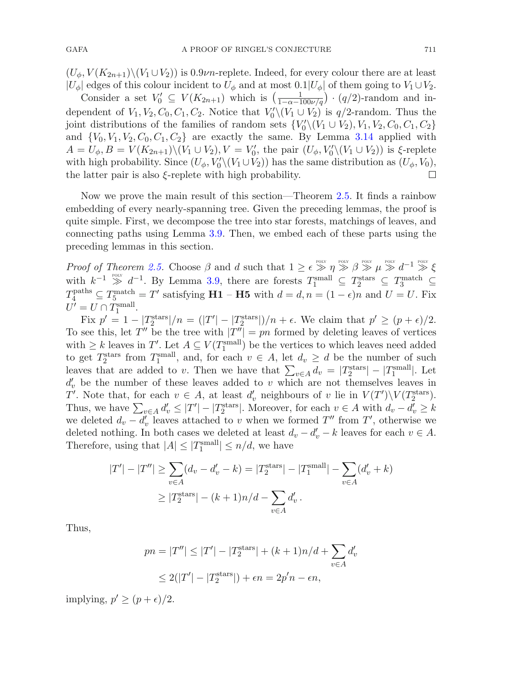$(U_{\phi}, V(K_{2n+1})\backslash (V_1\cup V_2))$  is 0.9*vn*-replete. Indeed, for every colour there are at least  $|U_{\phi}|$  edges of this colour incident to  $U_{\phi}$  and at most  $0.1|U_{\phi}|$  of them going to  $V_1 \cup V_2$ .

Consider a set  $V_0' \subseteq V(K_{2n+1})$  which is  $\left(\frac{1}{1-\alpha-100\nu/q}\right) \cdot (q/2)$ -random and independent of  $V_1, V_2, C_0, C_1, C_2$ . Notice that  $V_0' \setminus (V_1 \cup V_2)$  is  $q/2$ -random. Thus the joint distributions of the families of random sets  $\{V_0'\setminus (V_1 \cup V_2), V_1, V_2, C_0, C_1, C_2\}$ and  ${V_0, V_1, V_2, C_0, C_1, C_2}$  are exactly the same. By Lemma [3.14](#page-22-0) applied with  $A = U_{\phi}, B = V(K_{2n+1}) \setminus (V_1 \cup V_2), V = V'_0$ , the pair  $(U_{\phi}, V'_0 \setminus (V_1 \cup V_2))$  is  $\xi$ -replete with high probability. Since  $(U_\phi, V'_0 \setminus (V_1 \cup V_2))$  has the same distribution as  $(U_\phi, V_0)$ , the latter pair is also ξ-replete with high probability.

Now we prove the main result of this section—Theorem [2.5.](#page-12-1) It finds a rainbow embedding of every nearly-spanning tree. Given the preceding lemmas, the proof is quite simple. First, we decompose the tree into star forests, matchings of leaves, and connecting paths using Lemma [3.9.](#page-19-2) Then, we embed each of these parts using the preceding lemmas in this section.

*Proof of Theorem [2.5.](#page-12-1)* Choose  $\beta$  and d such that  $1 \geq \epsilon \gg \eta \gg \beta \gg \mu \gg d^{-1} \gg \xi$ with  $k^{-1} \gg d^{-1}$ . By Lemma [3.9,](#page-19-2) there are forests  $T_1^{\text{small}} \subseteq T_2^{\text{stars}} \subseteq T_3^{\text{match}} \subseteq$  $T_4^{\text{paths}} \subseteq T_5^{\text{match}} = T'$  satisfying **H1** – **H5** with  $d = d, n = (1 - \epsilon)n$  and  $U = U$ . Fix  $U' = U \cap T_1^{\text{small}}.$ 

Fix  $p' = 1 - |T_2^{\text{stars}}|/n = (|T'| - |T_2^{\text{stars}}|)/n + \epsilon$ . We claim that  $p' \ge (p + \epsilon)/2$ . To see this, let T'' be the tree with  $|T''| = pn$  formed by deleting leaves of vertices with  $\geq k$  leaves in T'. Let  $A \subseteq V(T_1^{\text{small}})$  be the vertices to which leaves need added to get  $T_2^{\text{stars}}$  from  $T_1^{\text{small}}$ , and, for each  $v \in A$ , let  $d_v \geq d$  be the number of such leaves that are added to v. Then we have that  $\sum_{v \in A} d_v = |T_2^{\text{stars}}| - |T_1^{\text{small}}|$ . Let  $d'_v$  be the number of these leaves added to v which are not themselves leaves in T'. Note that, for each  $v \in A$ , at least  $d'_v$  neighbours of v lie in  $V(T')\setminus V(T_2^{\text{stars}})$ . Thus, we have  $\sum_{v \in A} d'_v \le |T'| - |T_2^{\text{stars}}|$ . Moreover, for each  $v \in A$  with  $d_v - d'_v \ge k$ we deleted  $d_v - d'_v$  leaves attached to v when we formed T'' from T', otherwise we deleted nothing. In both cases we deleted at least  $d_v - d'_v - k$  leaves for each  $v \in A$ . Therefore, using that  $|A| \leq |T_1^{\text{small}}| \leq n/d$ , we have

$$
|T'| - |T''| \ge \sum_{v \in A} (d_v - d'_v - k) = |T_2^{\text{stars}}| - |T_1^{\text{small}}| - \sum_{v \in A} (d'_v + k)
$$
  
 
$$
\ge |T_2^{\text{stars}}| - (k+1)n/d - \sum_{v \in A} d'_v.
$$

Thus,

$$
pn = |T''| \le |T'| - |T_2^{\text{stars}}| + (k+1)n/d + \sum_{v \in A} d'_v
$$
  

$$
\le 2(|T'| - |T_2^{\text{stars}}|) + \epsilon n = 2p'n - \epsilon n,
$$

implying,  $p' \ge (p + \epsilon)/2$ .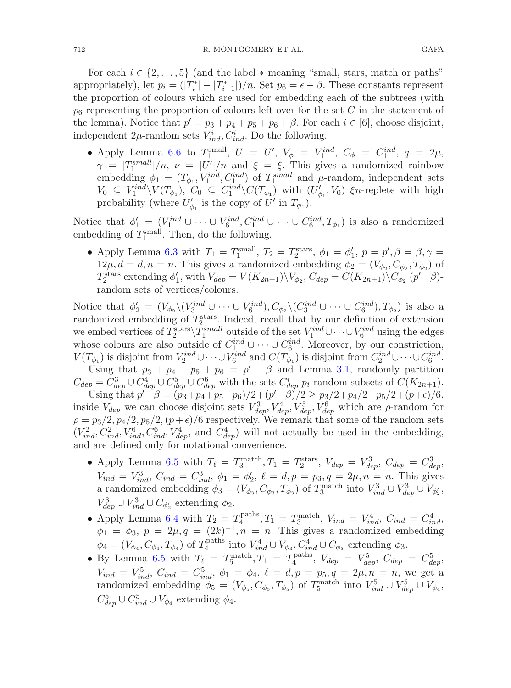For each  $i \in \{2,\ldots,5\}$  (and the label  $*$  meaning "small, stars, match or paths" appropriately), let  $p_i = (|T_i^*| - |T_{i-1}^*|)/n$ . Set  $p_6 = \epsilon - \beta$ . These constants represent the proportion of colours which are used for embedding each of the subtrees (with  $p_6$  representing the proportion of colours left over for the set C in the statement of the lemma). Notice that  $p' = p_3 + p_4 + p_5 + p_6 + \beta$ . For each  $i \in [6]$ , choose disjoint, independent 2 $\mu$ -random sets  $V_{ind}^i, C_{ind}^i$ . Do the following.

• Apply Lemma [6.6](#page-47-0) to  $T_1^{\text{small}}$ ,  $U = U'$ ,  $V_{\phi} = V_1^{\text{ind}}$ ,  $C_{\phi} = C_1^{\text{ind}}$ ,  $q = 2\mu$ ,  $\gamma = |T_1^{small}|/n, \nu = |U'|/n$  and  $\xi = \xi$ . This gives a randomized rainbow embedding  $\phi_1 = (T_{\phi_1}, V_1^{ind}, C_1^{ind})$  of  $T_1^{small}$  and  $\mu$ -random, independent sets  $V_0 \subseteq V_1^{ind} \backslash V(T_{\phi_1}), \ C_0 \subseteq C_1^{ind} \backslash C(T_{\phi_1})$  with  $(U'_{\phi_1}, V_0)$   $\xi$ n-replete with high probability (where  $U'_{\phi_1}$  is the copy of  $U'$  in  $T_{\phi_1}$ ).

Notice that  $\phi'_1 = (V_1^{ind} \cup \cdots \cup V_6^{ind}, C_1^{ind} \cup \cdots \cup C_6^{ind}, T_{\phi_1})$  is also a randomized embedding of  $T_1^{\text{small}}$ . Then, do the following.

• Apply Lemma [6.3](#page-45-0) with  $T_1 = T_1^{\text{small}}$ ,  $T_2 = T_2^{\text{stars}}$ ,  $\phi_1 = \phi'_1$ ,  $p = p'$ ,  $\beta = \beta, \gamma = \beta$  $12\mu$ ,  $d = d$ ,  $n = n$ . This gives a randomized embedding  $\phi_2 = (V_{\phi_2}, C_{\phi_2}, T_{\phi_2})$  of  $T_2^{\text{stars}}$  extending  $\phi'_1$ , with  $V_{dep} = V(K_{2n+1}) \setminus V_{\phi_2}$ ,  $C_{dep} = C(K_{2n+1}) \setminus C_{\phi_2}$   $(p' - \beta)$ random sets of vertices/colours.

Notice that  $\phi_2' = (V_{\phi_2} \setminus (V_{3}^{ind} \cup \cdots \cup V_{6}^{ind}), C_{\phi_2} \setminus (C_{3}^{ind} \cup \cdots \cup C_{6}^{ind}), T_{\phi_2})$  is also a randomized embedding of  $T_2^{\text{stars}}$ . Indeed, recall that by our definition of extension we embed vertices of  $T_2^{\text{stars}}\setminus T_1^{\text{small}}$  outside of the set  $V_1^{ind} \cup \cdots \cup V_6^{ind}$  using the edges whose colours are also outside of  $C_1^{ind} \cup \cdots \cup C_6^{ind}$ . Moreover, by our constriction,  $V(T_{\phi_1})$  is disjoint from  $V_2^{ind} \cup \cdots \cup V_6^{ind}$  and  $C(T_{\phi_1})$  is disjoint from  $C_2^{ind} \cup \cdots \cup C_6^{ind}$ .

Using that  $p_3 + p_4 + p_5 + p_6 = p' - \beta$  and Lemma [3.1,](#page-17-2) randomly partition  $C_{dep} = C_{dep}^3 \cup C_{dep}^4 \cup C_{dep}^5 \cup C_{dep}^6$  with the sets  $C_{dep}^i$  p<sub>i</sub>-random subsets of  $C(K_{2n+1})$ .

Using that  $p^{\prime -}\beta = (p_3+p_4+p_5+p_6)/2+(p^{\prime}-\beta)/2 \geq p_3/2+p_4/2+p_5/2+(p+\epsilon)/6,$ inside  $V_{dep}$  we can choose disjoint sets  $V_{dep}^3$ ,  $V_{dep}^4$ ,  $V_{dep}^5$ ,  $V_{dep}^6$  which are  $\rho$ -random for  $\rho = p_3/2, p_4/2, p_5/2, (p+\epsilon)/6$  respectively. We remark that some of the random sets  $(V_{ind}^2, C_{ind}^2, V_{ind}^6, C_{ind}^6, V_{dep}^4, \text{ and } C_{dep}^4)$  will not actually be used in the embedding, and are defined only for notational convenience.

- Apply Lemma [6.5](#page-46-0) with  $T_{\ell} = T_3^{\text{match}}, T_1 = T_2^{\text{stars}}, V_{dep} = V_{dep}^3, C_{dep} = C_{dep}^3$  $V_{ind} = V_{ind}^3$ ,  $C_{ind} = C_{ind}^3$ ,  $\phi_1 = \phi_2'$ ,  $\ell = d, p = p_3, q = 2\mu, n = n$ . This gives a randomized embedding  $\phi_3 = (V_{\phi_3}, C_{\phi_3}, T_{\phi_3})$  of  $T_3^{\text{match}}$  into  $V_{ind}^3 \cup V_{dep}^3 \cup V_{\phi'_2}^3$ ,  $V_{dep}^3 \cup V_{ind}^3 \cup C_{\phi'_2}$  extending  $\phi_2$ .
- Apply Lemma [6.4](#page-46-1) with  $T_2 = T_4^{\text{paths}}, T_1 = T_3^{\text{match}}, V_{ind} = V_{ind}^4, C_{ind} = C_{ind}^4$  $\phi_1 = \phi_3$ ,  $p = 2\mu$ ,  $q = (2k)^{-1}$ ,  $n = n$ . This gives a randomized embedding  $\phi_4 = (V_{\phi_4}, C_{\phi_4}, T_{\phi_4})$  of  $T_4^{\text{paths}}$  into  $V_{ind}^4 \cup V_{\phi_3}, C_{ind}^4 \cup C_{\phi_3}$  extending  $\phi_3$ .
- By Lemma [6.5](#page-46-0) with  $T_{\ell} = T_5^{\text{match}}, T_1 = T_4^{\text{paths}}, V_{dep} = V_{dep}^5, C_{dep} = C_{dep}^5$  $V_{ind} = V_{ind}^5$ ,  $C_{ind} = C_{ind}^5$ ,  $\phi_1 = \phi_4$ ,  $\ell = d, p = p_5, q = 2\mu, n = n$ , we get a randomized embedding  $\phi_5 = (V_{\phi_5}, C_{\phi_5}, T_{\phi_5})$  of  $T_5^{\text{match}}$  into  $V_{ind}^5 \cup V_{dep}^5 \cup V_{\phi_4}$ ,  $C^5_{dep} \cup C^5_{ind} \cup V_{\phi_4}$  extending  $\phi_4$ .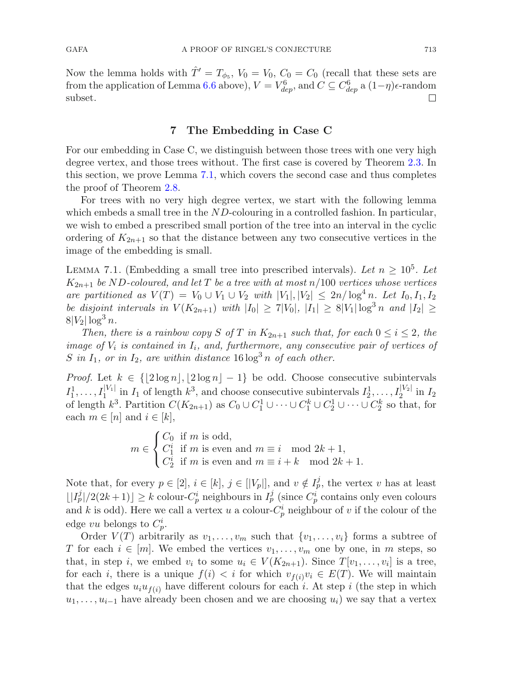Now the lemma holds with  $\hat{T}' = T_{\phi_5}$ ,  $V_0 = V_0$ ,  $C_0 = C_0$  (recall that these sets are from the application of Lemma [6.6](#page-47-0) above),  $V = V_{dep}^6$ , and  $C \subseteq C_{dep}^6$  a  $(1-\eta)\epsilon$ -random subset.

## **7 The Embedding in Case C**

<span id="page-50-0"></span>For our embedding in Case C, we distinguish between those trees with one very high degree vertex, and those trees without. The first case is covered by Theorem [2.3.](#page-11-1) In this section, we prove Lemma [7.1,](#page-50-1) which covers the second case and thus completes the proof of Theorem [2.8.](#page-13-2)

For trees with no very high degree vertex, we start with the following lemma which embeds a small tree in the  $ND$ -colouring in a controlled fashion. In particular, we wish to embed a prescribed small portion of the tree into an interval in the cyclic ordering of  $K_{2n+1}$  so that the distance between any two consecutive vertices in the image of the embedding is small.

<span id="page-50-1"></span>LEMMA 7.1. (Embedding a small tree into prescribed intervals). Let  $n \geq 10^5$ . Let  $K_{2n+1}$  *be* ND-coloured, and let T *be a tree with at most*  $n/100$  *vertices whose vertices are partitioned as*  $V(T) = V_0 \cup V_1 \cup V_2$  *with*  $|V_1|, |V_2| \leq 2n/\log^4 n$ . Let  $I_0, I_1, I_2$ *be disjoint intervals in*  $V(K_{2n+1})$  *with*  $|I_0| \ge 7|V_0|$ ,  $|I_1| \ge 8|V_1|\log^3 n$  *and*  $|I_2| \ge 8|V_1|\log^3 n$  $8|V_2| \log^3 n$ .

*Then, there is a rainbow copy* S of T in  $K_{2n+1}$  such that, for each  $0 \le i \le 2$ *, the image of*  $V_i$  *is contained in*  $I_i$ *, and, furthermore, any consecutive pair of vertices of* S in  $I_1$ , or in  $I_2$ , are within distance 16  $\log^3 n$  of each other.

*Proof.* Let  $k \in \{2 \log n\}, \lfloor 2 \log n \rfloor - 1\}$  be odd. Choose consecutive subintervals  $I_1^1, \ldots, I_1^{|V_1|}$  in  $I_1$  of length  $k^3$ , and choose consecutive subintervals  $I_2^1, \ldots, I_2^{|V_2|}$  in  $I_2$ of length  $k^3$ . Partition  $C(K_{2n+1})$  as  $C_0 \cup C_1^1 \cup \cdots \cup C_1^k \cup C_2^1 \cup \cdots \cup C_2^k$  so that, for each  $m \in [n]$  and  $i \in [k]$ ,

> $m \in$  $\sqrt{ }$  $\overline{J}$  $\sqrt{2}$  $C_0$  if m is odd,  $C_1^i$  if m is even and  $m \equiv i \mod 2k + 1$ ,<br>  $C_2^i$  if m is even and  $m \equiv i + k \mod 2k + 1$ .

Note that, for every  $p \in [2], i \in [k], j \in [|V_p|],$  and  $v \notin I_p^j$ , the vertex v has at least  $\lfloor |I_p^j|/2(2k+1)\rfloor \geq k$  colour- $C_p^i$  neighbours in  $I_p^j$  (since  $C_p^i$  contains only even colours and k is odd). Here we call a vertex u a colour- $C_p^i$  neighbour of v if the colour of the edge vu belongs to  $C_p^i$ .

Order  $V(T)$  arbitrarily as  $v_1, \ldots, v_m$  such that  $\{v_1, \ldots, v_i\}$  forms a subtree of T for each  $i \in [m]$ . We embed the vertices  $v_1, \ldots, v_m$  one by one, in m steps, so that, in step i, we embed  $v_i$  to some  $u_i \in V(K_{2n+1})$ . Since  $T[v_1,\ldots,v_i]$  is a tree, for each i, there is a unique  $f(i) < i$  for which  $v_{f(i)}v_i \in E(T)$ . We will maintain that the edges  $u_i u_{f(i)}$  have different colours for each i. At step i (the step in which  $u_1, \ldots, u_{i-1}$  have already been chosen and we are choosing  $u_i$ ) we say that a vertex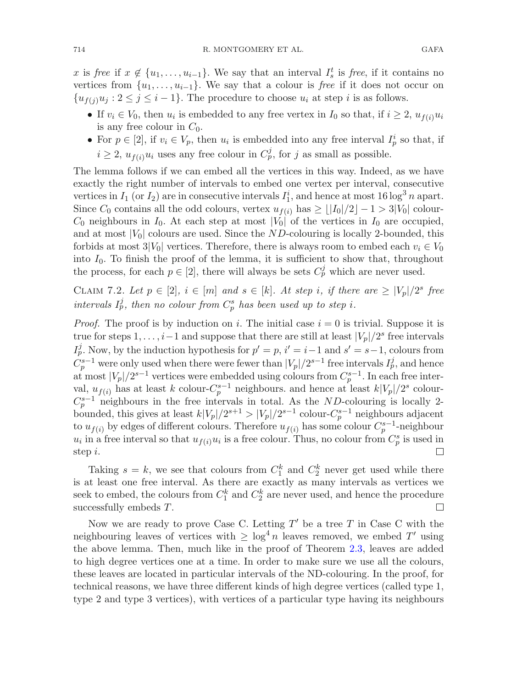x is *free* if  $x \notin \{u_1, \ldots, u_{i-1}\}$ . We say that an interval  $I_s^t$  is *free*, if it contains no vertices from  $\{u_1,\ldots,u_{i-1}\}$ . We say that a colour is *free* if it does not occur on  $\{u_{f(i)}u_i : 2 \leq j \leq i-1\}$ . The procedure to choose  $u_i$  at step i is as follows.

- If  $v_i \in V_0$ , then  $u_i$  is embedded to any free vertex in  $I_0$  so that, if  $i \geq 2$ ,  $u_{f(i)}u_i$ is any free colour in  $C_0$ .
- For  $p \in [2]$ , if  $v_i \in V_p$ , then  $u_i$  is embedded into any free interval  $I_p^i$  so that, if  $i \geq 2$ ,  $u_{f(i)}u_i$  uses any free colour in  $C_p^j$ , for j as small as possible.

The lemma follows if we can embed all the vertices in this way. Indeed, as we have exactly the right number of intervals to embed one vertex per interval, consecutive vertices in  $I_1$  (or  $I_2$ ) are in consecutive intervals  $I_1^i$ , and hence at most 16 log<sup>3</sup> n apart. Since  $C_0$  contains all the odd colours, vertex  $u_{f(i)}$  has  $\geq \lfloor |I_0|/2 \rfloor - 1 > 3|V_0|$  colour- $C_0$  neighbours in  $I_0$ . At each step at most  $|V_0|$  of the vertices in  $I_0$  are occupied, and at most  $|V_0|$  colours are used. Since the ND-colouring is locally 2-bounded, this forbids at most  $3|V_0|$  vertices. Therefore, there is always room to embed each  $v_i \in V_0$ into  $I_0$ . To finish the proof of the lemma, it is sufficient to show that, throughout the process, for each  $p \in [2]$ , there will always be sets  $C_p^j$  which are never used.

CLAIM 7.2. Let  $p \in [2]$ ,  $i \in [m]$  and  $s \in [k]$ . At step i, if there are  $\geq |V_p|/2^s$  free *intervals*  $I_p^j$ , then no colour from  $C_p^s$  has been used up to step i.

*Proof.* The proof is by induction on i. The initial case  $i = 0$  is trivial. Suppose it is true for steps  $1,\ldots,i-1$  and suppose that there are still at least  $|V_p|/2^s$  free intervals  $I_p^j$ . Now, by the induction hypothesis for  $p' = p$ ,  $i' = i-1$  and  $s' = s-1$ , colours from  $C_p^{s-1}$  were only used when there were fewer than  $|V_p|/2^{s-1}$  free intervals  $I_p^j$ , and hence at most  $|V_p|/2^{s-1}$  vertices were embedded using colours from  $C_p^{s-1}$ . In each free interval,  $u_{f(i)}$  has at least k colour- $C_p^{s-1}$  neighbours. and hence at least  $k|V_p|/2^s$  colour- $C_p^{s-1}$  neighbours in the free intervals in total. As the ND-colouring is locally 2bounded, this gives at least  $k|V_p|/2^{s+1} > |V_p|/2^{s-1}$  colour- $C_p^{s-1}$  neighbours adjacent to  $u_{f(i)}$  by edges of different colours. Therefore  $u_{f(i)}$  has some colour  $C_p^{s-1}$ -neighbour  $u_i$  in a free interval so that  $u_{f(i)}u_i$  is a free colour. Thus, no colour from  $C_p^s$  is used in step i.

Taking  $s = k$ , we see that colours from  $C_1^k$  and  $C_2^k$  never get used while there is at least one free interval. As there are exactly as many intervals as vertices we seek to embed, the colours from  $C_1^k$  and  $C_2^k$  are never used, and hence the procedure successfully embeds T.  $\Box$ 

Now we are ready to prove Case C. Letting  $T'$  be a tree T in Case C with the neighbouring leaves of vertices with  $\geq \log^4 n$  leaves removed, we embed T' using the above lemma. Then, much like in the proof of Theorem [2.3,](#page-11-1) leaves are added to high degree vertices one at a time. In order to make sure we use all the colours, these leaves are located in particular intervals of the ND-colouring. In the proof, for technical reasons, we have three different kinds of high degree vertices (called type 1, type 2 and type 3 vertices), with vertices of a particular type having its neighbours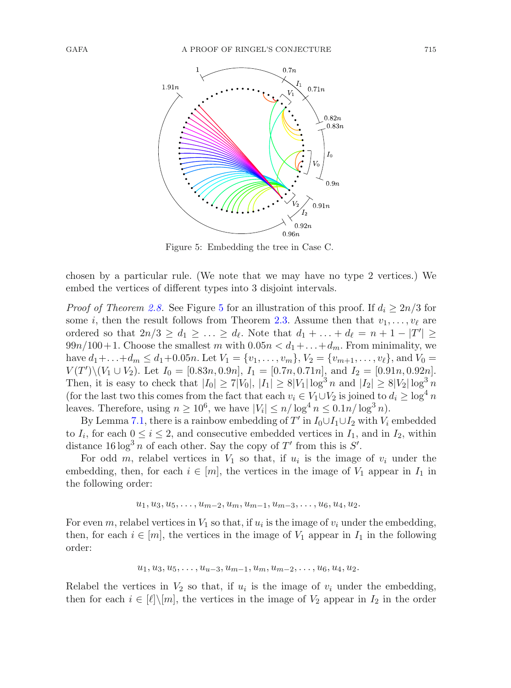

<span id="page-52-0"></span>Figure 5: Embedding the tree in Case C.

chosen by a particular rule. (We note that we may have no type 2 vertices.) We embed the vertices of different types into 3 disjoint intervals.

*Proof of Theorem [2.8.](#page-13-2)* See Figure [5](#page-52-0) for an illustration of this proof. If  $d_i \geq 2n/3$  for some *i*, then the result follows from Theorem [2.3.](#page-11-1) Assume then that  $v_1, \ldots, v_\ell$  are ordered so that  $2n/3 \geq d_1 \geq \ldots \geq d_{\ell}$ . Note that  $d_1 + \ldots + d_{\ell} = n + 1 - |T'| \geq$  $99n/100+1$ . Choose the smallest m with  $0.05n < d_1+\ldots+d_m$ . From minimality, we have  $d_1 + \ldots + d_m \leq d_1 + 0.05n$ . Let  $V_1 = \{v_1, \ldots, v_m\}$ ,  $V_2 = \{v_{m+1}, \ldots, v_\ell\}$ , and  $V_0 = \{v_1, \ldots, v_m\}$  $V(T')\setminus (V_1 \cup V_2)$ . Let  $I_0 = [0.83n, 0.9n], I_1 = [0.7n, 0.71n],$  and  $I_2 = [0.91n, 0.92n].$ Then, it is easy to check that  $|I_0| \ge 7|V_0|, |I_1| \ge 8|V_1|\log^3 n$  and  $|I_2| \ge 8|V_2|\log^3 n$ (for the last two this comes from the fact that each  $v_i \in V_1 \cup V_2$  is joined to  $d_i \geq \log^4 n$ leaves. Therefore, using  $n \ge 10^6$ , we have  $|V_i| \le n/\log^4 n \le 0.1n/\log^3 n$ .

By Lemma [7.1,](#page-50-1) there is a rainbow embedding of  $T'$  in  $I_0 \cup I_1 \cup I_2$  with  $V_i$  embedded to  $I_i$ , for each  $0 \le i \le 2$ , and consecutive embedded vertices in  $I_1$ , and in  $I_2$ , within distance  $16 \log^3 n$  of each other. Say the copy of T' from this is S'.

For odd m, relabel vertices in  $V_1$  so that, if  $u_i$  is the image of  $v_i$  under the embedding, then, for each  $i \in [m]$ , the vertices in the image of  $V_1$  appear in  $I_1$  in the following order:

$$
u_1, u_3, u_5, \ldots, u_{m-2}, u_m, u_{m-1}, u_{m-3}, \ldots, u_6, u_4, u_2.
$$

For even m, relabel vertices in  $V_1$  so that, if  $u_i$  is the image of  $v_i$  under the embedding, then, for each  $i \in [m]$ , the vertices in the image of  $V_1$  appear in  $I_1$  in the following order:

$$
u_1, u_3, u_5, \ldots, u_{u-3}, u_{m-1}, u_m, u_{m-2}, \ldots, u_6, u_4, u_2.
$$

Relabel the vertices in  $V_2$  so that, if  $u_i$  is the image of  $v_i$  under the embedding, then for each  $i \in [\ell] \setminus [m]$ , the vertices in the image of  $V_2$  appear in  $I_2$  in the order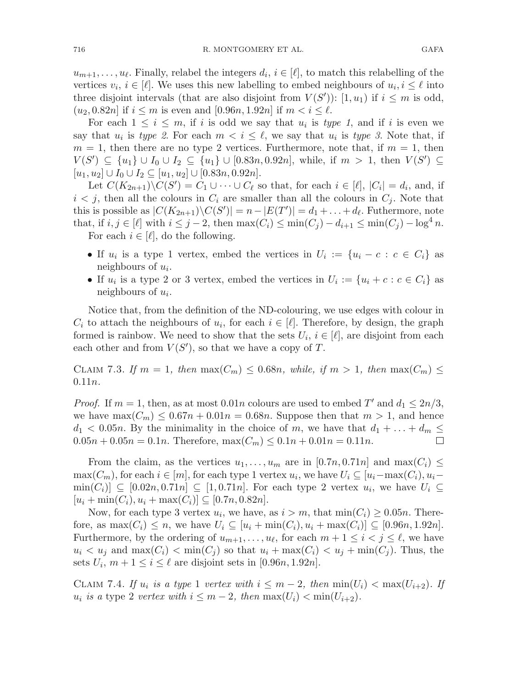$u_{m+1}, \ldots, u_{\ell}$ . Finally, relabel the integers  $d_i, i \in [\ell]$ , to match this relabelling of the vertices  $v_i, i \in [\ell]$ . We uses this new labelling to embed neighbours of  $u_i, i \leq \ell$  into three disjoint intervals (that are also disjoint from  $V(S')$ ):  $[1, u_1)$  if  $i \leq m$  is odd,  $(u_2, 0.82n]$  if  $i \leq m$  is even and [0.96n, 1.92n] if  $m < i \leq \ell$ .

For each  $1 \leq i \leq m$ , if i is odd we say that  $u_i$  is type 1, and if i is even we say that  $u_i$  is *type 2*. For each  $m < i \leq \ell$ , we say that  $u_i$  is *type 3*. Note that, if  $m = 1$ , then there are no type 2 vertices. Furthermore, note that, if  $m = 1$ , then  $V(S') \subseteq \{u_1\} \cup I_0 \cup I_2 \subseteq \{u_1\} \cup [0.83n, 0.92n]$ , while, if  $m > 1$ , then  $V(S') \subseteq$  $[u_1, u_2] \cup I_0 \cup I_2 \subseteq [u_1, u_2] \cup [0.83n, 0.92n].$ 

Let  $C(K_{2n+1})\backslash C(S') = C_1 \cup \cdots \cup C_\ell$  so that, for each  $i \in [\ell], |C_i| = d_i$ , and, if  $i < j$ , then all the colours in  $C_i$  are smaller than all the colours in  $C_j$ . Note that this is possible as  $|C(K_{2n+1})\backslash C(S')| = n - |E(T')| = d_1 + \ldots + d_\ell$ . Futhermore, note that, if  $i, j \in [\ell]$  with  $i \leq j - 2$ , then  $\max(C_i) \leq \min(C_j) - d_{i+1} \leq \min(C_j) - \log^4 n$ . For each  $i \in [\ell]$ , do the following.

- If  $u_i$  is a type 1 vertex, embed the vertices in  $U_i := \{u_i c : c \in C_i\}$  as neighbours of  $u_i$ .
- If  $u_i$  is a type 2 or 3 vertex, embed the vertices in  $U_i := \{u_i + c : c \in C_i\}$  as neighbours of  $u_i$ .

Notice that, from the definition of the ND-colouring, we use edges with colour in  $C_i$  to attach the neighbours of  $u_i$ , for each  $i \in [\ell]$ . Therefore, by design, the graph formed is rainbow. We need to show that the sets  $U_i$ ,  $i \in [\ell]$ , are disjoint from each each other and from  $V(S')$ , so that we have a copy of T.

CLAIM 7.3. If  $m = 1$ , then  $\max(C_m) \leq 0.68n$ , while, if  $m > 1$ , then  $\max(C_m) \leq$ 0.11n*.*

*Proof.* If  $m = 1$ , then, as at most  $0.01n$  colours are used to embed T' and  $d_1 \leq 2n/3$ , we have  $\max(C_m) \leq 0.67n + 0.01n = 0.68n$ . Suppose then that  $m > 1$ , and hence  $d_1 < 0.05n$ . By the minimality in the choice of m, we have that  $d_1 + \ldots + d_m \le$  0.05 $n + 0.05n = 0.1n$ . Therefore,  $\max(C_m) \le 0.1n + 0.01n = 0.11n$ .  $0.05n + 0.05n = 0.1n$ . Therefore,  $\max(C_m) \leq 0.1n + 0.01n = 0.11n$ .

From the claim, as the vertices  $u_1, \ldots, u_m$  are in [0.7n, 0.71n] and max $(C_i) \leq$  $\max(C_m)$ , for each  $i \in [m]$ , for each type 1 vertex  $u_i$ , we have  $U_i \subseteq [u_i-\max(C_i), u_i-\min(C_i)]$  $\min(C_i) \subseteq [0.02n, 0.71n] \subseteq [1, 0.71n]$ . For each type 2 vertex  $u_i$ , we have  $U_i \subseteq$  $[u_i + \min(C_i), u_i + \max(C_i)] \subseteq [0.7n, 0.82n].$ 

Now, for each type 3 vertex  $u_i$ , we have, as  $i>m$ , that  $\min(C_i) \geq 0.05n$ . Therefore, as  $\max(C_i) \leq n$ , we have  $U_i \subseteq [u_i + \min(C_i), u_i + \max(C_i)] \subseteq [0.96n, 1.92n]$ . Furthermore, by the ordering of  $u_{m+1}, \ldots, u_{\ell}$ , for each  $m + 1 \leq i < j \leq \ell$ , we have  $u_i < u_j$  and  $\max(C_i) < \min(C_j)$  so that  $u_i + \max(C_i) < u_j + \min(C_j)$ . Thus, the sets  $U_i$ ,  $m + 1 \leq i \leq \ell$  are disjoint sets in [0.96*n*, 1.92*n*].

CLAIM 7.4. If  $u_i$  is a type 1 vertex with  $i \leq m-2$ , then  $\min(U_i) < \max(U_{i+2})$ . If  $u_i$  *is a* type 2 *vertex with*  $i \leq m-2$ , *then*  $\max(U_i) < \min(U_{i+2})$ *.*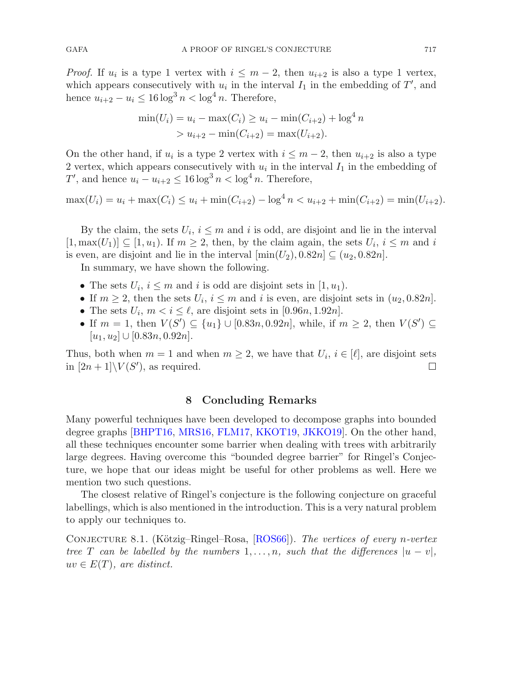*Proof.* If  $u_i$  is a type 1 vertex with  $i \leq m-2$ , then  $u_{i+2}$  is also a type 1 vertex, which appears consecutively with  $u_i$  in the interval  $I_1$  in the embedding of  $T'$ , and hence  $u_{i+2} - u_i \leq 16 \log^3 n < \log^4 n$ . Therefore,

$$
\min(U_i) = u_i - \max(C_i) \ge u_i - \min(C_{i+2}) + \log^4 n
$$
  
>  $u_{i+2} - \min(C_{i+2}) = \max(U_{i+2}).$ 

On the other hand, if  $u_i$  is a type 2 vertex with  $i \leq m-2$ , then  $u_{i+2}$  is also a type 2 vertex, which appears consecutively with  $u_i$  in the interval  $I_1$  in the embedding of T', and hence  $u_i - u_{i+2} \leq 16 \log^3 n < \log^4 n$ . Therefore,

$$
\max(U_i) = u_i + \max(C_i) \le u_i + \min(C_{i+2}) - \log^4 n < u_{i+2} + \min(C_{i+2}) = \min(U_{i+2}).
$$

By the claim, the sets  $U_i$ ,  $i \leq m$  and i is odd, are disjoint and lie in the interval  $[1, \max(U_1)] \subseteq [1, u_1)$ . If  $m \geq 2$ , then, by the claim again, the sets  $U_i$ ,  $i \leq m$  and i is even, are disjoint and lie in the interval  $[\min(U_2), 0.82n] \subseteq (u_2, 0.82n]$ .

In summary, we have shown the following.

- The sets  $U_i$ ,  $i \leq m$  and i is odd are disjoint sets in [1,  $u_1$ ].
- If  $m \geq 2$ , then the sets  $U_i$ ,  $i \leq m$  and i is even, are disjoint sets in  $(u_2, 0.82n]$ .
- The sets  $U_i$ ,  $m < i \leq \ell$ , are disjoint sets in [0.96n, 1.92n].
- If  $m = 1$ , then  $V(S') \subseteq \{u_1\} \cup [0.83n, 0.92n]$ , while, if  $m \geq 2$ , then  $V(S') \subseteq$  $[u_1, u_2] \cup [0.83n, 0.92n].$

Thus, both when  $m = 1$  and when  $m \ge 2$ , we have that  $U_i$ ,  $i \in [\ell]$ , are disjoint sets in  $[2n+1] \setminus V(S')$ , as required. in  $[2n+1]\backslash V(S')$ , as required.

## <span id="page-54-1"></span>**8 Concluding Remarks**

<span id="page-54-0"></span>Many powerful techniques have been developed to decompose graphs into bounded degree graphs [\[BHPT16,](#page-56-4) [MRS16](#page-56-5), [FLM17,](#page-56-6) [KKOT19,](#page-56-7) [JKKO19](#page-56-8)]. On the other hand, all these techniques encounter some barrier when dealing with trees with arbitrarily large degrees. Having overcome this "bounded degree barrier" for Ringel's Conjecture, we hope that our ideas might be useful for other problems as well. Here we mention two such questions.

The closest relative of Ringel's conjecture is the following conjecture on graceful labellings, which is also mentioned in the introduction. This is a very natural problem to apply our techniques to.

CONJECTURE 8.1. (Kötzig–Ringel–Rosa, [\[ROS66\]](#page-57-3)). *The vertices of every n-vertex tree* T *can be labelled by the numbers*  $1, \ldots, n$ *, such that the differences*  $|u - v|$ *,*  $uv \in E(T)$ *, are distinct.*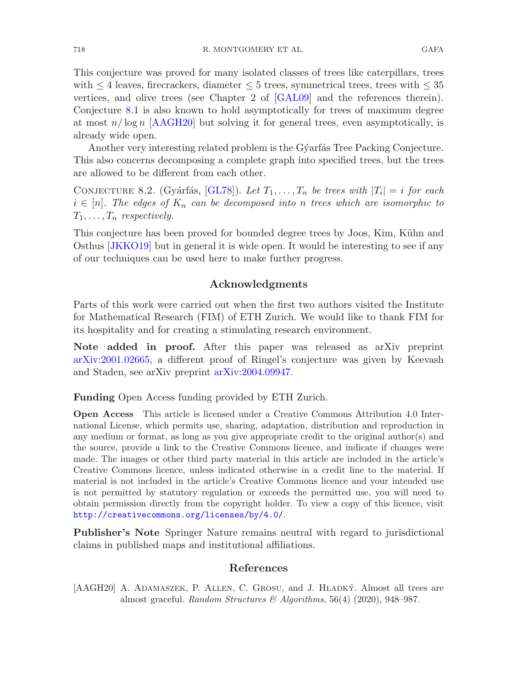This conjecture was proved for many isolated classes of trees like caterpillars, trees with  $\leq 4$  leaves, firecrackers, diameter  $\leq 5$  trees, symmetrical trees, trees with  $\leq 35$ vertices, and olive trees (see Chapter 2 of [\[GAL09](#page-56-2)] and the references therein). Conjecture [8.1](#page-54-1) is also known to hold asymptotically for trees of maximum degree at most  $n/\log n$  [\[AAGH20](#page-55-0)] but solving it for general trees, even asymptotically, is already wide open.

Another very interesting related problem is the G $\check{\gamma}$ arfás Tree Packing Conjecture. This also concerns decomposing a complete graph into specified trees, but the trees are allowed to be different from each other.

CONJECTURE 8.2. (Gyárfás, [\[GL78\]](#page-56-19)). Let  $T_1, \ldots, T_n$  be trees with  $|T_i| = i$  for each  $i \in [n]$ . The edges of  $K_n$  can be decomposed into n trees which are isomorphic to  $T_1,\ldots,T_n$  *respectively.* 

This conjecture has been proved for bounded degree trees by Joos, Kim, Kühn and Osthus [\[JKKO19](#page-56-8)] but in general it is wide open. It would be interesting to see if any of our techniques can be used here to make further progress.

## **Acknowledgments**

Parts of this work were carried out when the first two authors visited the Institute for Mathematical Research (FIM) of ETH Zurich. We would like to thank FIM for its hospitality and for creating a stimulating research environment.

**Note added in proof.** After this paper was released as arXiv preprint [arXiv:2001.02665,](http://arxiv.org/abs/2001.02665) a different proof of Ringel's conjecture was given by Keevash and Staden, see arXiv preprint [arXiv:2004.09947.](http://arxiv.org/abs/2004.09947)

**Funding** Open Access funding provided by ETH Zurich.

**Open Access** This article is licensed under a Creative Commons Attribution 4.0 International License, which permits use, sharing, adaptation, distribution and reproduction in any medium or format, as long as you give appropriate credit to the original author(s) and the source, provide a link to the Creative Commons licence, and indicate if changes were made. The images or other third party material in this article are included in the article's Creative Commons licence, unless indicated otherwise in a credit line to the material. If material is not included in the article's Creative Commons licence and your intended use is not permitted by statutory regulation or exceeds the permitted use, you will need to obtain permission directly from the copyright holder. To view a copy of this licence, visit <http://creativecommons.org/licenses/by/4.0/>.

**Publisher's Note** Springer Nature remains neutral with regard to jurisdictional claims in published maps and institutional affiliations.

## **References**

<span id="page-55-0"></span>[AAGH20] A. ADAMASZEK, P. ALLEN, C. GROSU, and J. HLADKÝ. Almost all trees are almost graceful. *Random Structures & Algorithms*, 56(4) (2020), 948–987.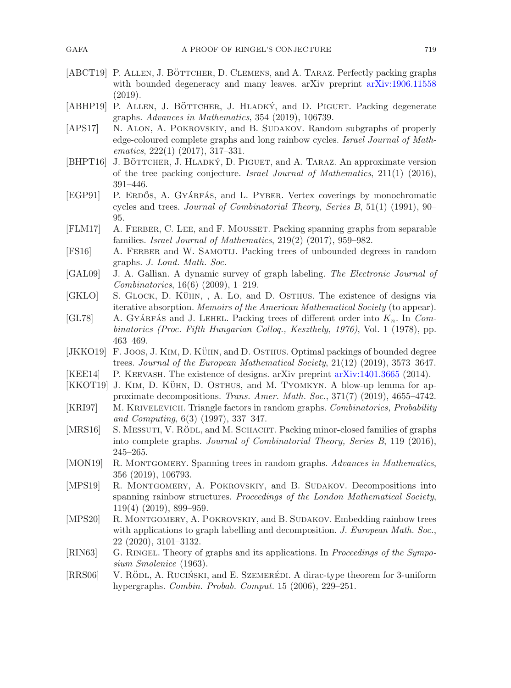- <span id="page-56-11"></span>[ABCT19] P. ALLEN, J. BÖTTCHER, D. CLEMENS, and A. TARAZ. Perfectly packing graphs with bounded degeneracy and many leaves. arXiv preprint [arXiv:1906.11558](http://arxiv.org/abs/1906.11558) (2019).
- <span id="page-56-10"></span>[ABHP19] P. ALLEN, J. BÖTTCHER, J. HLADKÝ, and D. PIGUET. Packing degenerate graphs. *Advances in Mathematics*, 354 (2019), 106739.
- <span id="page-56-18"></span>[APS17] N. ALON, A. POKROVSKIY, and B. SUDAKOV. Random subgraphs of properly edge-coloured complete graphs and long rainbow cycles. *Israel Journal of Mathematics*, 222(1) (2017), 317–331.
- <span id="page-56-4"></span>[BHPT16] J. BÖTTCHER, J. HLADKÝ, D. PIGUET, and A. TARAZ. An approximate version of the tree packing conjecture. *Israel Journal of Mathematics*, 211(1) (2016), 391–446.
- <span id="page-56-15"></span>[EGP91] P. ERDŐS, A. GYÁRFÁS, and L. PYBER. Vertex coverings by monochromatic cycles and trees. *Journal of Combinatorial Theory, Series B*, 51(1) (1991), 90– 95.
- <span id="page-56-6"></span>[FLM17] A. Ferber, C. Lee, and F. Mousset. Packing spanning graphs from separable families. *Israel Journal of Mathematics*, 219(2) (2017), 959–982.
- <span id="page-56-9"></span>[FS16] A. FERBER and W. SAMOTIJ. Packing trees of unbounded degrees in random graphs. *J. Lond. Math. Soc.*
- <span id="page-56-2"></span>[GAL09] J. A. Gallian. A dynamic survey of graph labeling. *The Electronic Journal of Combinatorics*, 16(6) (2009), 1–219.
- <span id="page-56-1"></span>[GKLO] S. GLOCK, D. KÜHN, , A. LO, and D. OSTHUS. The existence of designs via iterative absorption. *Memoirs of the American Mathematical Society* (to appear).
- <span id="page-56-19"></span> $\left| \text{GL78} \right|$  A. GYÁRFÁS and J. LEHEL. Packing trees of different order into  $K_n$ . In *Combinatorics (Proc. Fifth Hungarian Colloq., Keszthely, 1976)*, Vol. 1 (1978), pp. 463–469.
- <span id="page-56-8"></span>[JKKO19] F. JOOS, J. KIM, D. KÜHN, and D. OSTHUS. Optimal packings of bounded degree trees. *Journal of the European Mathematical Society*, 21(12) (2019), 3573–3647.
- <span id="page-56-0"></span>[KEE14] P. Keevash. The existence of designs. arXiv preprint [arXiv:1401.3665](http://arxiv.org/abs/1401.3665) (2014).
- <span id="page-56-7"></span>[KKOT19] J. KIM, D. KÜHN, D. OSTHUS, and M. TYOMKYN. A blow-up lemma for approximate decompositions. *Trans. Amer. Math. Soc.*, 371(7) (2019), 4655–4742.
- <span id="page-56-16"></span>[KRI97] M. Krivelevich. Triangle factors in random graphs. *Combinatorics, Probability and Computing*, 6(3) (1997), 337–347.
- <span id="page-56-5"></span>[MRS16] S. MESSUTI, V. RÖDL, and M. SCHACHT. Packing minor-closed families of graphs into complete graphs. *Journal of Combinatorial Theory, Series B*, 119 (2016), 245–265.
- <span id="page-56-17"></span>[MON19] R. Montgomery. Spanning trees in random graphs. *Advances in Mathematics*, 356 (2019), 106793.
- <span id="page-56-14"></span>[MPS19] R. Montgomery, A. Pokrovskiy, and B. Sudakov. Decompositions into spanning rainbow structures. *Proceedings of the London Mathematical Society*, 119(4) (2019), 899–959.
- <span id="page-56-12"></span>[MPS20] R. MONTGOMERY, A. POKROVSKIY, and B. SUDAKOV. Embedding rainbow trees with applications to graph labelling and decomposition. *J. European Math. Soc.*, 22 (2020), 3101–3132.
- <span id="page-56-3"></span>[RIN63] G. Ringel. Theory of graphs and its applications. In *Proceedings of the Symposium Smolenice* (1963).
- <span id="page-56-13"></span>[RRS06] V. RÖDL, A. RUCIŃSKI, and E. SZEMERÉDI. A dirac-type theorem for 3-uniform hypergraphs. *Combin. Probab. Comput.* 15 (2006), 229–251.